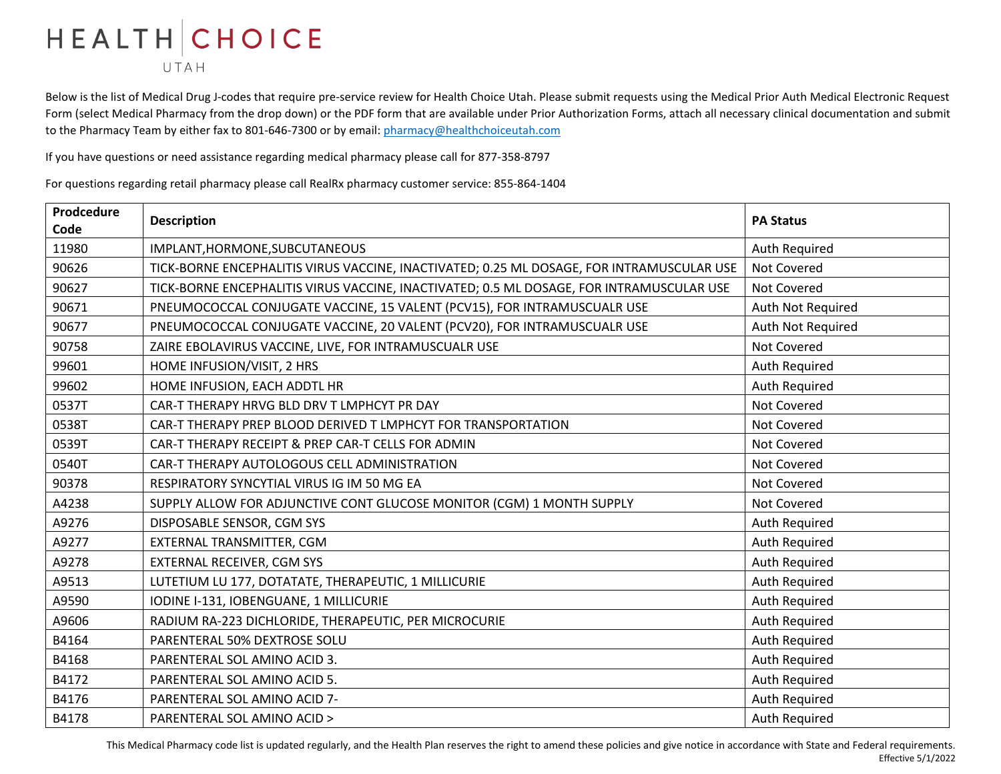## HEALTHCHOICE UTAH

Below is the list of Medical Drug J-codes that require pre-service review for Health Choice Utah. Please submit requests using the Medical Prior Auth Medical Electronic Request Form (select Medical Pharmacy from the drop down) or the PDF form that are available under Prior Authorization Forms, attach all necessary clinical documentation and submit to the Pharmacy Team by either fax to 801-646-7300 or by email[: pharmacy@healthchoiceutah.com](mailto:pharmacy@healthchoiceutah.com)

If you have questions or need assistance regarding medical pharmacy please call for 877-358-8797

For questions regarding retail pharmacy please call RealRx pharmacy customer service: 855-864-1404

| Prodcedure<br>Code | <b>Description</b>                                                                        | <b>PA Status</b>  |
|--------------------|-------------------------------------------------------------------------------------------|-------------------|
| 11980              | IMPLANT, HORMONE, SUBCUTANEOUS                                                            | Auth Required     |
| 90626              | TICK-BORNE ENCEPHALITIS VIRUS VACCINE, INACTIVATED; 0.25 ML DOSAGE, FOR INTRAMUSCULAR USE | Not Covered       |
| 90627              | TICK-BORNE ENCEPHALITIS VIRUS VACCINE, INACTIVATED; 0.5 ML DOSAGE, FOR INTRAMUSCULAR USE  | Not Covered       |
| 90671              | PNEUMOCOCCAL CONJUGATE VACCINE, 15 VALENT (PCV15), FOR INTRAMUSCUALR USE                  | Auth Not Required |
| 90677              | PNEUMOCOCCAL CONJUGATE VACCINE, 20 VALENT (PCV20), FOR INTRAMUSCUALR USE                  | Auth Not Required |
| 90758              | ZAIRE EBOLAVIRUS VACCINE, LIVE, FOR INTRAMUSCUALR USE                                     | Not Covered       |
| 99601              | HOME INFUSION/VISIT, 2 HRS                                                                | Auth Required     |
| 99602              | HOME INFUSION, EACH ADDTL HR                                                              | Auth Required     |
| 0537T              | CAR-T THERAPY HRVG BLD DRV T LMPHCYT PR DAY                                               | Not Covered       |
| 0538T              | CAR-T THERAPY PREP BLOOD DERIVED T LMPHCYT FOR TRANSPORTATION                             | Not Covered       |
| 0539T              | CAR-T THERAPY RECEIPT & PREP CAR-T CELLS FOR ADMIN                                        | Not Covered       |
| 0540T              | CAR-T THERAPY AUTOLOGOUS CELL ADMINISTRATION                                              | Not Covered       |
| 90378              | RESPIRATORY SYNCYTIAL VIRUS IG IM 50 MG EA                                                | Not Covered       |
| A4238              | SUPPLY ALLOW FOR ADJUNCTIVE CONT GLUCOSE MONITOR (CGM) 1 MONTH SUPPLY                     | Not Covered       |
| A9276              | DISPOSABLE SENSOR, CGM SYS                                                                | Auth Required     |
| A9277              | EXTERNAL TRANSMITTER, CGM                                                                 | Auth Required     |
| A9278              | EXTERNAL RECEIVER, CGM SYS                                                                | Auth Required     |
| A9513              | LUTETIUM LU 177, DOTATATE, THERAPEUTIC, 1 MILLICURIE                                      | Auth Required     |
| A9590              | IODINE I-131, IOBENGUANE, 1 MILLICURIE                                                    | Auth Required     |
| A9606              | RADIUM RA-223 DICHLORIDE, THERAPEUTIC, PER MICROCURIE                                     | Auth Required     |
| B4164              | PARENTERAL 50% DEXTROSE SOLU                                                              | Auth Required     |
| B4168              | PARENTERAL SOL AMINO ACID 3.                                                              | Auth Required     |
| B4172              | PARENTERAL SOL AMINO ACID 5.                                                              | Auth Required     |
| B4176              | PARENTERAL SOL AMINO ACID 7-                                                              | Auth Required     |
| B4178              | PARENTERAL SOL AMINO ACID >                                                               | Auth Required     |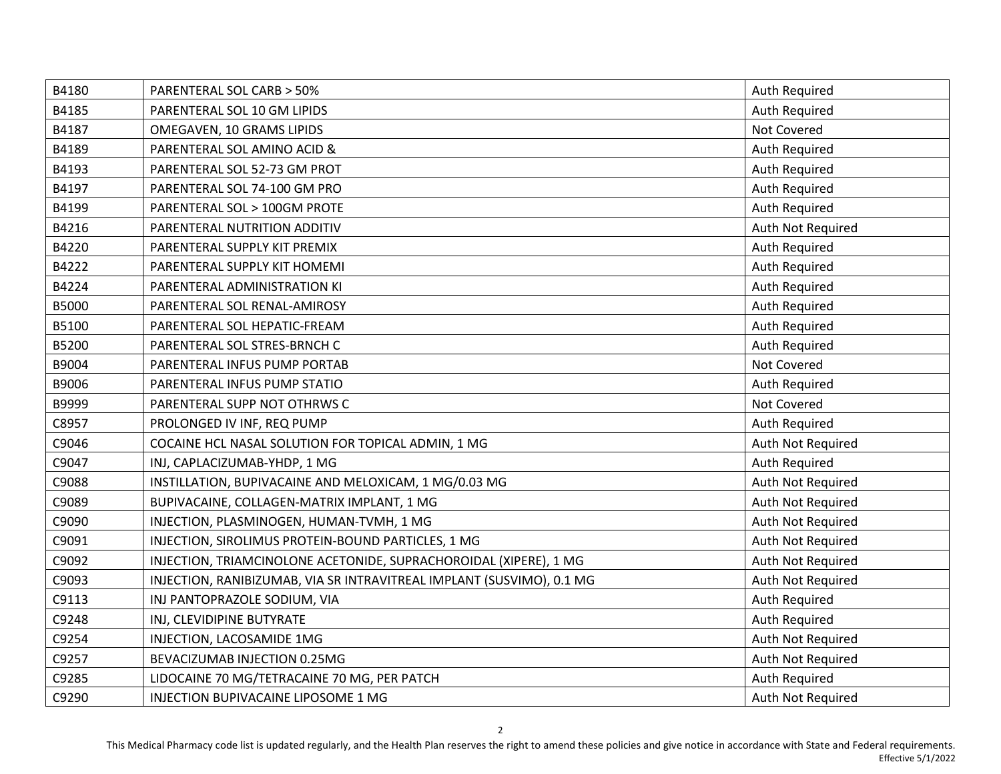| B4180 | <b>PARENTERAL SOL CARB &gt; 50%</b>                                   | Auth Required     |
|-------|-----------------------------------------------------------------------|-------------------|
| B4185 | PARENTERAL SOL 10 GM LIPIDS                                           | Auth Required     |
| B4187 | OMEGAVEN, 10 GRAMS LIPIDS                                             | Not Covered       |
| B4189 | PARENTERAL SOL AMINO ACID &                                           | Auth Required     |
| B4193 | PARENTERAL SOL 52-73 GM PROT                                          | Auth Required     |
| B4197 | PARENTERAL SOL 74-100 GM PRO                                          | Auth Required     |
| B4199 | PARENTERAL SOL > 100GM PROTE                                          | Auth Required     |
| B4216 | PARENTERAL NUTRITION ADDITIV                                          | Auth Not Required |
| B4220 | PARENTERAL SUPPLY KIT PREMIX                                          | Auth Required     |
| B4222 | PARENTERAL SUPPLY KIT HOMEMI                                          | Auth Required     |
| B4224 | PARENTERAL ADMINISTRATION KI                                          | Auth Required     |
| B5000 | PARENTERAL SOL RENAL-AMIROSY                                          | Auth Required     |
| B5100 | PARENTERAL SOL HEPATIC-FREAM                                          | Auth Required     |
| B5200 | PARENTERAL SOL STRES-BRNCH C                                          | Auth Required     |
| B9004 | PARENTERAL INFUS PUMP PORTAB                                          | Not Covered       |
| B9006 | PARENTERAL INFUS PUMP STATIO                                          | Auth Required     |
| B9999 | PARENTERAL SUPP NOT OTHRWS C                                          | Not Covered       |
| C8957 | PROLONGED IV INF, REQ PUMP                                            | Auth Required     |
| C9046 | COCAINE HCL NASAL SOLUTION FOR TOPICAL ADMIN, 1 MG                    | Auth Not Required |
| C9047 | INJ, CAPLACIZUMAB-YHDP, 1 MG                                          | Auth Required     |
| C9088 | INSTILLATION, BUPIVACAINE AND MELOXICAM, 1 MG/0.03 MG                 | Auth Not Required |
| C9089 | BUPIVACAINE, COLLAGEN-MATRIX IMPLANT, 1 MG                            | Auth Not Required |
| C9090 | INJECTION, PLASMINOGEN, HUMAN-TVMH, 1 MG                              | Auth Not Required |
| C9091 | INJECTION, SIROLIMUS PROTEIN-BOUND PARTICLES, 1 MG                    | Auth Not Required |
| C9092 | INJECTION, TRIAMCINOLONE ACETONIDE, SUPRACHOROIDAL (XIPERE), 1 MG     | Auth Not Required |
| C9093 | INJECTION, RANIBIZUMAB, VIA SR INTRAVITREAL IMPLANT (SUSVIMO), 0.1 MG | Auth Not Required |
| C9113 | INJ PANTOPRAZOLE SODIUM, VIA                                          | Auth Required     |
| C9248 | INJ, CLEVIDIPINE BUTYRATE                                             | Auth Required     |
| C9254 | INJECTION, LACOSAMIDE 1MG                                             | Auth Not Required |
| C9257 | BEVACIZUMAB INJECTION 0.25MG                                          | Auth Not Required |
| C9285 | LIDOCAINE 70 MG/TETRACAINE 70 MG, PER PATCH                           | Auth Required     |
| C9290 | INJECTION BUPIVACAINE LIPOSOME 1 MG                                   | Auth Not Required |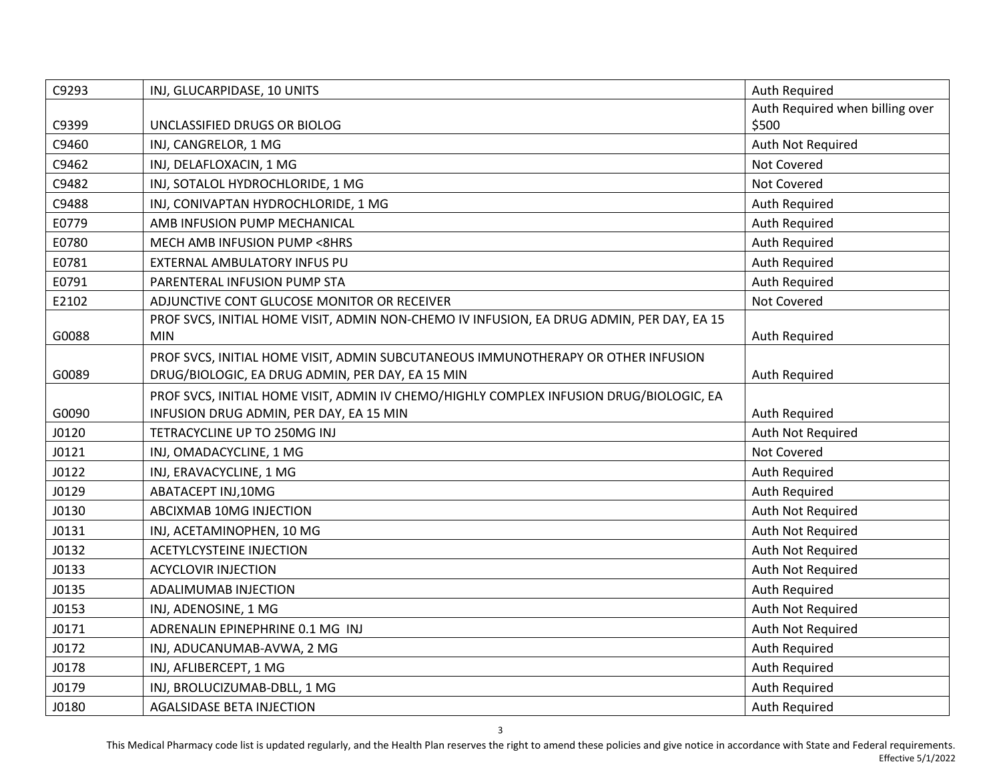| C9293 | INJ, GLUCARPIDASE, 10 UNITS                                                               | <b>Auth Required</b>            |
|-------|-------------------------------------------------------------------------------------------|---------------------------------|
|       |                                                                                           | Auth Required when billing over |
| C9399 | UNCLASSIFIED DRUGS OR BIOLOG                                                              | \$500                           |
| C9460 | INJ, CANGRELOR, 1 MG                                                                      | Auth Not Required               |
| C9462 | INJ, DELAFLOXACIN, 1 MG                                                                   | Not Covered                     |
| C9482 | INJ, SOTALOL HYDROCHLORIDE, 1 MG                                                          | Not Covered                     |
| C9488 | INJ, CONIVAPTAN HYDROCHLORIDE, 1 MG                                                       | Auth Required                   |
| E0779 | AMB INFUSION PUMP MECHANICAL                                                              | Auth Required                   |
| E0780 | MECH AMB INFUSION PUMP <8HRS                                                              | Auth Required                   |
| E0781 | EXTERNAL AMBULATORY INFUS PU                                                              | Auth Required                   |
| E0791 | PARENTERAL INFUSION PUMP STA                                                              | Auth Required                   |
| E2102 | ADJUNCTIVE CONT GLUCOSE MONITOR OR RECEIVER                                               | Not Covered                     |
|       | PROF SVCS, INITIAL HOME VISIT, ADMIN NON-CHEMO IV INFUSION, EA DRUG ADMIN, PER DAY, EA 15 |                                 |
| G0088 | <b>MIN</b>                                                                                | Auth Required                   |
|       | PROF SVCS, INITIAL HOME VISIT, ADMIN SUBCUTANEOUS IMMUNOTHERAPY OR OTHER INFUSION         |                                 |
| G0089 | DRUG/BIOLOGIC, EA DRUG ADMIN, PER DAY, EA 15 MIN                                          | Auth Required                   |
|       | PROF SVCS, INITIAL HOME VISIT, ADMIN IV CHEMO/HIGHLY COMPLEX INFUSION DRUG/BIOLOGIC, EA   |                                 |
| G0090 | INFUSION DRUG ADMIN, PER DAY, EA 15 MIN                                                   | Auth Required                   |
| J0120 | TETRACYCLINE UP TO 250MG INJ                                                              | Auth Not Required               |
| J0121 | INJ, OMADACYCLINE, 1 MG                                                                   | Not Covered                     |
| J0122 | INJ, ERAVACYCLINE, 1 MG                                                                   | Auth Required                   |
| J0129 | ABATACEPT INJ,10MG                                                                        | Auth Required                   |
| J0130 | ABCIXMAB 10MG INJECTION                                                                   | Auth Not Required               |
| J0131 | INJ, ACETAMINOPHEN, 10 MG                                                                 | Auth Not Required               |
| J0132 | <b>ACETYLCYSTEINE INJECTION</b>                                                           | Auth Not Required               |
| J0133 | <b>ACYCLOVIR INJECTION</b>                                                                | Auth Not Required               |
| J0135 | ADALIMUMAB INJECTION                                                                      | Auth Required                   |
| J0153 | INJ, ADENOSINE, 1 MG                                                                      | Auth Not Required               |
| J0171 | ADRENALIN EPINEPHRINE 0.1 MG INJ                                                          | Auth Not Required               |
| J0172 | INJ, ADUCANUMAB-AVWA, 2 MG                                                                | Auth Required                   |
| J0178 | INJ, AFLIBERCEPT, 1 MG                                                                    | Auth Required                   |
| J0179 | INJ, BROLUCIZUMAB-DBLL, 1 MG                                                              | Auth Required                   |
| J0180 | <b>AGALSIDASE BETA INJECTION</b>                                                          | Auth Required                   |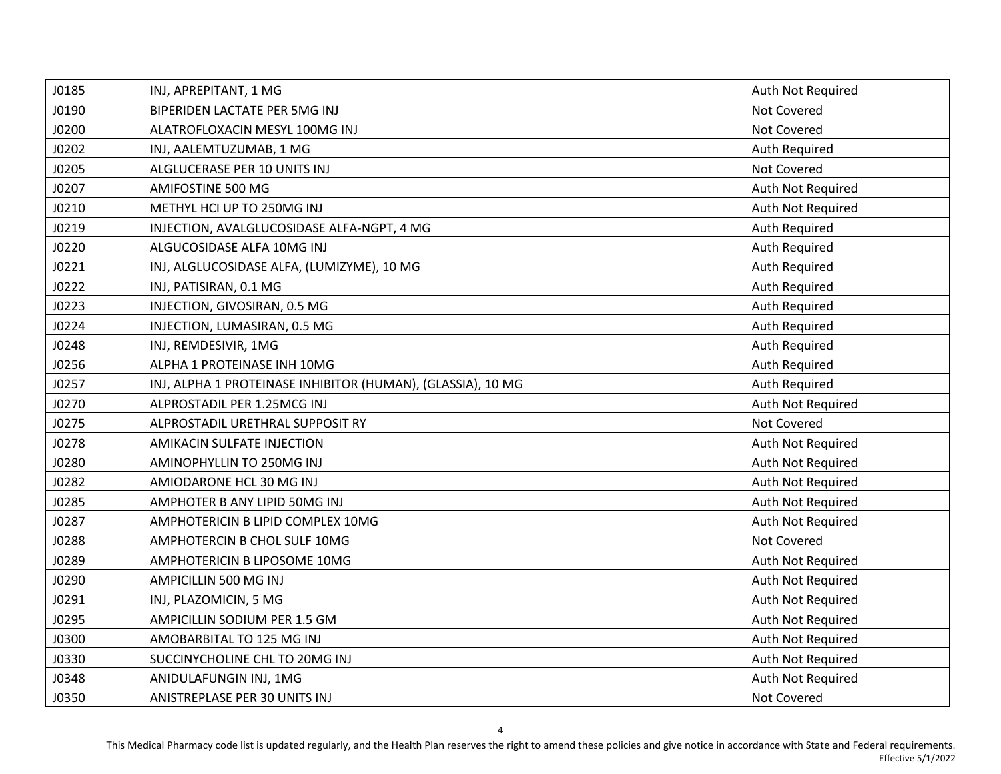| J0185 | INJ, APREPITANT, 1 MG                                       | Auth Not Required |
|-------|-------------------------------------------------------------|-------------------|
| J0190 | BIPERIDEN LACTATE PER 5MG INJ                               | Not Covered       |
| J0200 | ALATROFLOXACIN MESYL 100MG INJ                              | Not Covered       |
| J0202 | INJ, AALEMTUZUMAB, 1 MG                                     | Auth Required     |
| J0205 | ALGLUCERASE PER 10 UNITS INJ                                | Not Covered       |
| J0207 | AMIFOSTINE 500 MG                                           | Auth Not Required |
| J0210 | METHYL HCI UP TO 250MG INJ                                  | Auth Not Required |
| J0219 | INJECTION, AVALGLUCOSIDASE ALFA-NGPT, 4 MG                  | Auth Required     |
| J0220 | ALGUCOSIDASE ALFA 10MG INJ                                  | Auth Required     |
| J0221 | INJ, ALGLUCOSIDASE ALFA, (LUMIZYME), 10 MG                  | Auth Required     |
| J0222 | INJ, PATISIRAN, 0.1 MG                                      | Auth Required     |
| J0223 | INJECTION, GIVOSIRAN, 0.5 MG                                | Auth Required     |
| J0224 | INJECTION, LUMASIRAN, 0.5 MG                                | Auth Required     |
| J0248 | INJ, REMDESIVIR, 1MG                                        | Auth Required     |
| J0256 | ALPHA 1 PROTEINASE INH 10MG                                 | Auth Required     |
| J0257 | INJ, ALPHA 1 PROTEINASE INHIBITOR (HUMAN), (GLASSIA), 10 MG | Auth Required     |
| J0270 | ALPROSTADIL PER 1.25MCG INJ                                 | Auth Not Required |
| J0275 | ALPROSTADIL URETHRAL SUPPOSIT RY                            | Not Covered       |
| J0278 | AMIKACIN SULFATE INJECTION                                  | Auth Not Required |
| J0280 | AMINOPHYLLIN TO 250MG INJ                                   | Auth Not Required |
| J0282 | AMIODARONE HCL 30 MG INJ                                    | Auth Not Required |
| J0285 | AMPHOTER B ANY LIPID 50MG INJ                               | Auth Not Required |
| J0287 | AMPHOTERICIN B LIPID COMPLEX 10MG                           | Auth Not Required |
| J0288 | AMPHOTERCIN B CHOL SULF 10MG                                | Not Covered       |
| J0289 | AMPHOTERICIN B LIPOSOME 10MG                                | Auth Not Required |
| J0290 | AMPICILLIN 500 MG INJ                                       | Auth Not Required |
| J0291 | INJ, PLAZOMICIN, 5 MG                                       | Auth Not Required |
| J0295 | AMPICILLIN SODIUM PER 1.5 GM                                | Auth Not Required |
| J0300 | AMOBARBITAL TO 125 MG INJ                                   | Auth Not Required |
| J0330 | SUCCINYCHOLINE CHL TO 20MG INJ                              | Auth Not Required |
| J0348 | ANIDULAFUNGIN INJ, 1MG                                      | Auth Not Required |
| J0350 | ANISTREPLASE PER 30 UNITS INJ                               | Not Covered       |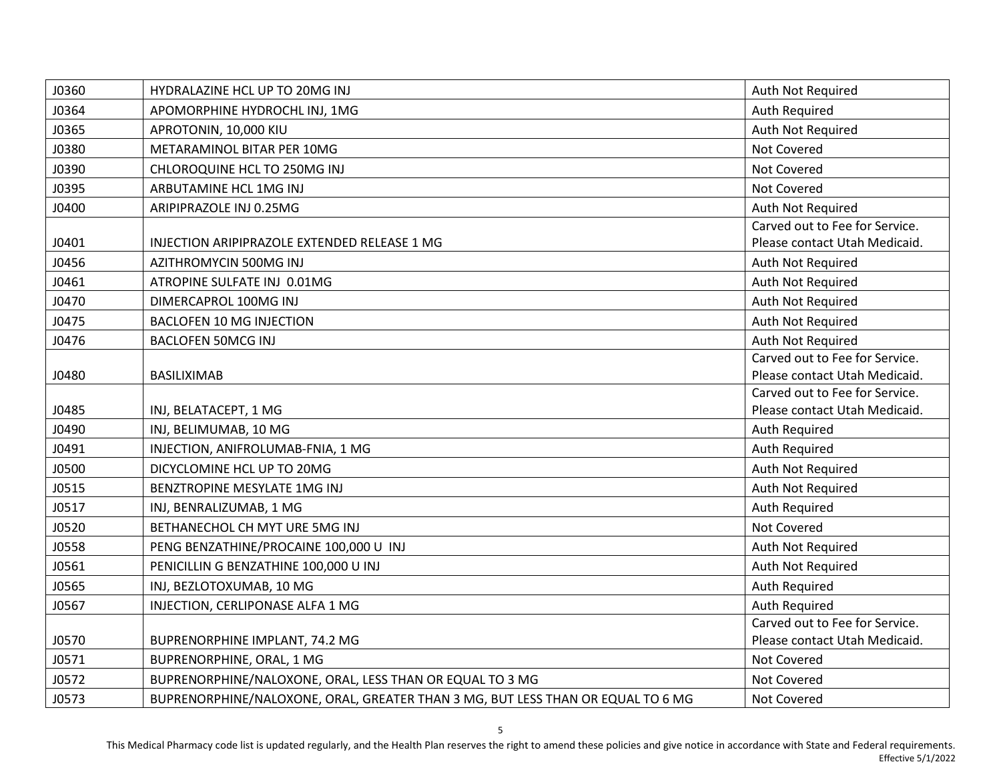| J0360        | HYDRALAZINE HCL UP TO 20MG INJ                                                  | Auth Not Required              |
|--------------|---------------------------------------------------------------------------------|--------------------------------|
| J0364        | APOMORPHINE HYDROCHL INJ, 1MG                                                   | Auth Required                  |
| J0365        | APROTONIN, 10,000 KIU                                                           | Auth Not Required              |
| J0380        | METARAMINOL BITAR PER 10MG                                                      | Not Covered                    |
| J0390        | CHLOROQUINE HCL TO 250MG INJ                                                    | Not Covered                    |
| J0395        | ARBUTAMINE HCL 1MG INJ                                                          | Not Covered                    |
| J0400        | ARIPIPRAZOLE INJ 0.25MG                                                         | Auth Not Required              |
|              |                                                                                 | Carved out to Fee for Service. |
| J0401        | INJECTION ARIPIPRAZOLE EXTENDED RELEASE 1 MG                                    | Please contact Utah Medicaid.  |
| J0456        | AZITHROMYCIN 500MG INJ                                                          | Auth Not Required              |
| J0461        | ATROPINE SULFATE INJ 0.01MG                                                     | Auth Not Required              |
| J0470        | DIMERCAPROL 100MG INJ                                                           | Auth Not Required              |
| J0475        | <b>BACLOFEN 10 MG INJECTION</b>                                                 | Auth Not Required              |
| J0476        | <b>BACLOFEN 50MCG INJ</b>                                                       | Auth Not Required              |
|              |                                                                                 | Carved out to Fee for Service. |
| J0480        | <b>BASILIXIMAB</b>                                                              | Please contact Utah Medicaid.  |
|              |                                                                                 | Carved out to Fee for Service. |
| J0485        | INJ, BELATACEPT, 1 MG                                                           | Please contact Utah Medicaid.  |
| J0490        | INJ, BELIMUMAB, 10 MG                                                           | <b>Auth Required</b>           |
| J0491        | INJECTION, ANIFROLUMAB-FNIA, 1 MG                                               | <b>Auth Required</b>           |
| <b>J0500</b> | DICYCLOMINE HCL UP TO 20MG                                                      | Auth Not Required              |
| J0515        | BENZTROPINE MESYLATE 1MG INJ                                                    | Auth Not Required              |
| J0517        | INJ, BENRALIZUMAB, 1 MG                                                         | <b>Auth Required</b>           |
| J0520        | BETHANECHOL CH MYT URE 5MG INJ                                                  | <b>Not Covered</b>             |
| J0558        | PENG BENZATHINE/PROCAINE 100,000 U INJ                                          | Auth Not Required              |
| J0561        | PENICILLIN G BENZATHINE 100,000 U INJ                                           | Auth Not Required              |
| J0565        | INJ, BEZLOTOXUMAB, 10 MG                                                        | <b>Auth Required</b>           |
| J0567        | INJECTION, CERLIPONASE ALFA 1 MG                                                | Auth Required                  |
|              |                                                                                 | Carved out to Fee for Service. |
| <b>J0570</b> | BUPRENORPHINE IMPLANT, 74.2 MG                                                  | Please contact Utah Medicaid.  |
| J0571        | BUPRENORPHINE, ORAL, 1 MG                                                       | Not Covered                    |
| J0572        | BUPRENORPHINE/NALOXONE, ORAL, LESS THAN OR EQUAL TO 3 MG                        | Not Covered                    |
| J0573        | BUPRENORPHINE/NALOXONE, ORAL, GREATER THAN 3 MG, BUT LESS THAN OR EQUAL TO 6 MG | Not Covered                    |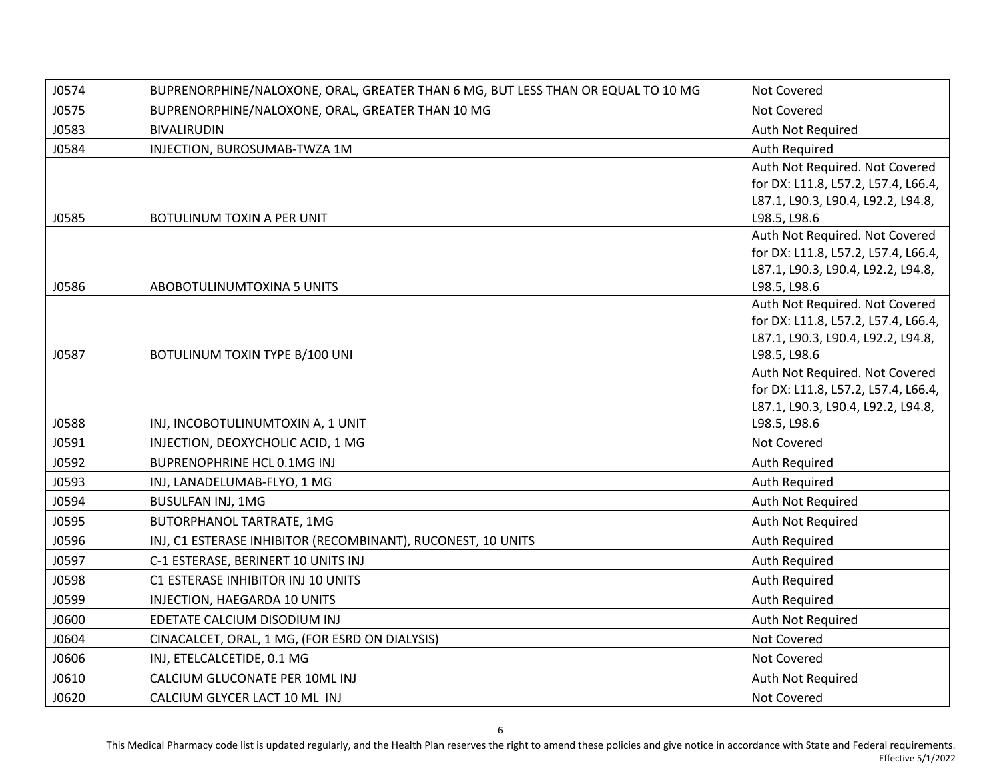| J0574 | BUPRENORPHINE/NALOXONE, ORAL, GREATER THAN 6 MG, BUT LESS THAN OR EQUAL TO 10 MG | Not Covered                                                               |
|-------|----------------------------------------------------------------------------------|---------------------------------------------------------------------------|
| J0575 | BUPRENORPHINE/NALOXONE, ORAL, GREATER THAN 10 MG                                 | Not Covered                                                               |
| J0583 | <b>BIVALIRUDIN</b>                                                               | Auth Not Required                                                         |
| J0584 | INJECTION, BUROSUMAB-TWZA 1M                                                     | <b>Auth Required</b>                                                      |
|       |                                                                                  | Auth Not Required. Not Covered                                            |
|       |                                                                                  | for DX: L11.8, L57.2, L57.4, L66.4,                                       |
|       |                                                                                  | L87.1, L90.3, L90.4, L92.2, L94.8,                                        |
| J0585 | <b>BOTULINUM TOXIN A PER UNIT</b>                                                | L98.5, L98.6                                                              |
|       |                                                                                  | Auth Not Required. Not Covered                                            |
|       |                                                                                  | for DX: L11.8, L57.2, L57.4, L66.4,<br>L87.1, L90.3, L90.4, L92.2, L94.8, |
| J0586 | ABOBOTULINUMTOXINA 5 UNITS                                                       | L98.5, L98.6                                                              |
|       |                                                                                  | Auth Not Required. Not Covered                                            |
|       |                                                                                  | for DX: L11.8, L57.2, L57.4, L66.4,                                       |
|       |                                                                                  | L87.1, L90.3, L90.4, L92.2, L94.8,                                        |
| J0587 | BOTULINUM TOXIN TYPE B/100 UNI                                                   | L98.5, L98.6                                                              |
|       |                                                                                  | Auth Not Required. Not Covered                                            |
|       |                                                                                  | for DX: L11.8, L57.2, L57.4, L66.4,                                       |
|       |                                                                                  | L87.1, L90.3, L90.4, L92.2, L94.8,                                        |
| J0588 | INJ, INCOBOTULINUMTOXIN A, 1 UNIT                                                | L98.5, L98.6                                                              |
| J0591 | INJECTION, DEOXYCHOLIC ACID, 1 MG                                                | Not Covered                                                               |
| J0592 | <b>BUPRENOPHRINE HCL 0.1MG INJ</b>                                               | Auth Required                                                             |
| J0593 | INJ, LANADELUMAB-FLYO, 1 MG                                                      | Auth Required                                                             |
| J0594 | <b>BUSULFAN INJ, 1MG</b>                                                         | Auth Not Required                                                         |
| J0595 | <b>BUTORPHANOL TARTRATE, 1MG</b>                                                 | Auth Not Required                                                         |
| J0596 | INJ, C1 ESTERASE INHIBITOR (RECOMBINANT), RUCONEST, 10 UNITS                     | Auth Required                                                             |
| J0597 | C-1 ESTERASE, BERINERT 10 UNITS INJ                                              | Auth Required                                                             |
| J0598 | C1 ESTERASE INHIBITOR INJ 10 UNITS                                               | <b>Auth Required</b>                                                      |
| J0599 | INJECTION, HAEGARDA 10 UNITS                                                     | Auth Required                                                             |
| J0600 | EDETATE CALCIUM DISODIUM INJ                                                     | Auth Not Required                                                         |
| J0604 | CINACALCET, ORAL, 1 MG, (FOR ESRD ON DIALYSIS)                                   | Not Covered                                                               |
| J0606 | INJ, ETELCALCETIDE, 0.1 MG                                                       | Not Covered                                                               |
| J0610 | CALCIUM GLUCONATE PER 10ML INJ                                                   | Auth Not Required                                                         |
| J0620 | CALCIUM GLYCER LACT 10 ML INJ                                                    | Not Covered                                                               |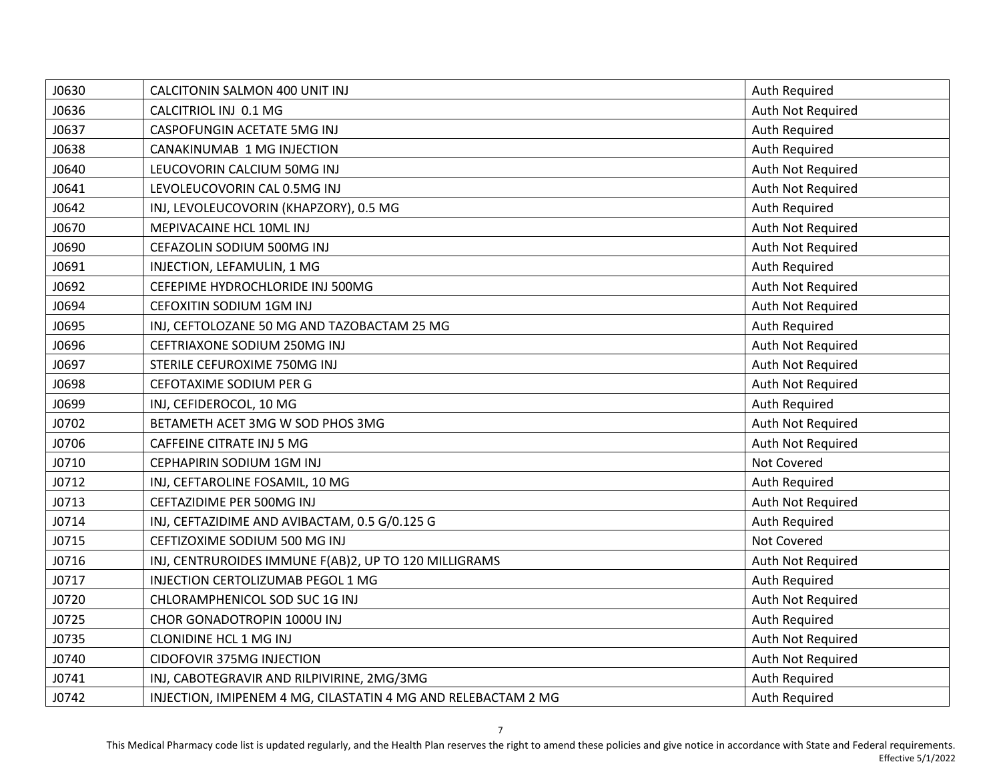| J0630 | CALCITONIN SALMON 400 UNIT INJ                                | Auth Required     |
|-------|---------------------------------------------------------------|-------------------|
| J0636 | CALCITRIOL INJ 0.1 MG                                         | Auth Not Required |
| J0637 | CASPOFUNGIN ACETATE 5MG INJ                                   | Auth Required     |
| J0638 | CANAKINUMAB 1 MG INJECTION                                    | Auth Required     |
| J0640 | LEUCOVORIN CALCIUM 50MG INJ                                   | Auth Not Required |
| J0641 | LEVOLEUCOVORIN CAL 0.5MG INJ                                  | Auth Not Required |
| J0642 | INJ, LEVOLEUCOVORIN (KHAPZORY), 0.5 MG                        | Auth Required     |
| J0670 | MEPIVACAINE HCL 10ML INJ                                      | Auth Not Required |
| J0690 | CEFAZOLIN SODIUM 500MG INJ                                    | Auth Not Required |
| J0691 | INJECTION, LEFAMULIN, 1 MG                                    | Auth Required     |
| J0692 | CEFEPIME HYDROCHLORIDE INJ 500MG                              | Auth Not Required |
| J0694 | CEFOXITIN SODIUM 1GM INJ                                      | Auth Not Required |
| J0695 | INJ, CEFTOLOZANE 50 MG AND TAZOBACTAM 25 MG                   | Auth Required     |
| J0696 | CEFTRIAXONE SODIUM 250MG INJ                                  | Auth Not Required |
| J0697 | STERILE CEFUROXIME 750MG INJ                                  | Auth Not Required |
| J0698 | CEFOTAXIME SODIUM PER G                                       | Auth Not Required |
| J0699 | INJ, CEFIDEROCOL, 10 MG                                       | Auth Required     |
| J0702 | BETAMETH ACET 3MG W SOD PHOS 3MG                              | Auth Not Required |
| J0706 | CAFFEINE CITRATE INJ 5 MG                                     | Auth Not Required |
| J0710 | CEPHAPIRIN SODIUM 1GM INJ                                     | Not Covered       |
| J0712 | INJ, CEFTAROLINE FOSAMIL, 10 MG                               | Auth Required     |
| J0713 | CEFTAZIDIME PER 500MG INJ                                     | Auth Not Required |
| J0714 | INJ, CEFTAZIDIME AND AVIBACTAM, 0.5 G/0.125 G                 | Auth Required     |
| J0715 | CEFTIZOXIME SODIUM 500 MG INJ                                 | Not Covered       |
| J0716 | INJ, CENTRUROIDES IMMUNE F(AB)2, UP TO 120 MILLIGRAMS         | Auth Not Required |
| J0717 | INJECTION CERTOLIZUMAB PEGOL 1 MG                             | Auth Required     |
| J0720 | CHLORAMPHENICOL SOD SUC 1G INJ                                | Auth Not Required |
| J0725 | CHOR GONADOTROPIN 1000U INJ                                   | Auth Required     |
| J0735 | <b>CLONIDINE HCL 1 MG INJ</b>                                 | Auth Not Required |
| J0740 | <b>CIDOFOVIR 375MG INJECTION</b>                              | Auth Not Required |
| J0741 | INJ, CABOTEGRAVIR AND RILPIVIRINE, 2MG/3MG                    | Auth Required     |
| J0742 | INJECTION, IMIPENEM 4 MG, CILASTATIN 4 MG AND RELEBACTAM 2 MG | Auth Required     |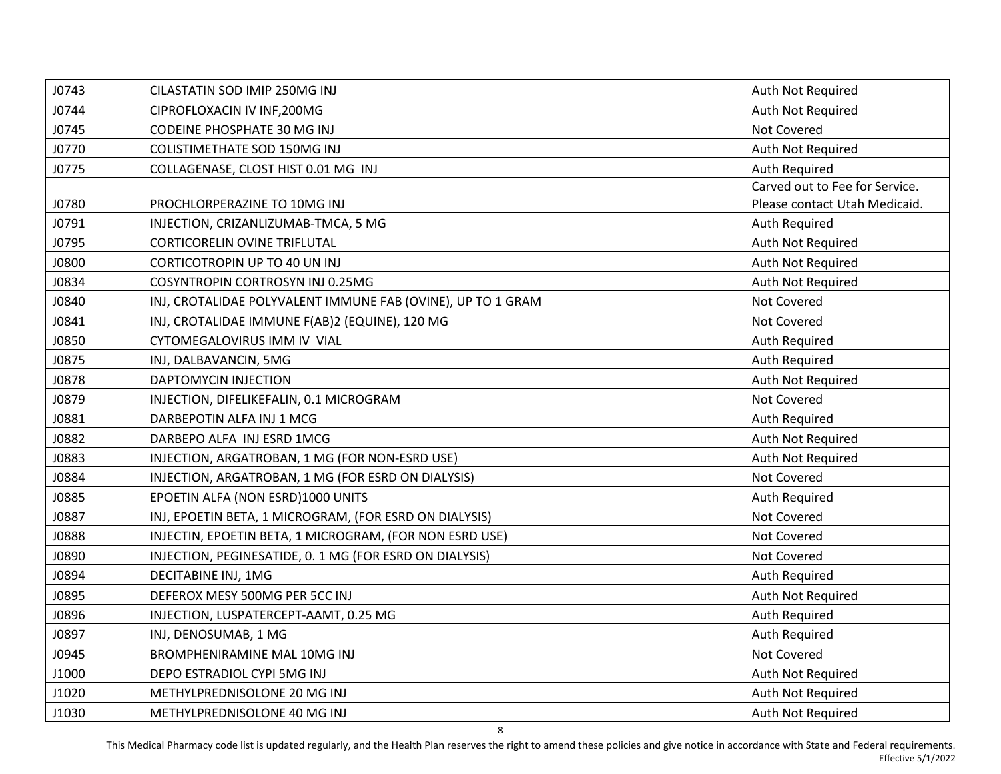| J0743        | CILASTATIN SOD IMIP 250MG INJ                               | Auth Not Required              |
|--------------|-------------------------------------------------------------|--------------------------------|
| J0744        | CIPROFLOXACIN IV INF,200MG                                  | Auth Not Required              |
| J0745        | CODEINE PHOSPHATE 30 MG INJ                                 | Not Covered                    |
| J0770        | <b>COLISTIMETHATE SOD 150MG INJ</b>                         | Auth Not Required              |
| J0775        | COLLAGENASE, CLOST HIST 0.01 MG INJ                         | Auth Required                  |
|              |                                                             | Carved out to Fee for Service. |
| J0780        | PROCHLORPERAZINE TO 10MG INJ                                | Please contact Utah Medicaid.  |
| J0791        | INJECTION, CRIZANLIZUMAB-TMCA, 5 MG                         | Auth Required                  |
| J0795        | CORTICORELIN OVINE TRIFLUTAL                                | Auth Not Required              |
| J0800        | CORTICOTROPIN UP TO 40 UN INJ                               | Auth Not Required              |
| J0834        | COSYNTROPIN CORTROSYN INJ 0.25MG                            | Auth Not Required              |
| J0840        | INJ, CROTALIDAE POLYVALENT IMMUNE FAB (OVINE), UP TO 1 GRAM | Not Covered                    |
| J0841        | INJ, CROTALIDAE IMMUNE F(AB)2 (EQUINE), 120 MG              | Not Covered                    |
| J0850        | CYTOMEGALOVIRUS IMM IV VIAL                                 | Auth Required                  |
| J0875        | INJ, DALBAVANCIN, 5MG                                       | Auth Required                  |
| <b>J0878</b> | <b>DAPTOMYCIN INJECTION</b>                                 | Auth Not Required              |
| J0879        | INJECTION, DIFELIKEFALIN, 0.1 MICROGRAM                     | Not Covered                    |
| J0881        | DARBEPOTIN ALFA INJ 1 MCG                                   | Auth Required                  |
| J0882        | DARBEPO ALFA INJ ESRD 1MCG                                  | Auth Not Required              |
| J0883        | INJECTION, ARGATROBAN, 1 MG (FOR NON-ESRD USE)              | Auth Not Required              |
| J0884        | INJECTION, ARGATROBAN, 1 MG (FOR ESRD ON DIALYSIS)          | Not Covered                    |
| J0885        | EPOETIN ALFA (NON ESRD)1000 UNITS                           | Auth Required                  |
| J0887        | INJ, EPOETIN BETA, 1 MICROGRAM, (FOR ESRD ON DIALYSIS)      | Not Covered                    |
| J0888        | INJECTIN, EPOETIN BETA, 1 MICROGRAM, (FOR NON ESRD USE)     | Not Covered                    |
| J0890        | INJECTION, PEGINESATIDE, 0. 1 MG (FOR ESRD ON DIALYSIS)     | Not Covered                    |
| J0894        | DECITABINE INJ, 1MG                                         | Auth Required                  |
| J0895        | DEFEROX MESY 500MG PER 5CC INJ                              | Auth Not Required              |
| J0896        | INJECTION, LUSPATERCEPT-AAMT, 0.25 MG                       | Auth Required                  |
| J0897        | INJ, DENOSUMAB, 1 MG                                        | Auth Required                  |
| J0945        | BROMPHENIRAMINE MAL 10MG INJ                                | Not Covered                    |
| J1000        | DEPO ESTRADIOL CYPI 5MG INJ                                 | Auth Not Required              |
| J1020        | METHYLPREDNISOLONE 20 MG INJ                                | Auth Not Required              |
| J1030        | METHYLPREDNISOLONE 40 MG INJ                                | Auth Not Required              |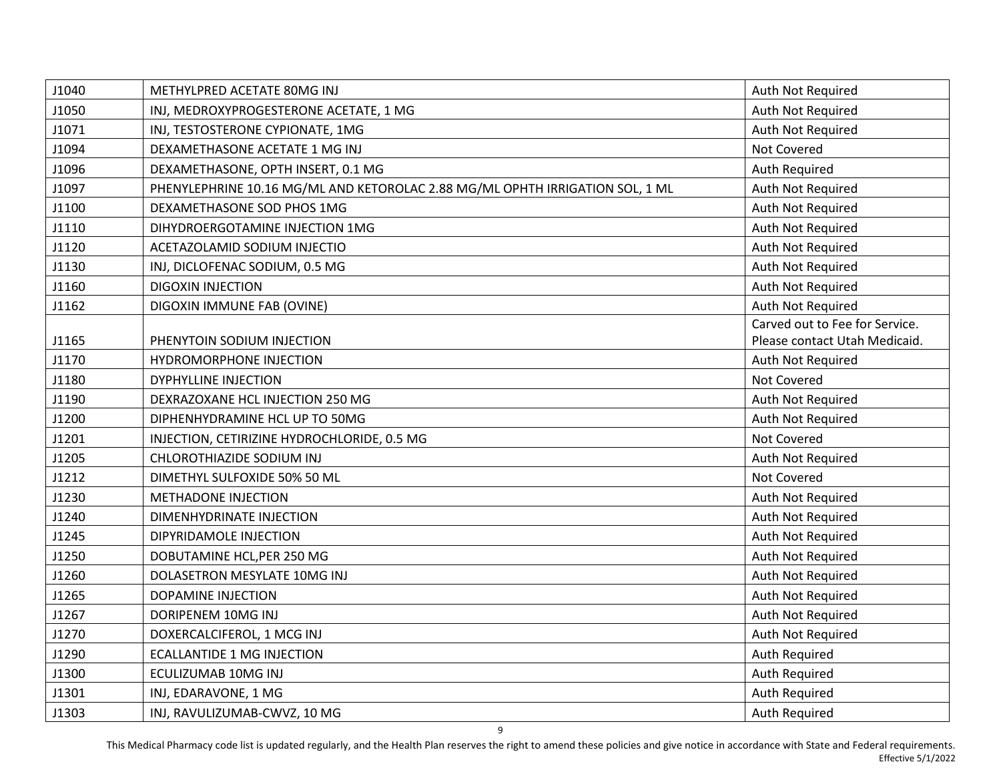| J1040 | METHYLPRED ACETATE 80MG INJ                                                   | Auth Not Required              |
|-------|-------------------------------------------------------------------------------|--------------------------------|
| J1050 | INJ, MEDROXYPROGESTERONE ACETATE, 1 MG                                        | Auth Not Required              |
| J1071 | INJ, TESTOSTERONE CYPIONATE, 1MG                                              | Auth Not Required              |
| J1094 | DEXAMETHASONE ACETATE 1 MG INJ                                                | Not Covered                    |
| J1096 | DEXAMETHASONE, OPTH INSERT, 0.1 MG                                            | Auth Required                  |
| J1097 | PHENYLEPHRINE 10.16 MG/ML AND KETOROLAC 2.88 MG/ML OPHTH IRRIGATION SOL, 1 ML | Auth Not Required              |
| J1100 | DEXAMETHASONE SOD PHOS 1MG                                                    | Auth Not Required              |
| J1110 | DIHYDROERGOTAMINE INJECTION 1MG                                               | Auth Not Required              |
| J1120 | ACETAZOLAMID SODIUM INJECTIO                                                  | Auth Not Required              |
| J1130 | INJ, DICLOFENAC SODIUM, 0.5 MG                                                | Auth Not Required              |
| J1160 | <b>DIGOXIN INJECTION</b>                                                      | Auth Not Required              |
| J1162 | DIGOXIN IMMUNE FAB (OVINE)                                                    | Auth Not Required              |
|       |                                                                               | Carved out to Fee for Service. |
| J1165 | PHENYTOIN SODIUM INJECTION                                                    | Please contact Utah Medicaid.  |
| J1170 | <b>HYDROMORPHONE INJECTION</b>                                                | Auth Not Required              |
| J1180 | <b>DYPHYLLINE INJECTION</b>                                                   | Not Covered                    |
| J1190 | DEXRAZOXANE HCL INJECTION 250 MG                                              | Auth Not Required              |
| J1200 | DIPHENHYDRAMINE HCL UP TO 50MG                                                | Auth Not Required              |
| J1201 | INJECTION, CETIRIZINE HYDROCHLORIDE, 0.5 MG                                   | Not Covered                    |
| J1205 | CHLOROTHIAZIDE SODIUM INJ                                                     | Auth Not Required              |
| J1212 | DIMETHYL SULFOXIDE 50% 50 ML                                                  | Not Covered                    |
| J1230 | <b>METHADONE INJECTION</b>                                                    | Auth Not Required              |
| J1240 | DIMENHYDRINATE INJECTION                                                      | Auth Not Required              |
| J1245 | DIPYRIDAMOLE INJECTION                                                        | Auth Not Required              |
| J1250 | DOBUTAMINE HCL, PER 250 MG                                                    | Auth Not Required              |
| J1260 | DOLASETRON MESYLATE 10MG INJ                                                  | Auth Not Required              |
| J1265 | <b>DOPAMINE INJECTION</b>                                                     | Auth Not Required              |
| J1267 | DORIPENEM 10MG INJ                                                            | Auth Not Required              |
| J1270 | DOXERCALCIFEROL, 1 MCG INJ                                                    | Auth Not Required              |
| J1290 | <b>ECALLANTIDE 1 MG INJECTION</b>                                             | Auth Required                  |
| J1300 | ECULIZUMAB 10MG INJ                                                           | Auth Required                  |
| J1301 | INJ, EDARAVONE, 1 MG                                                          | Auth Required                  |
| J1303 | INJ, RAVULIZUMAB-CWVZ, 10 MG                                                  | Auth Required                  |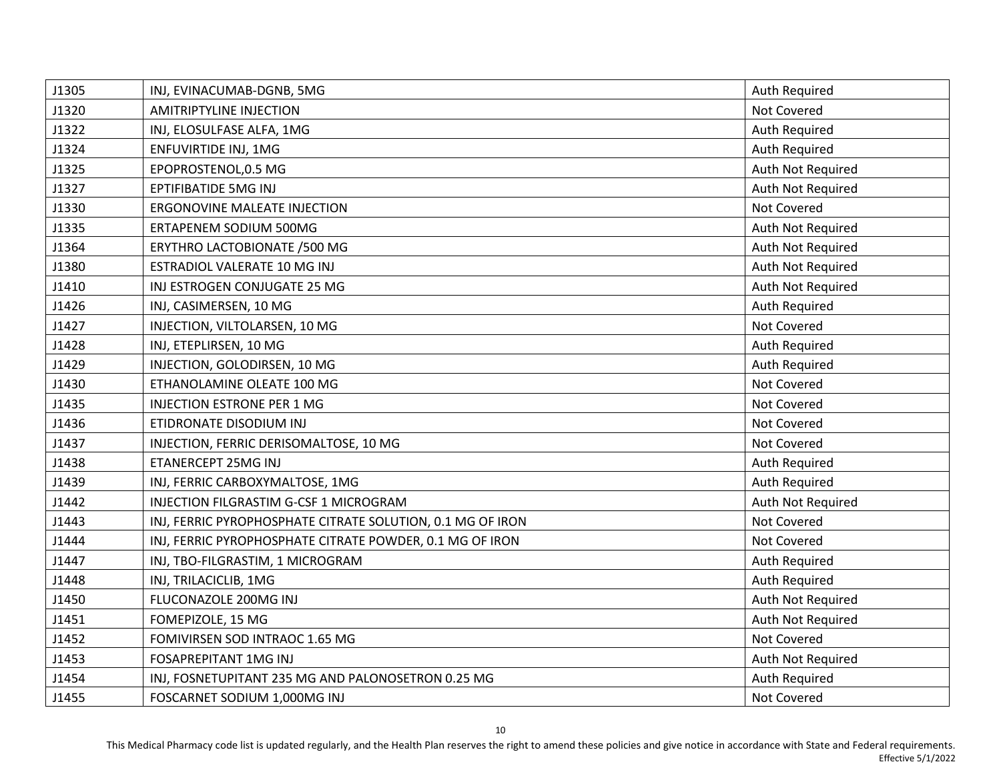| J1305 | INJ, EVINACUMAB-DGNB, 5MG                                  | Auth Required     |
|-------|------------------------------------------------------------|-------------------|
| J1320 | <b>AMITRIPTYLINE INJECTION</b>                             | Not Covered       |
| J1322 | INJ, ELOSULFASE ALFA, 1MG                                  | Auth Required     |
| J1324 | ENFUVIRTIDE INJ, 1MG                                       | Auth Required     |
| J1325 | EPOPROSTENOL, 0.5 MG                                       | Auth Not Required |
| J1327 | EPTIFIBATIDE 5MG INJ                                       | Auth Not Required |
| J1330 | ERGONOVINE MALEATE INJECTION                               | Not Covered       |
| J1335 | ERTAPENEM SODIUM 500MG                                     | Auth Not Required |
| J1364 | ERYTHRO LACTOBIONATE /500 MG                               | Auth Not Required |
| J1380 | ESTRADIOL VALERATE 10 MG INJ                               | Auth Not Required |
| J1410 | INJ ESTROGEN CONJUGATE 25 MG                               | Auth Not Required |
| J1426 | INJ, CASIMERSEN, 10 MG                                     | Auth Required     |
| J1427 | INJECTION, VILTOLARSEN, 10 MG                              | Not Covered       |
| J1428 | INJ, ETEPLIRSEN, 10 MG                                     | Auth Required     |
| J1429 | INJECTION, GOLODIRSEN, 10 MG                               | Auth Required     |
| J1430 | ETHANOLAMINE OLEATE 100 MG                                 | Not Covered       |
| J1435 | <b>INJECTION ESTRONE PER 1 MG</b>                          | Not Covered       |
| J1436 | ETIDRONATE DISODIUM INJ                                    | Not Covered       |
| J1437 | INJECTION, FERRIC DERISOMALTOSE, 10 MG                     | Not Covered       |
| J1438 | ETANERCEPT 25MG INJ                                        | Auth Required     |
| J1439 | INJ, FERRIC CARBOXYMALTOSE, 1MG                            | Auth Required     |
| J1442 | INJECTION FILGRASTIM G-CSF 1 MICROGRAM                     | Auth Not Required |
| J1443 | INJ, FERRIC PYROPHOSPHATE CITRATE SOLUTION, 0.1 MG OF IRON | Not Covered       |
| J1444 | INJ, FERRIC PYROPHOSPHATE CITRATE POWDER, 0.1 MG OF IRON   | Not Covered       |
| J1447 | INJ, TBO-FILGRASTIM, 1 MICROGRAM                           | Auth Required     |
| J1448 | INJ, TRILACICLIB, 1MG                                      | Auth Required     |
| J1450 | FLUCONAZOLE 200MG INJ                                      | Auth Not Required |
| J1451 | FOMEPIZOLE, 15 MG                                          | Auth Not Required |
| J1452 | FOMIVIRSEN SOD INTRAOC 1.65 MG                             | Not Covered       |
| J1453 | <b>FOSAPREPITANT 1MG INJ</b>                               | Auth Not Required |
| J1454 | INJ, FOSNETUPITANT 235 MG AND PALONOSETRON 0.25 MG         | Auth Required     |
| J1455 | FOSCARNET SODIUM 1,000MG INJ                               | Not Covered       |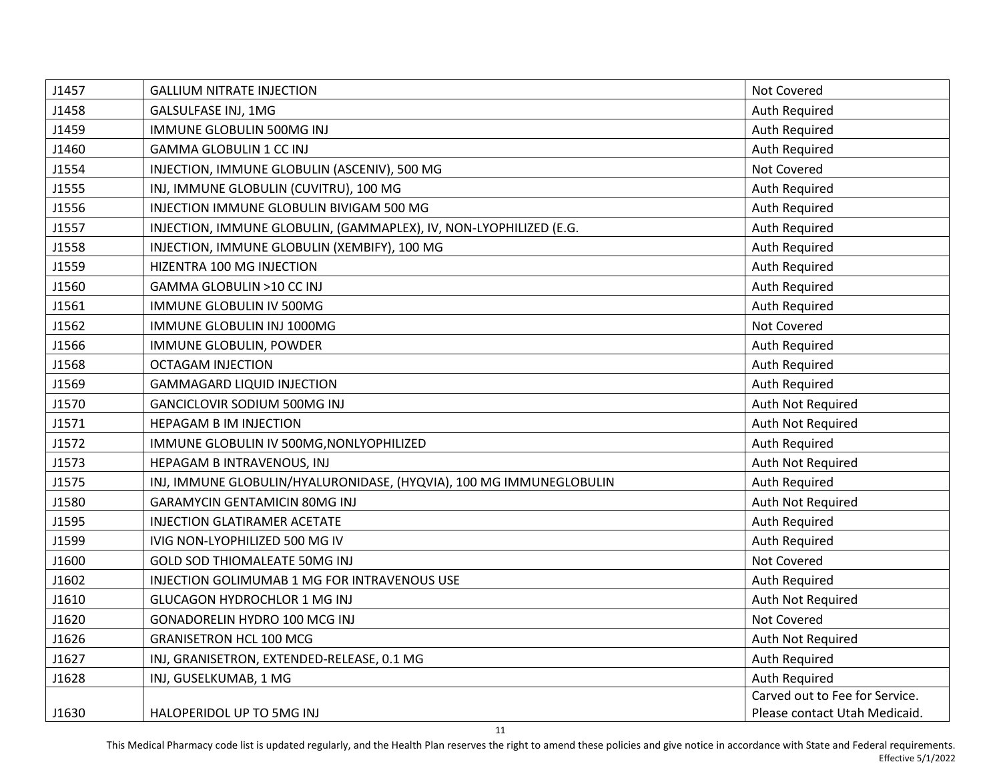| J1457 | <b>GALLIUM NITRATE INJECTION</b>                                    | Not Covered                    |
|-------|---------------------------------------------------------------------|--------------------------------|
| J1458 | GALSULFASE INJ, 1MG                                                 | Auth Required                  |
| J1459 | IMMUNE GLOBULIN 500MG INJ                                           | Auth Required                  |
| J1460 | <b>GAMMA GLOBULIN 1 CC INJ</b>                                      | Auth Required                  |
| J1554 | INJECTION, IMMUNE GLOBULIN (ASCENIV), 500 MG                        | Not Covered                    |
| J1555 | INJ, IMMUNE GLOBULIN (CUVITRU), 100 MG                              | Auth Required                  |
| J1556 | INJECTION IMMUNE GLOBULIN BIVIGAM 500 MG                            | Auth Required                  |
| J1557 | INJECTION, IMMUNE GLOBULIN, (GAMMAPLEX), IV, NON-LYOPHILIZED (E.G.  | Auth Required                  |
| J1558 | INJECTION, IMMUNE GLOBULIN (XEMBIFY), 100 MG                        | Auth Required                  |
| J1559 | HIZENTRA 100 MG INJECTION                                           | Auth Required                  |
| J1560 | GAMMA GLOBULIN >10 CC INJ                                           | Auth Required                  |
| J1561 | IMMUNE GLOBULIN IV 500MG                                            | Auth Required                  |
| J1562 | IMMUNE GLOBULIN INJ 1000MG                                          | Not Covered                    |
| J1566 | IMMUNE GLOBULIN, POWDER                                             | Auth Required                  |
| J1568 | <b>OCTAGAM INJECTION</b>                                            | Auth Required                  |
| J1569 | <b>GAMMAGARD LIQUID INJECTION</b>                                   | Auth Required                  |
| J1570 | GANCICLOVIR SODIUM 500MG INJ                                        | Auth Not Required              |
| J1571 | <b>HEPAGAM B IM INJECTION</b>                                       | Auth Not Required              |
| J1572 | IMMUNE GLOBULIN IV 500MG, NONLYOPHILIZED                            | Auth Required                  |
| J1573 | HEPAGAM B INTRAVENOUS, INJ                                          | Auth Not Required              |
| J1575 | INJ, IMMUNE GLOBULIN/HYALURONIDASE, (HYQVIA), 100 MG IMMUNEGLOBULIN | Auth Required                  |
| J1580 | <b>GARAMYCIN GENTAMICIN 80MG INJ</b>                                | Auth Not Required              |
| J1595 | <b>INJECTION GLATIRAMER ACETATE</b>                                 | Auth Required                  |
| J1599 | IVIG NON-LYOPHILIZED 500 MG IV                                      | Auth Required                  |
| J1600 | <b>GOLD SOD THIOMALEATE 50MG INJ</b>                                | Not Covered                    |
| J1602 | INJECTION GOLIMUMAB 1 MG FOR INTRAVENOUS USE                        | Auth Required                  |
| J1610 | <b>GLUCAGON HYDROCHLOR 1 MG INJ</b>                                 | Auth Not Required              |
| J1620 | GONADORELIN HYDRO 100 MCG INJ                                       | Not Covered                    |
| J1626 | <b>GRANISETRON HCL 100 MCG</b>                                      | Auth Not Required              |
| J1627 | INJ, GRANISETRON, EXTENDED-RELEASE, 0.1 MG                          | Auth Required                  |
| J1628 | INJ, GUSELKUMAB, 1 MG                                               | Auth Required                  |
|       |                                                                     | Carved out to Fee for Service. |
| J1630 | HALOPERIDOL UP TO 5MG INJ                                           | Please contact Utah Medicaid.  |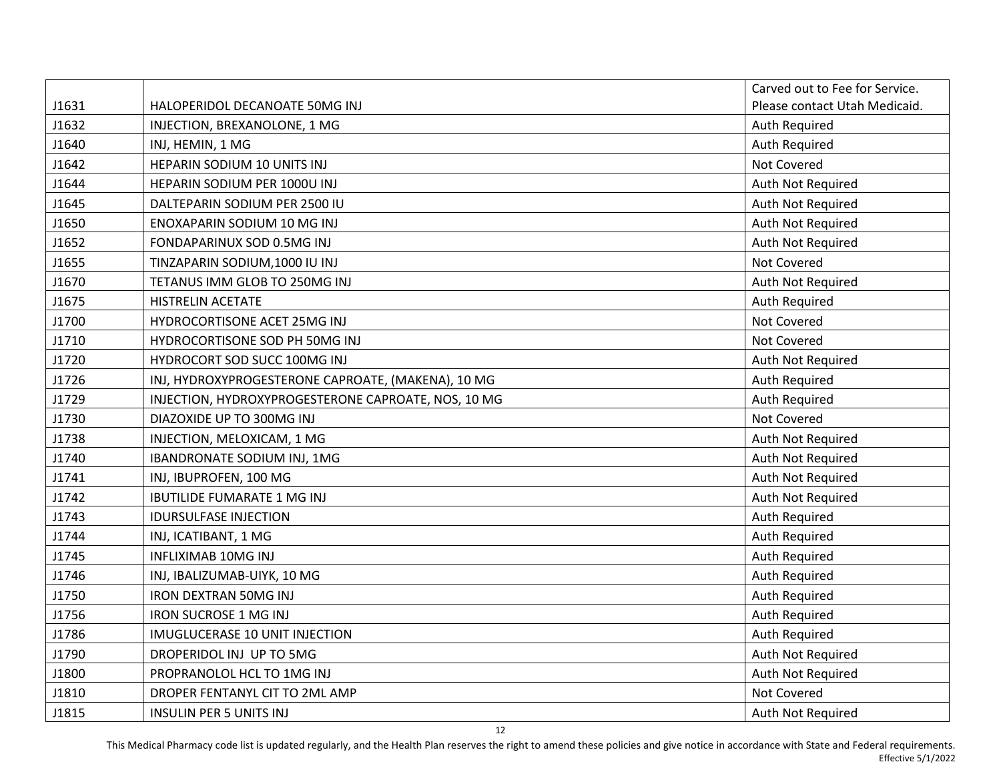|       |                                                     | Carved out to Fee for Service. |
|-------|-----------------------------------------------------|--------------------------------|
| J1631 | HALOPERIDOL DECANOATE 50MG INJ                      | Please contact Utah Medicaid.  |
| J1632 | INJECTION, BREXANOLONE, 1 MG                        | <b>Auth Required</b>           |
| J1640 | INJ, HEMIN, 1 MG                                    | Auth Required                  |
| J1642 | HEPARIN SODIUM 10 UNITS INJ                         | Not Covered                    |
| J1644 | HEPARIN SODIUM PER 1000U INJ                        | Auth Not Required              |
| J1645 | DALTEPARIN SODIUM PER 2500 IU                       | Auth Not Required              |
| J1650 | ENOXAPARIN SODIUM 10 MG INJ                         | Auth Not Required              |
| J1652 | FONDAPARINUX SOD 0.5MG INJ                          | Auth Not Required              |
| J1655 | TINZAPARIN SODIUM, 1000 IU INJ                      | Not Covered                    |
| J1670 | TETANUS IMM GLOB TO 250MG INJ                       | Auth Not Required              |
| J1675 | <b>HISTRELIN ACETATE</b>                            | Auth Required                  |
| J1700 | HYDROCORTISONE ACET 25MG INJ                        | Not Covered                    |
| J1710 | HYDROCORTISONE SOD PH 50MG INJ                      | Not Covered                    |
| J1720 | HYDROCORT SOD SUCC 100MG INJ                        | Auth Not Required              |
| J1726 | INJ, HYDROXYPROGESTERONE CAPROATE, (MAKENA), 10 MG  | Auth Required                  |
| J1729 | INJECTION, HYDROXYPROGESTERONE CAPROATE, NOS, 10 MG | <b>Auth Required</b>           |
| J1730 | DIAZOXIDE UP TO 300MG INJ                           | Not Covered                    |
| J1738 | INJECTION, MELOXICAM, 1 MG                          | Auth Not Required              |
| J1740 | IBANDRONATE SODIUM INJ, 1MG                         | Auth Not Required              |
| J1741 | INJ, IBUPROFEN, 100 MG                              | Auth Not Required              |
| J1742 | <b>IBUTILIDE FUMARATE 1 MG INJ</b>                  | Auth Not Required              |
| J1743 | <b>IDURSULFASE INJECTION</b>                        | Auth Required                  |
| J1744 | INJ, ICATIBANT, 1 MG                                | Auth Required                  |
| J1745 | <b>INFLIXIMAB 10MG INJ</b>                          | Auth Required                  |
| J1746 | INJ, IBALIZUMAB-UIYK, 10 MG                         | Auth Required                  |
| J1750 | <b>IRON DEXTRAN 50MG INJ</b>                        | Auth Required                  |
| J1756 | <b>IRON SUCROSE 1 MG INJ</b>                        | Auth Required                  |
| J1786 | IMUGLUCERASE 10 UNIT INJECTION                      | <b>Auth Required</b>           |
| J1790 | DROPERIDOL INJ UP TO 5MG                            | Auth Not Required              |
| J1800 | PROPRANOLOL HCL TO 1MG INJ                          | Auth Not Required              |
| J1810 | DROPER FENTANYL CIT TO 2ML AMP                      | Not Covered                    |
| J1815 | <b>INSULIN PER 5 UNITS INJ</b>                      | Auth Not Required              |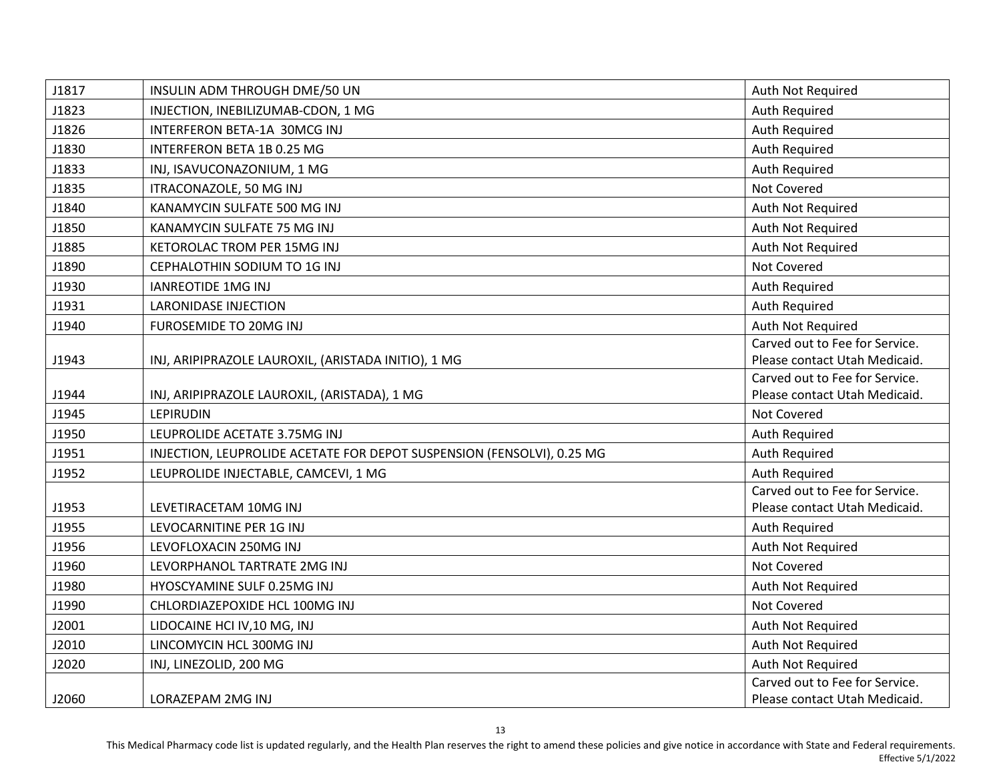| J1817 | INSULIN ADM THROUGH DME/50 UN                                          | Auth Not Required              |
|-------|------------------------------------------------------------------------|--------------------------------|
| J1823 | INJECTION, INEBILIZUMAB-CDON, 1 MG                                     | Auth Required                  |
| J1826 | INTERFERON BETA-1A 30MCG INJ                                           | Auth Required                  |
| J1830 | INTERFERON BETA 1B 0.25 MG                                             | Auth Required                  |
| J1833 | INJ, ISAVUCONAZONIUM, 1 MG                                             | Auth Required                  |
| J1835 | ITRACONAZOLE, 50 MG INJ                                                | Not Covered                    |
| J1840 | KANAMYCIN SULFATE 500 MG INJ                                           | Auth Not Required              |
| J1850 | KANAMYCIN SULFATE 75 MG INJ                                            | Auth Not Required              |
| J1885 | KETOROLAC TROM PER 15MG INJ                                            | Auth Not Required              |
| J1890 | CEPHALOTHIN SODIUM TO 1G INJ                                           | Not Covered                    |
| J1930 | <b>IANREOTIDE 1MG INJ</b>                                              | Auth Required                  |
| J1931 | <b>LARONIDASE INJECTION</b>                                            | Auth Required                  |
| J1940 | FUROSEMIDE TO 20MG INJ                                                 | Auth Not Required              |
|       |                                                                        | Carved out to Fee for Service. |
| J1943 | INJ, ARIPIPRAZOLE LAUROXIL, (ARISTADA INITIO), 1 MG                    | Please contact Utah Medicaid.  |
|       |                                                                        | Carved out to Fee for Service. |
| J1944 | INJ, ARIPIPRAZOLE LAUROXIL, (ARISTADA), 1 MG                           | Please contact Utah Medicaid.  |
| J1945 | <b>LEPIRUDIN</b>                                                       | Not Covered                    |
| J1950 | LEUPROLIDE ACETATE 3.75MG INJ                                          | Auth Required                  |
| J1951 | INJECTION, LEUPROLIDE ACETATE FOR DEPOT SUSPENSION (FENSOLVI), 0.25 MG | Auth Required                  |
| J1952 | LEUPROLIDE INJECTABLE, CAMCEVI, 1 MG                                   | Auth Required                  |
|       |                                                                        | Carved out to Fee for Service. |
| J1953 | LEVETIRACETAM 10MG INJ                                                 | Please contact Utah Medicaid.  |
| J1955 | LEVOCARNITINE PER 1G INJ                                               | Auth Required                  |
| J1956 | LEVOFLOXACIN 250MG INJ                                                 | Auth Not Required              |
| J1960 | LEVORPHANOL TARTRATE 2MG INJ                                           | Not Covered                    |
| J1980 | HYOSCYAMINE SULF 0.25MG INJ                                            | Auth Not Required              |
| J1990 | CHLORDIAZEPOXIDE HCL 100MG INJ                                         | <b>Not Covered</b>             |
| J2001 | LIDOCAINE HCI IV, 10 MG, INJ                                           | Auth Not Required              |
| J2010 | LINCOMYCIN HCL 300MG INJ                                               | Auth Not Required              |
| J2020 | INJ, LINEZOLID, 200 MG                                                 | Auth Not Required              |
|       |                                                                        | Carved out to Fee for Service. |
| J2060 | LORAZEPAM 2MG INJ                                                      | Please contact Utah Medicaid.  |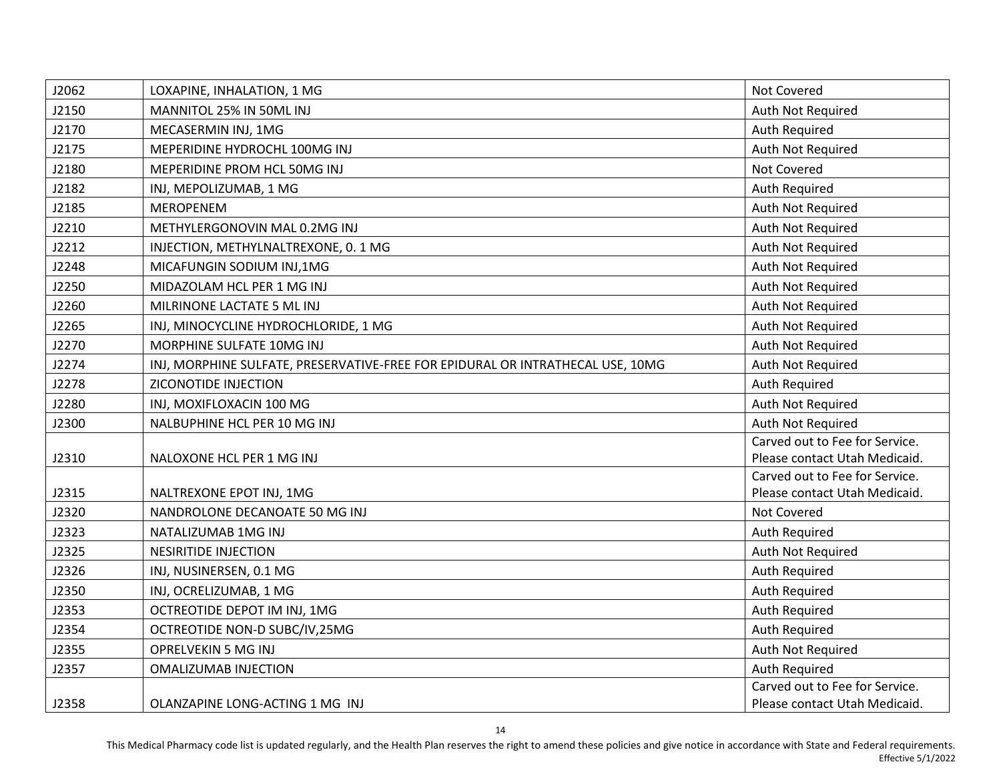| J2062 | LOXAPINE, INHALATION, 1 MG                                                     | Not Covered                    |
|-------|--------------------------------------------------------------------------------|--------------------------------|
| J2150 | MANNITOL 25% IN 50ML INJ                                                       | Auth Not Required              |
| J2170 | MECASERMIN INJ, 1MG                                                            | Auth Required                  |
| J2175 | MEPERIDINE HYDROCHL 100MG INJ                                                  | Auth Not Required              |
| J2180 | MEPERIDINE PROM HCL 50MG INJ                                                   | Not Covered                    |
| J2182 | INJ, MEPOLIZUMAB, 1 MG                                                         | Auth Required                  |
| J2185 | <b>MEROPENEM</b>                                                               | Auth Not Required              |
| J2210 | METHYLERGONOVIN MAL 0.2MG INJ                                                  | Auth Not Required              |
| J2212 | INJECTION, METHYLNALTREXONE, 0.1 MG                                            | Auth Not Required              |
| J2248 | MICAFUNGIN SODIUM INJ,1MG                                                      | Auth Not Required              |
| J2250 | MIDAZOLAM HCL PER 1 MG INJ                                                     | Auth Not Required              |
| J2260 | MILRINONE LACTATE 5 ML INJ                                                     | Auth Not Required              |
| J2265 | INJ, MINOCYCLINE HYDROCHLORIDE, 1 MG                                           | Auth Not Required              |
| J2270 | MORPHINE SULFATE 10MG INJ                                                      | Auth Not Required              |
| J2274 | INJ, MORPHINE SULFATE, PRESERVATIVE-FREE FOR EPIDURAL OR INTRATHECAL USE, 10MG | Auth Not Required              |
| J2278 | ZICONOTIDE INJECTION                                                           | Auth Required                  |
| J2280 | INJ, MOXIFLOXACIN 100 MG                                                       | Auth Not Required              |
| J2300 | NALBUPHINE HCL PER 10 MG INJ                                                   | Auth Not Required              |
|       |                                                                                | Carved out to Fee for Service. |
| J2310 | NALOXONE HCL PER 1 MG INJ                                                      | Please contact Utah Medicaid.  |
|       |                                                                                | Carved out to Fee for Service. |
| J2315 | NALTREXONE EPOT INJ, 1MG                                                       | Please contact Utah Medicaid.  |
| J2320 | NANDROLONE DECANOATE 50 MG INJ                                                 | Not Covered                    |
| J2323 | NATALIZUMAB 1MG INJ                                                            | Auth Required                  |
| J2325 | <b>NESIRITIDE INJECTION</b>                                                    | Auth Not Required              |
| J2326 | INJ, NUSINERSEN, 0.1 MG                                                        | Auth Required                  |
| J2350 | INJ, OCRELIZUMAB, 1 MG                                                         | Auth Required                  |
| J2353 | OCTREOTIDE DEPOT IM INJ, 1MG                                                   | Auth Required                  |
| J2354 | OCTREOTIDE NON-D SUBC/IV,25MG                                                  | Auth Required                  |
| J2355 | OPRELVEKIN 5 MG INJ                                                            | Auth Not Required              |
| J2357 | <b>OMALIZUMAB INJECTION</b>                                                    | Auth Required                  |
|       |                                                                                | Carved out to Fee for Service. |
| J2358 | OLANZAPINE LONG-ACTING 1 MG INJ                                                | Please contact Utah Medicaid.  |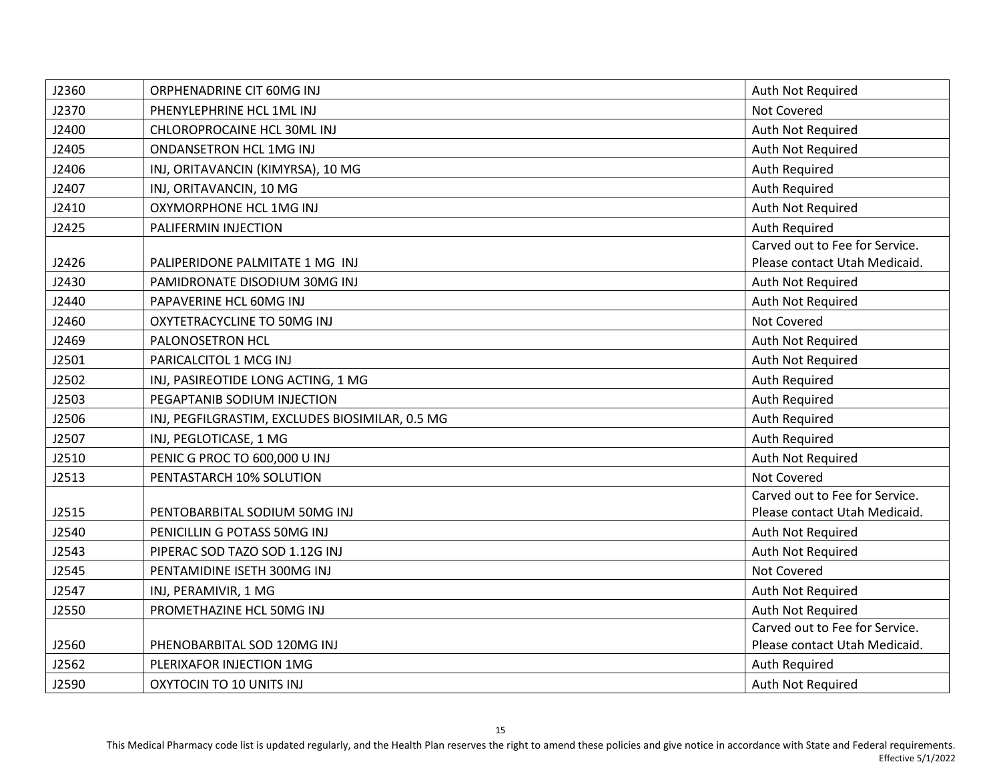| J2360 | ORPHENADRINE CIT 60MG INJ                       | Auth Not Required              |
|-------|-------------------------------------------------|--------------------------------|
| J2370 | PHENYLEPHRINE HCL 1ML INJ                       | Not Covered                    |
| J2400 | CHLOROPROCAINE HCL 30ML INJ                     | Auth Not Required              |
| J2405 | ONDANSETRON HCL 1MG INJ                         | Auth Not Required              |
| J2406 | INJ, ORITAVANCIN (KIMYRSA), 10 MG               | Auth Required                  |
| J2407 | INJ, ORITAVANCIN, 10 MG                         | Auth Required                  |
| J2410 | OXYMORPHONE HCL 1MG INJ                         | Auth Not Required              |
| J2425 | PALIFERMIN INJECTION                            | Auth Required                  |
|       |                                                 | Carved out to Fee for Service. |
| J2426 | PALIPERIDONE PALMITATE 1 MG INJ                 | Please contact Utah Medicaid.  |
| J2430 | PAMIDRONATE DISODIUM 30MG INJ                   | Auth Not Required              |
| J2440 | PAPAVERINE HCL 60MG INJ                         | Auth Not Required              |
| J2460 | OXYTETRACYCLINE TO 50MG INJ                     | <b>Not Covered</b>             |
| J2469 | PALONOSETRON HCL                                | Auth Not Required              |
| J2501 | PARICALCITOL 1 MCG INJ                          | Auth Not Required              |
| J2502 | INJ, PASIREOTIDE LONG ACTING, 1 MG              | Auth Required                  |
| J2503 | PEGAPTANIB SODIUM INJECTION                     | Auth Required                  |
| J2506 | INJ, PEGFILGRASTIM, EXCLUDES BIOSIMILAR, 0.5 MG | Auth Required                  |
| J2507 | INJ, PEGLOTICASE, 1 MG                          | Auth Required                  |
| J2510 | PENIC G PROC TO 600,000 U INJ                   | Auth Not Required              |
| J2513 | PENTASTARCH 10% SOLUTION                        | <b>Not Covered</b>             |
|       |                                                 | Carved out to Fee for Service. |
| J2515 | PENTOBARBITAL SODIUM 50MG INJ                   | Please contact Utah Medicaid.  |
| J2540 | PENICILLIN G POTASS 50MG INJ                    | Auth Not Required              |
| J2543 | PIPERAC SOD TAZO SOD 1.12G INJ                  | Auth Not Required              |
| J2545 | PENTAMIDINE ISETH 300MG INJ                     | <b>Not Covered</b>             |
| J2547 | INJ, PERAMIVIR, 1 MG                            | Auth Not Required              |
| J2550 | PROMETHAZINE HCL 50MG INJ                       | Auth Not Required              |
|       |                                                 | Carved out to Fee for Service. |
| J2560 | PHENOBARBITAL SOD 120MG INJ                     | Please contact Utah Medicaid.  |
| J2562 | PLERIXAFOR INJECTION 1MG                        | Auth Required                  |
| J2590 | <b>OXYTOCIN TO 10 UNITS INJ</b>                 | Auth Not Required              |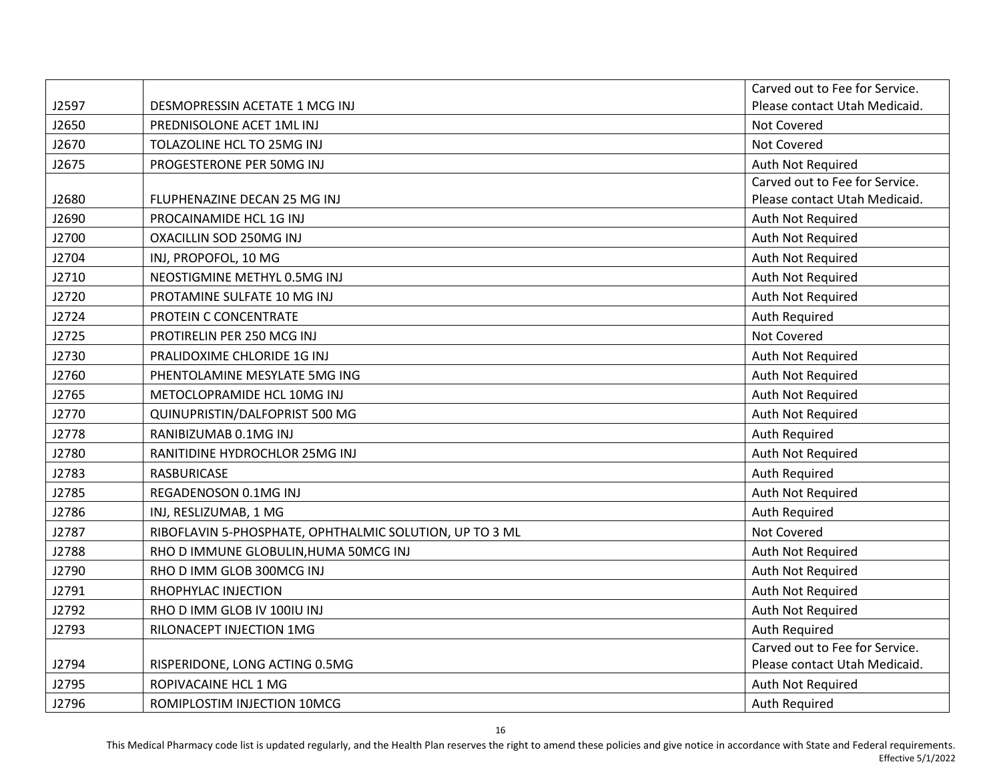|       |                                                         | Carved out to Fee for Service. |
|-------|---------------------------------------------------------|--------------------------------|
| J2597 | DESMOPRESSIN ACETATE 1 MCG INJ                          | Please contact Utah Medicaid.  |
| J2650 | PREDNISOLONE ACET 1ML INJ                               | Not Covered                    |
| J2670 | TOLAZOLINE HCL TO 25MG INJ                              | Not Covered                    |
| J2675 | PROGESTERONE PER 50MG INJ                               | Auth Not Required              |
|       |                                                         | Carved out to Fee for Service. |
| J2680 | FLUPHENAZINE DECAN 25 MG INJ                            | Please contact Utah Medicaid.  |
| J2690 | PROCAINAMIDE HCL 1G INJ                                 | Auth Not Required              |
| J2700 | OXACILLIN SOD 250MG INJ                                 | Auth Not Required              |
| J2704 | INJ, PROPOFOL, 10 MG                                    | Auth Not Required              |
| J2710 | NEOSTIGMINE METHYL 0.5MG INJ                            | Auth Not Required              |
| J2720 | PROTAMINE SULFATE 10 MG INJ                             | Auth Not Required              |
| J2724 | PROTEIN C CONCENTRATE                                   | Auth Required                  |
| J2725 | PROTIRELIN PER 250 MCG INJ                              | Not Covered                    |
| J2730 | PRALIDOXIME CHLORIDE 1G INJ                             | Auth Not Required              |
| J2760 | PHENTOLAMINE MESYLATE 5MG ING                           | Auth Not Required              |
| J2765 | METOCLOPRAMIDE HCL 10MG INJ                             | Auth Not Required              |
| J2770 | QUINUPRISTIN/DALFOPRIST 500 MG                          | Auth Not Required              |
| J2778 | RANIBIZUMAB 0.1MG INJ                                   | Auth Required                  |
| J2780 | RANITIDINE HYDROCHLOR 25MG INJ                          | Auth Not Required              |
| J2783 | <b>RASBURICASE</b>                                      | Auth Required                  |
| J2785 | REGADENOSON 0.1MG INJ                                   | Auth Not Required              |
| J2786 | INJ, RESLIZUMAB, 1 MG                                   | Auth Required                  |
| J2787 | RIBOFLAVIN 5-PHOSPHATE, OPHTHALMIC SOLUTION, UP TO 3 ML | <b>Not Covered</b>             |
| J2788 | RHO D IMMUNE GLOBULIN, HUMA 50MCG INJ                   | Auth Not Required              |
| J2790 | RHO D IMM GLOB 300MCG INJ                               | Auth Not Required              |
| J2791 | RHOPHYLAC INJECTION                                     | Auth Not Required              |
| J2792 | RHO D IMM GLOB IV 100IU INJ                             | Auth Not Required              |
| J2793 | RILONACEPT INJECTION 1MG                                | Auth Required                  |
|       |                                                         | Carved out to Fee for Service. |
| J2794 | RISPERIDONE, LONG ACTING 0.5MG                          | Please contact Utah Medicaid.  |
| J2795 | ROPIVACAINE HCL 1 MG                                    | Auth Not Required              |
| J2796 | ROMIPLOSTIM INJECTION 10MCG                             | Auth Required                  |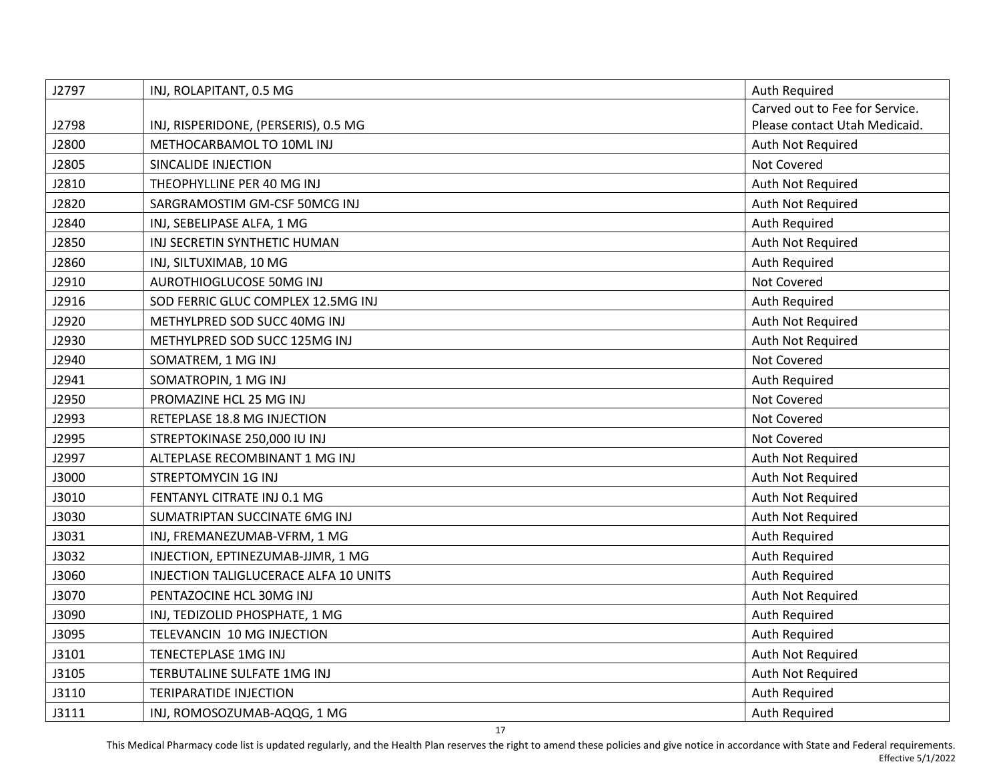| J2797 | INJ, ROLAPITANT, 0.5 MG               | Auth Required                  |
|-------|---------------------------------------|--------------------------------|
|       |                                       | Carved out to Fee for Service. |
| J2798 | INJ, RISPERIDONE, (PERSERIS), 0.5 MG  | Please contact Utah Medicaid.  |
| J2800 | METHOCARBAMOL TO 10ML INJ             | Auth Not Required              |
| J2805 | SINCALIDE INJECTION                   | Not Covered                    |
| J2810 | THEOPHYLLINE PER 40 MG INJ            | Auth Not Required              |
| J2820 | SARGRAMOSTIM GM-CSF 50MCG INJ         | Auth Not Required              |
| J2840 | INJ, SEBELIPASE ALFA, 1 MG            | Auth Required                  |
| J2850 | INJ SECRETIN SYNTHETIC HUMAN          | Auth Not Required              |
| J2860 | INJ, SILTUXIMAB, 10 MG                | Auth Required                  |
| J2910 | AUROTHIOGLUCOSE 50MG INJ              | Not Covered                    |
| J2916 | SOD FERRIC GLUC COMPLEX 12.5MG INJ    | Auth Required                  |
| J2920 | METHYLPRED SOD SUCC 40MG INJ          | Auth Not Required              |
| J2930 | METHYLPRED SOD SUCC 125MG INJ         | Auth Not Required              |
| J2940 | SOMATREM, 1 MG INJ                    | Not Covered                    |
| J2941 | SOMATROPIN, 1 MG INJ                  | Auth Required                  |
| J2950 | PROMAZINE HCL 25 MG INJ               | Not Covered                    |
| J2993 | RETEPLASE 18.8 MG INJECTION           | Not Covered                    |
| J2995 | STREPTOKINASE 250,000 IU INJ          | Not Covered                    |
| J2997 | ALTEPLASE RECOMBINANT 1 MG INJ        | Auth Not Required              |
| J3000 | <b>STREPTOMYCIN 1G INJ</b>            | Auth Not Required              |
| J3010 | FENTANYL CITRATE INJ 0.1 MG           | Auth Not Required              |
| J3030 | SUMATRIPTAN SUCCINATE 6MG INJ         | Auth Not Required              |
| J3031 | INJ, FREMANEZUMAB-VFRM, 1 MG          | Auth Required                  |
| J3032 | INJECTION, EPTINEZUMAB-JJMR, 1 MG     | Auth Required                  |
| J3060 | INJECTION TALIGLUCERACE ALFA 10 UNITS | Auth Required                  |
| J3070 | PENTAZOCINE HCL 30MG INJ              | Auth Not Required              |
| J3090 | INJ, TEDIZOLID PHOSPHATE, 1 MG        | <b>Auth Required</b>           |
| J3095 | TELEVANCIN 10 MG INJECTION            | Auth Required                  |
| J3101 | TENECTEPLASE 1MG INJ                  | Auth Not Required              |
| J3105 | TERBUTALINE SULFATE 1MG INJ           | Auth Not Required              |
| J3110 | <b>TERIPARATIDE INJECTION</b>         | Auth Required                  |
| J3111 | INJ, ROMOSOZUMAB-AQQG, 1 MG           | Auth Required                  |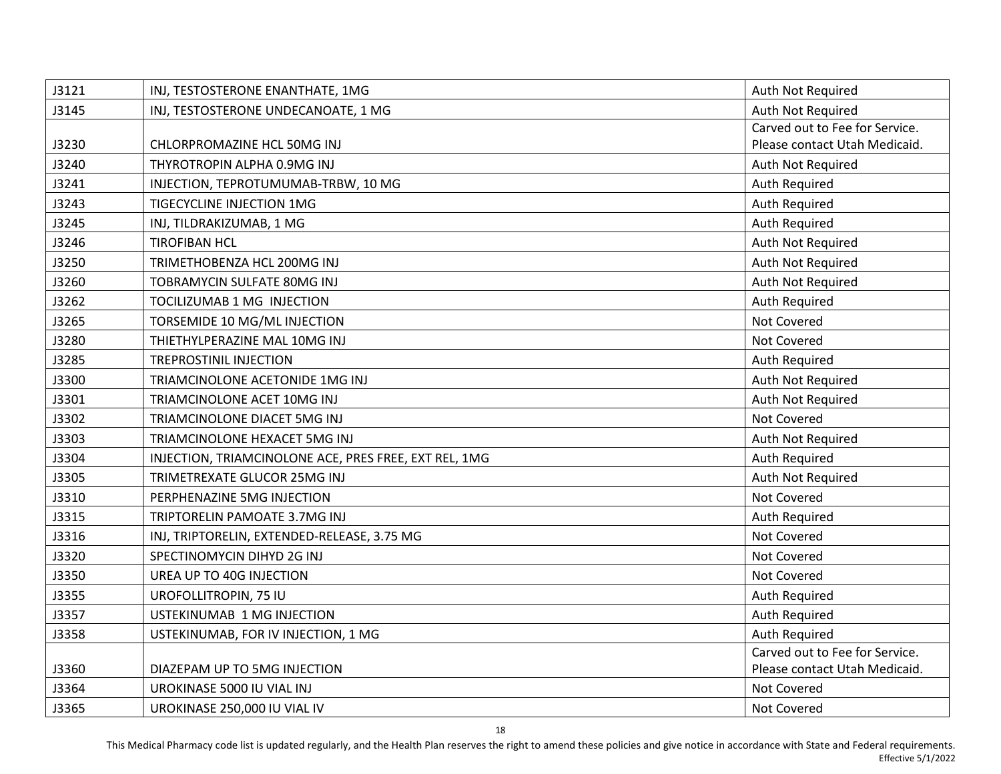| J3121 | INJ, TESTOSTERONE ENANTHATE, 1MG                      | Auth Not Required              |
|-------|-------------------------------------------------------|--------------------------------|
| J3145 | INJ, TESTOSTERONE UNDECANOATE, 1 MG                   | Auth Not Required              |
|       |                                                       | Carved out to Fee for Service. |
| J3230 | CHLORPROMAZINE HCL 50MG INJ                           | Please contact Utah Medicaid.  |
| J3240 | THYROTROPIN ALPHA 0.9MG INJ                           | Auth Not Required              |
| J3241 | INJECTION, TEPROTUMUMAB-TRBW, 10 MG                   | Auth Required                  |
| J3243 | TIGECYCLINE INJECTION 1MG                             | Auth Required                  |
| J3245 | INJ, TILDRAKIZUMAB, 1 MG                              | Auth Required                  |
| J3246 | <b>TIROFIBAN HCL</b>                                  | Auth Not Required              |
| J3250 | TRIMETHOBENZA HCL 200MG INJ                           | Auth Not Required              |
| J3260 | TOBRAMYCIN SULFATE 80MG INJ                           | Auth Not Required              |
| J3262 | TOCILIZUMAB 1 MG INJECTION                            | Auth Required                  |
| J3265 | TORSEMIDE 10 MG/ML INJECTION                          | Not Covered                    |
| J3280 | THIETHYLPERAZINE MAL 10MG INJ                         | Not Covered                    |
| J3285 | <b>TREPROSTINIL INJECTION</b>                         | Auth Required                  |
| J3300 | TRIAMCINOLONE ACETONIDE 1MG INJ                       | Auth Not Required              |
| J3301 | TRIAMCINOLONE ACET 10MG INJ                           | Auth Not Required              |
| J3302 | TRIAMCINOLONE DIACET 5MG INJ                          | Not Covered                    |
| J3303 | TRIAMCINOLONE HEXACET 5MG INJ                         | Auth Not Required              |
| J3304 | INJECTION, TRIAMCINOLONE ACE, PRES FREE, EXT REL, 1MG | Auth Required                  |
| J3305 | TRIMETREXATE GLUCOR 25MG INJ                          | Auth Not Required              |
| J3310 | PERPHENAZINE 5MG INJECTION                            | Not Covered                    |
| J3315 | TRIPTORELIN PAMOATE 3.7MG INJ                         | Auth Required                  |
| J3316 | INJ, TRIPTORELIN, EXTENDED-RELEASE, 3.75 MG           | Not Covered                    |
| J3320 | SPECTINOMYCIN DIHYD 2G INJ                            | Not Covered                    |
| J3350 | UREA UP TO 40G INJECTION                              | Not Covered                    |
| J3355 | UROFOLLITROPIN, 75 IU                                 | Auth Required                  |
| J3357 | USTEKINUMAB 1 MG INJECTION                            | Auth Required                  |
| J3358 | USTEKINUMAB, FOR IV INJECTION, 1 MG                   | Auth Required                  |
|       |                                                       | Carved out to Fee for Service. |
| J3360 | DIAZEPAM UP TO 5MG INJECTION                          | Please contact Utah Medicaid.  |
| J3364 | UROKINASE 5000 IU VIAL INJ                            | Not Covered                    |
| J3365 | UROKINASE 250,000 IU VIAL IV                          | Not Covered                    |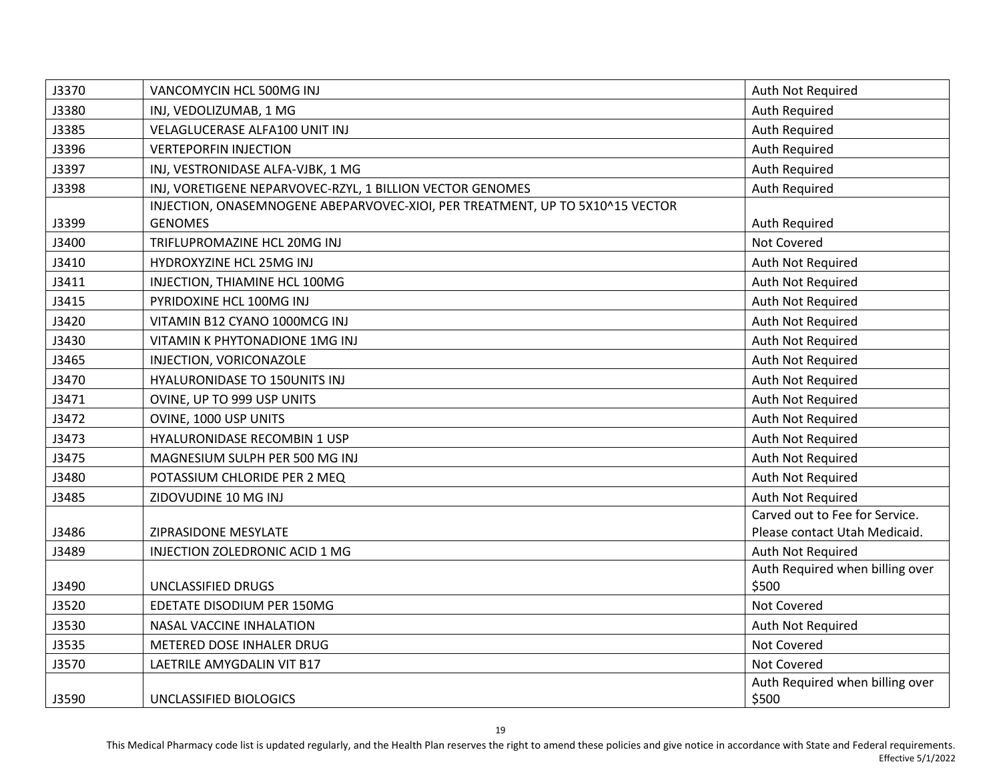| J3370 | VANCOMYCIN HCL 500MG INJ                                                      | Auth Not Required               |
|-------|-------------------------------------------------------------------------------|---------------------------------|
| J3380 | INJ, VEDOLIZUMAB, 1 MG                                                        | Auth Required                   |
| J3385 | VELAGLUCERASE ALFA100 UNIT INJ                                                | Auth Required                   |
| J3396 | <b>VERTEPORFIN INJECTION</b>                                                  | Auth Required                   |
| J3397 | INJ, VESTRONIDASE ALFA-VJBK, 1 MG                                             | Auth Required                   |
| J3398 | INJ, VORETIGENE NEPARVOVEC-RZYL, 1 BILLION VECTOR GENOMES                     | Auth Required                   |
|       | INJECTION, ONASEMNOGENE ABEPARVOVEC-XIOI, PER TREATMENT, UP TO 5X10^15 VECTOR |                                 |
| J3399 | <b>GENOMES</b>                                                                | Auth Required                   |
| J3400 | TRIFLUPROMAZINE HCL 20MG INJ                                                  | Not Covered                     |
| J3410 | HYDROXYZINE HCL 25MG INJ                                                      | Auth Not Required               |
| J3411 | INJECTION, THIAMINE HCL 100MG                                                 | Auth Not Required               |
| J3415 | PYRIDOXINE HCL 100MG INJ                                                      | Auth Not Required               |
| J3420 | VITAMIN B12 CYANO 1000MCG INJ                                                 | Auth Not Required               |
| J3430 | VITAMIN K PHYTONADIONE 1MG INJ                                                | Auth Not Required               |
| J3465 | INJECTION, VORICONAZOLE                                                       | Auth Not Required               |
| J3470 | <b>HYALURONIDASE TO 150UNITS INJ</b>                                          | Auth Not Required               |
| J3471 | OVINE, UP TO 999 USP UNITS                                                    | Auth Not Required               |
| J3472 | OVINE, 1000 USP UNITS                                                         | Auth Not Required               |
| J3473 | <b>HYALURONIDASE RECOMBIN 1 USP</b>                                           | Auth Not Required               |
| J3475 | MAGNESIUM SULPH PER 500 MG INJ                                                | Auth Not Required               |
| J3480 | POTASSIUM CHLORIDE PER 2 MEQ                                                  | Auth Not Required               |
| J3485 | ZIDOVUDINE 10 MG INJ                                                          | Auth Not Required               |
|       |                                                                               | Carved out to Fee for Service.  |
| J3486 | ZIPRASIDONE MESYLATE                                                          | Please contact Utah Medicaid.   |
| J3489 | INJECTION ZOLEDRONIC ACID 1 MG                                                | Auth Not Required               |
|       |                                                                               | Auth Required when billing over |
| J3490 | UNCLASSIFIED DRUGS                                                            | \$500                           |
| J3520 | EDETATE DISODIUM PER 150MG                                                    | <b>Not Covered</b>              |
| J3530 | NASAL VACCINE INHALATION                                                      | Auth Not Required               |
| J3535 | METERED DOSE INHALER DRUG                                                     | <b>Not Covered</b>              |
| J3570 | LAETRILE AMYGDALIN VIT B17                                                    | <b>Not Covered</b>              |
|       |                                                                               | Auth Required when billing over |
| J3590 | UNCLASSIFIED BIOLOGICS                                                        | \$500                           |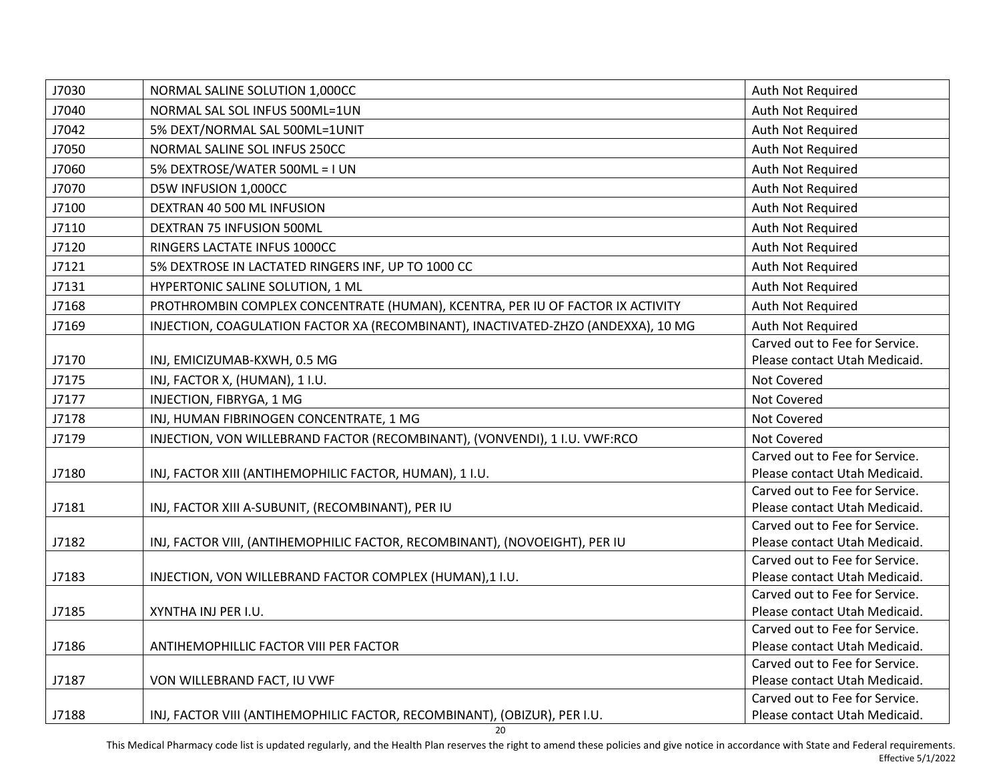| J7030 | NORMAL SALINE SOLUTION 1,000CC                                                    | Auth Not Required                                               |
|-------|-----------------------------------------------------------------------------------|-----------------------------------------------------------------|
| J7040 | NORMAL SAL SOL INFUS 500ML=1UN                                                    | Auth Not Required                                               |
| J7042 | 5% DEXT/NORMAL SAL 500ML=1UNIT                                                    | Auth Not Required                                               |
| J7050 | NORMAL SALINE SOL INFUS 250CC                                                     | Auth Not Required                                               |
| J7060 | 5% DEXTROSE/WATER 500ML = I UN                                                    | Auth Not Required                                               |
| J7070 | D5W INFUSION 1,000CC                                                              | Auth Not Required                                               |
| J7100 | DEXTRAN 40 500 ML INFUSION                                                        | Auth Not Required                                               |
| J7110 | DEXTRAN 75 INFUSION 500ML                                                         | Auth Not Required                                               |
| J7120 | RINGERS LACTATE INFUS 1000CC                                                      | Auth Not Required                                               |
| J7121 | 5% DEXTROSE IN LACTATED RINGERS INF, UP TO 1000 CC                                | Auth Not Required                                               |
| J7131 | HYPERTONIC SALINE SOLUTION, 1 ML                                                  | Auth Not Required                                               |
| J7168 | PROTHROMBIN COMPLEX CONCENTRATE (HUMAN), KCENTRA, PER IU OF FACTOR IX ACTIVITY    | Auth Not Required                                               |
| J7169 | INJECTION, COAGULATION FACTOR XA (RECOMBINANT), INACTIVATED-ZHZO (ANDEXXA), 10 MG | Auth Not Required                                               |
|       |                                                                                   | Carved out to Fee for Service.                                  |
| J7170 | INJ, EMICIZUMAB-KXWH, 0.5 MG                                                      | Please contact Utah Medicaid.                                   |
| J7175 | INJ, FACTOR X, (HUMAN), 1 I.U.                                                    | Not Covered                                                     |
| J7177 | INJECTION, FIBRYGA, 1 MG                                                          | <b>Not Covered</b>                                              |
| J7178 | INJ, HUMAN FIBRINOGEN CONCENTRATE, 1 MG                                           | Not Covered                                                     |
| J7179 | INJECTION, VON WILLEBRAND FACTOR (RECOMBINANT), (VONVENDI), 1 I.U. VWF:RCO        | <b>Not Covered</b>                                              |
|       |                                                                                   | Carved out to Fee for Service.                                  |
| J7180 | INJ, FACTOR XIII (ANTIHEMOPHILIC FACTOR, HUMAN), 1 I.U.                           | Please contact Utah Medicaid.                                   |
|       |                                                                                   | Carved out to Fee for Service.                                  |
| J7181 | INJ, FACTOR XIII A-SUBUNIT, (RECOMBINANT), PER IU                                 | Please contact Utah Medicaid.                                   |
|       |                                                                                   | Carved out to Fee for Service.                                  |
| J7182 | INJ, FACTOR VIII, (ANTIHEMOPHILIC FACTOR, RECOMBINANT), (NOVOEIGHT), PER IU       | Please contact Utah Medicaid.                                   |
|       |                                                                                   | Carved out to Fee for Service.                                  |
| J7183 | INJECTION, VON WILLEBRAND FACTOR COMPLEX (HUMAN),1 I.U.                           | Please contact Utah Medicaid.                                   |
|       |                                                                                   | Carved out to Fee for Service.                                  |
| J7185 | XYNTHA INJ PER I.U.                                                               | Please contact Utah Medicaid.                                   |
|       |                                                                                   | Carved out to Fee for Service.                                  |
| J7186 | ANTIHEMOPHILLIC FACTOR VIII PER FACTOR                                            | Please contact Utah Medicaid.                                   |
|       |                                                                                   | Carved out to Fee for Service.                                  |
| J7187 | VON WILLEBRAND FACT, IU VWF                                                       | Please contact Utah Medicaid.                                   |
|       |                                                                                   |                                                                 |
| J7188 | INJ, FACTOR VIII (ANTIHEMOPHILIC FACTOR, RECOMBINANT), (OBIZUR), PER I.U.         | Carved out to Fee for Service.<br>Please contact Utah Medicaid. |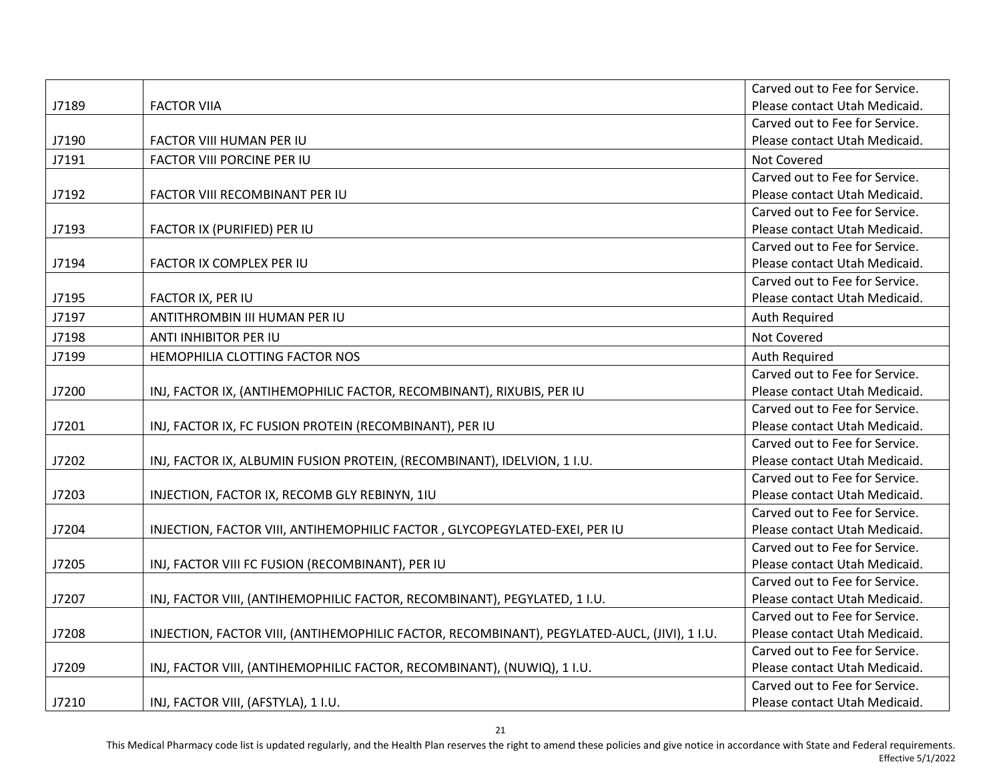|       |                                                                                              | Carved out to Fee for Service. |
|-------|----------------------------------------------------------------------------------------------|--------------------------------|
| J7189 | <b>FACTOR VIIA</b>                                                                           | Please contact Utah Medicaid.  |
|       |                                                                                              | Carved out to Fee for Service. |
| J7190 | FACTOR VIII HUMAN PER IU                                                                     | Please contact Utah Medicaid.  |
| J7191 | <b>FACTOR VIII PORCINE PER IU</b>                                                            | <b>Not Covered</b>             |
|       |                                                                                              | Carved out to Fee for Service. |
| J7192 | FACTOR VIII RECOMBINANT PER IU                                                               | Please contact Utah Medicaid.  |
|       |                                                                                              | Carved out to Fee for Service. |
| J7193 | FACTOR IX (PURIFIED) PER IU                                                                  | Please contact Utah Medicaid.  |
|       |                                                                                              | Carved out to Fee for Service. |
| J7194 | FACTOR IX COMPLEX PER IU                                                                     | Please contact Utah Medicaid.  |
|       |                                                                                              | Carved out to Fee for Service. |
| J7195 | FACTOR IX, PER IU                                                                            | Please contact Utah Medicaid.  |
| J7197 | ANTITHROMBIN III HUMAN PER IU                                                                | Auth Required                  |
| J7198 | ANTI INHIBITOR PER IU                                                                        | Not Covered                    |
| J7199 | HEMOPHILIA CLOTTING FACTOR NOS                                                               | Auth Required                  |
|       |                                                                                              | Carved out to Fee for Service. |
| J7200 | INJ, FACTOR IX, (ANTIHEMOPHILIC FACTOR, RECOMBINANT), RIXUBIS, PER IU                        | Please contact Utah Medicaid.  |
|       |                                                                                              | Carved out to Fee for Service. |
| J7201 | INJ, FACTOR IX, FC FUSION PROTEIN (RECOMBINANT), PER IU                                      | Please contact Utah Medicaid.  |
|       |                                                                                              | Carved out to Fee for Service. |
| J7202 | INJ, FACTOR IX, ALBUMIN FUSION PROTEIN, (RECOMBINANT), IDELVION, 1 I.U.                      | Please contact Utah Medicaid.  |
|       |                                                                                              | Carved out to Fee for Service. |
| J7203 | INJECTION, FACTOR IX, RECOMB GLY REBINYN, 1IU                                                | Please contact Utah Medicaid.  |
|       |                                                                                              | Carved out to Fee for Service. |
| J7204 | INJECTION, FACTOR VIII, ANTIHEMOPHILIC FACTOR, GLYCOPEGYLATED-EXEI, PER IU                   | Please contact Utah Medicaid.  |
|       |                                                                                              | Carved out to Fee for Service. |
| J7205 | INJ, FACTOR VIII FC FUSION (RECOMBINANT), PER IU                                             | Please contact Utah Medicaid.  |
|       |                                                                                              | Carved out to Fee for Service. |
| J7207 | INJ, FACTOR VIII, (ANTIHEMOPHILIC FACTOR, RECOMBINANT), PEGYLATED, 1 I.U.                    | Please contact Utah Medicaid.  |
|       |                                                                                              | Carved out to Fee for Service. |
| J7208 | INJECTION, FACTOR VIII, (ANTIHEMOPHILIC FACTOR, RECOMBINANT), PEGYLATED-AUCL, (JIVI), 1 I.U. | Please contact Utah Medicaid.  |
|       |                                                                                              | Carved out to Fee for Service. |
| J7209 | INJ, FACTOR VIII, (ANTIHEMOPHILIC FACTOR, RECOMBINANT), (NUWIQ), 1 I.U.                      | Please contact Utah Medicaid.  |
|       |                                                                                              | Carved out to Fee for Service. |
| J7210 | INJ, FACTOR VIII, (AFSTYLA), 1 I.U.                                                          | Please contact Utah Medicaid.  |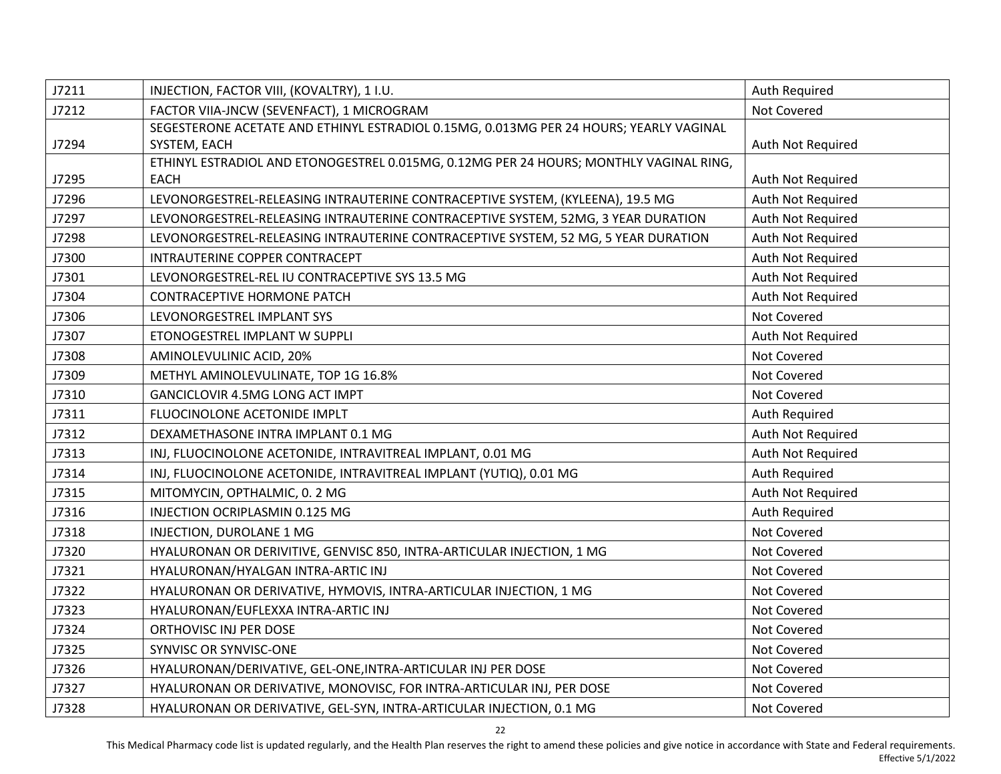| J7211 | INJECTION, FACTOR VIII, (KOVALTRY), 1 I.U.                                             | Auth Required     |
|-------|----------------------------------------------------------------------------------------|-------------------|
| J7212 | FACTOR VIIA-JNCW (SEVENFACT), 1 MICROGRAM                                              | Not Covered       |
|       | SEGESTERONE ACETATE AND ETHINYL ESTRADIOL 0.15MG, 0.013MG PER 24 HOURS; YEARLY VAGINAL |                   |
| J7294 | SYSTEM, EACH                                                                           | Auth Not Required |
|       | ETHINYL ESTRADIOL AND ETONOGESTREL 0.015MG, 0.12MG PER 24 HOURS; MONTHLY VAGINAL RING, |                   |
| J7295 | <b>EACH</b>                                                                            | Auth Not Required |
| J7296 | LEVONORGESTREL-RELEASING INTRAUTERINE CONTRACEPTIVE SYSTEM, (KYLEENA), 19.5 MG         | Auth Not Required |
| J7297 | LEVONORGESTREL-RELEASING INTRAUTERINE CONTRACEPTIVE SYSTEM, 52MG, 3 YEAR DURATION      | Auth Not Required |
| J7298 | LEVONORGESTREL-RELEASING INTRAUTERINE CONTRACEPTIVE SYSTEM, 52 MG, 5 YEAR DURATION     | Auth Not Required |
| J7300 | INTRAUTERINE COPPER CONTRACEPT                                                         | Auth Not Required |
| J7301 | LEVONORGESTREL-REL IU CONTRACEPTIVE SYS 13.5 MG                                        | Auth Not Required |
| J7304 | <b>CONTRACEPTIVE HORMONE PATCH</b>                                                     | Auth Not Required |
| J7306 | LEVONORGESTREL IMPLANT SYS                                                             | Not Covered       |
| J7307 | ETONOGESTREL IMPLANT W SUPPLI                                                          | Auth Not Required |
| J7308 | AMINOLEVULINIC ACID, 20%                                                               | Not Covered       |
| J7309 | METHYL AMINOLEVULINATE, TOP 1G 16.8%                                                   | Not Covered       |
| J7310 | GANCICLOVIR 4.5MG LONG ACT IMPT                                                        | Not Covered       |
| J7311 | FLUOCINOLONE ACETONIDE IMPLT                                                           | Auth Required     |
| J7312 | DEXAMETHASONE INTRA IMPLANT 0.1 MG                                                     | Auth Not Required |
| J7313 | INJ, FLUOCINOLONE ACETONIDE, INTRAVITREAL IMPLANT, 0.01 MG                             | Auth Not Required |
| J7314 | INJ, FLUOCINOLONE ACETONIDE, INTRAVITREAL IMPLANT (YUTIQ), 0.01 MG                     | Auth Required     |
| J7315 | MITOMYCIN, OPTHALMIC, 0.2 MG                                                           | Auth Not Required |
| J7316 | INJECTION OCRIPLASMIN 0.125 MG                                                         | Auth Required     |
| J7318 | INJECTION, DUROLANE 1 MG                                                               | Not Covered       |
| J7320 | HYALURONAN OR DERIVITIVE, GENVISC 850, INTRA-ARTICULAR INJECTION, 1 MG                 | Not Covered       |
| J7321 | HYALURONAN/HYALGAN INTRA-ARTIC INJ                                                     | Not Covered       |
| J7322 | HYALURONAN OR DERIVATIVE, HYMOVIS, INTRA-ARTICULAR INJECTION, 1 MG                     | Not Covered       |
| J7323 | HYALURONAN/EUFLEXXA INTRA-ARTIC INJ                                                    | Not Covered       |
| J7324 | ORTHOVISC INJ PER DOSE                                                                 | Not Covered       |
| J7325 | SYNVISC OR SYNVISC-ONE                                                                 | Not Covered       |
| J7326 | HYALURONAN/DERIVATIVE, GEL-ONE, INTRA-ARTICULAR INJ PER DOSE                           | Not Covered       |
| J7327 | HYALURONAN OR DERIVATIVE, MONOVISC, FOR INTRA-ARTICULAR INJ, PER DOSE                  | Not Covered       |
| J7328 | HYALURONAN OR DERIVATIVE, GEL-SYN, INTRA-ARTICULAR INJECTION, 0.1 MG                   | Not Covered       |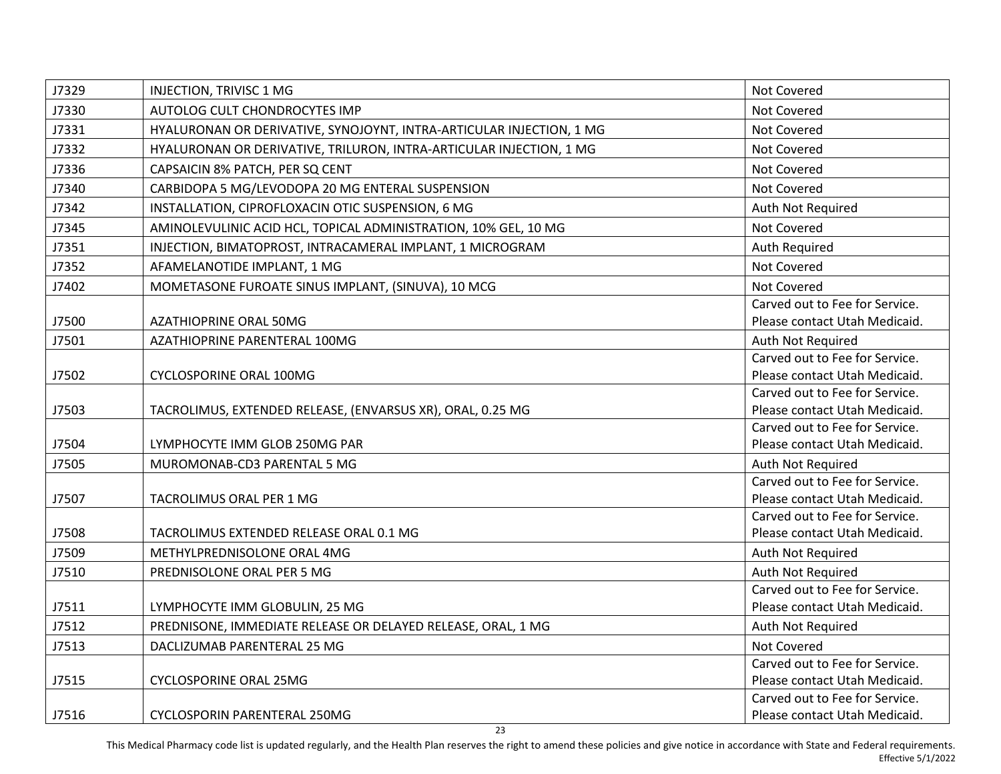| J7329 | INJECTION, TRIVISC 1 MG                                              | Not Covered                                                     |
|-------|----------------------------------------------------------------------|-----------------------------------------------------------------|
| J7330 | AUTOLOG CULT CHONDROCYTES IMP                                        | Not Covered                                                     |
| J7331 | HYALURONAN OR DERIVATIVE, SYNOJOYNT, INTRA-ARTICULAR INJECTION, 1 MG | Not Covered                                                     |
| J7332 | HYALURONAN OR DERIVATIVE, TRILURON, INTRA-ARTICULAR INJECTION, 1 MG  | Not Covered                                                     |
| J7336 | CAPSAICIN 8% PATCH, PER SQ CENT                                      | Not Covered                                                     |
| J7340 | CARBIDOPA 5 MG/LEVODOPA 20 MG ENTERAL SUSPENSION                     | Not Covered                                                     |
| J7342 | INSTALLATION, CIPROFLOXACIN OTIC SUSPENSION, 6 MG                    | Auth Not Required                                               |
| J7345 | AMINOLEVULINIC ACID HCL, TOPICAL ADMINISTRATION, 10% GEL, 10 MG      | Not Covered                                                     |
| J7351 | INJECTION, BIMATOPROST, INTRACAMERAL IMPLANT, 1 MICROGRAM            | Auth Required                                                   |
| J7352 | AFAMELANOTIDE IMPLANT, 1 MG                                          | Not Covered                                                     |
| J7402 | MOMETASONE FUROATE SINUS IMPLANT, (SINUVA), 10 MCG                   | <b>Not Covered</b>                                              |
|       |                                                                      | Carved out to Fee for Service.                                  |
| J7500 | AZATHIOPRINE ORAL 50MG                                               | Please contact Utah Medicaid.                                   |
| J7501 | AZATHIOPRINE PARENTERAL 100MG                                        | Auth Not Required                                               |
|       |                                                                      | Carved out to Fee for Service.                                  |
| J7502 | CYCLOSPORINE ORAL 100MG                                              | Please contact Utah Medicaid.                                   |
|       |                                                                      | Carved out to Fee for Service.                                  |
| J7503 | TACROLIMUS, EXTENDED RELEASE, (ENVARSUS XR), ORAL, 0.25 MG           | Please contact Utah Medicaid.                                   |
| J7504 | LYMPHOCYTE IMM GLOB 250MG PAR                                        | Carved out to Fee for Service.<br>Please contact Utah Medicaid. |
|       |                                                                      |                                                                 |
| J7505 | MUROMONAB-CD3 PARENTAL 5 MG                                          | Auth Not Required<br>Carved out to Fee for Service.             |
| J7507 | TACROLIMUS ORAL PER 1 MG                                             | Please contact Utah Medicaid.                                   |
|       |                                                                      | Carved out to Fee for Service.                                  |
| J7508 | TACROLIMUS EXTENDED RELEASE ORAL 0.1 MG                              | Please contact Utah Medicaid.                                   |
| J7509 | METHYLPREDNISOLONE ORAL 4MG                                          | Auth Not Required                                               |
| J7510 | PREDNISOLONE ORAL PER 5 MG                                           | Auth Not Required                                               |
|       |                                                                      | Carved out to Fee for Service.                                  |
| J7511 | LYMPHOCYTE IMM GLOBULIN, 25 MG                                       | Please contact Utah Medicaid.                                   |
| J7512 | PREDNISONE, IMMEDIATE RELEASE OR DELAYED RELEASE, ORAL, 1 MG         | Auth Not Required                                               |
| J7513 | DACLIZUMAB PARENTERAL 25 MG                                          | Not Covered                                                     |
|       |                                                                      | Carved out to Fee for Service.                                  |
| J7515 | <b>CYCLOSPORINE ORAL 25MG</b>                                        | Please contact Utah Medicaid.                                   |
|       |                                                                      | Carved out to Fee for Service.                                  |
| J7516 | CYCLOSPORIN PARENTERAL 250MG                                         | Please contact Utah Medicaid.                                   |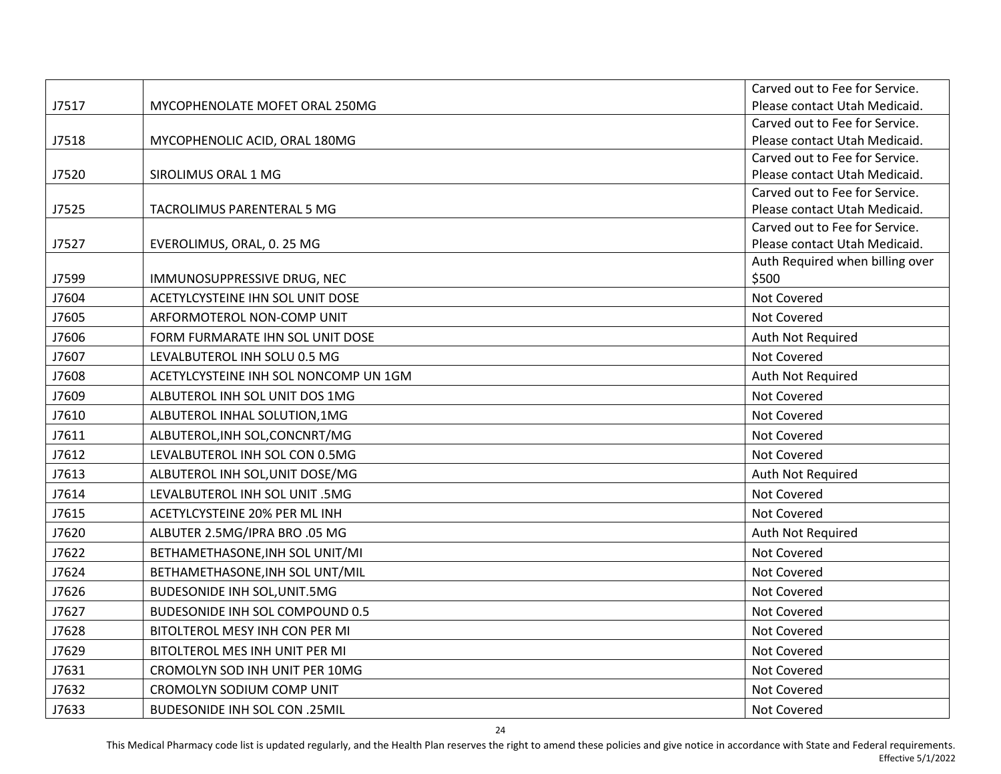|       |                                       | Carved out to Fee for Service.                                  |
|-------|---------------------------------------|-----------------------------------------------------------------|
| J7517 | MYCOPHENOLATE MOFET ORAL 250MG        | Please contact Utah Medicaid.                                   |
|       |                                       | Carved out to Fee for Service.                                  |
| J7518 | MYCOPHENOLIC ACID, ORAL 180MG         | Please contact Utah Medicaid.                                   |
|       |                                       | Carved out to Fee for Service.                                  |
| J7520 | SIROLIMUS ORAL 1 MG                   | Please contact Utah Medicaid.                                   |
|       |                                       | Carved out to Fee for Service.                                  |
| J7525 | TACROLIMUS PARENTERAL 5 MG            | Please contact Utah Medicaid.<br>Carved out to Fee for Service. |
| J7527 | EVEROLIMUS, ORAL, 0. 25 MG            | Please contact Utah Medicaid.                                   |
|       |                                       | Auth Required when billing over                                 |
| J7599 | IMMUNOSUPPRESSIVE DRUG, NEC           | \$500                                                           |
| J7604 | ACETYLCYSTEINE IHN SOL UNIT DOSE      | Not Covered                                                     |
| J7605 | ARFORMOTEROL NON-COMP UNIT            | <b>Not Covered</b>                                              |
| J7606 | FORM FURMARATE IHN SOL UNIT DOSE      | Auth Not Required                                               |
| J7607 | LEVALBUTEROL INH SOLU 0.5 MG          | Not Covered                                                     |
| J7608 | ACETYLCYSTEINE INH SOL NONCOMP UN 1GM | Auth Not Required                                               |
| J7609 | ALBUTEROL INH SOL UNIT DOS 1MG        | <b>Not Covered</b>                                              |
| J7610 | ALBUTEROL INHAL SOLUTION, 1MG         | Not Covered                                                     |
| J7611 | ALBUTEROL, INH SOL, CONCNRT/MG        | Not Covered                                                     |
| J7612 | LEVALBUTEROL INH SOL CON 0.5MG        | Not Covered                                                     |
| J7613 | ALBUTEROL INH SOL, UNIT DOSE/MG       | Auth Not Required                                               |
| J7614 | LEVALBUTEROL INH SOL UNIT .5MG        | Not Covered                                                     |
| J7615 | ACETYLCYSTEINE 20% PER ML INH         | Not Covered                                                     |
| J7620 | ALBUTER 2.5MG/IPRA BRO .05 MG         | Auth Not Required                                               |
| J7622 | BETHAMETHASONE, INH SOL UNIT/MI       | Not Covered                                                     |
| J7624 | BETHAMETHASONE, INH SOL UNT/MIL       | <b>Not Covered</b>                                              |
| J7626 | BUDESONIDE INH SOL, UNIT.5MG          | Not Covered                                                     |
| J7627 | BUDESONIDE INH SOL COMPOUND 0.5       | Not Covered                                                     |
| J7628 | BITOLTEROL MESY INH CON PER MI        | Not Covered                                                     |
| J7629 | BITOLTEROL MES INH UNIT PER MI        | Not Covered                                                     |
| J7631 | CROMOLYN SOD INH UNIT PER 10MG        | Not Covered                                                     |
| J7632 | CROMOLYN SODIUM COMP UNIT             | Not Covered                                                     |
| J7633 | <b>BUDESONIDE INH SOL CON .25MIL</b>  | Not Covered                                                     |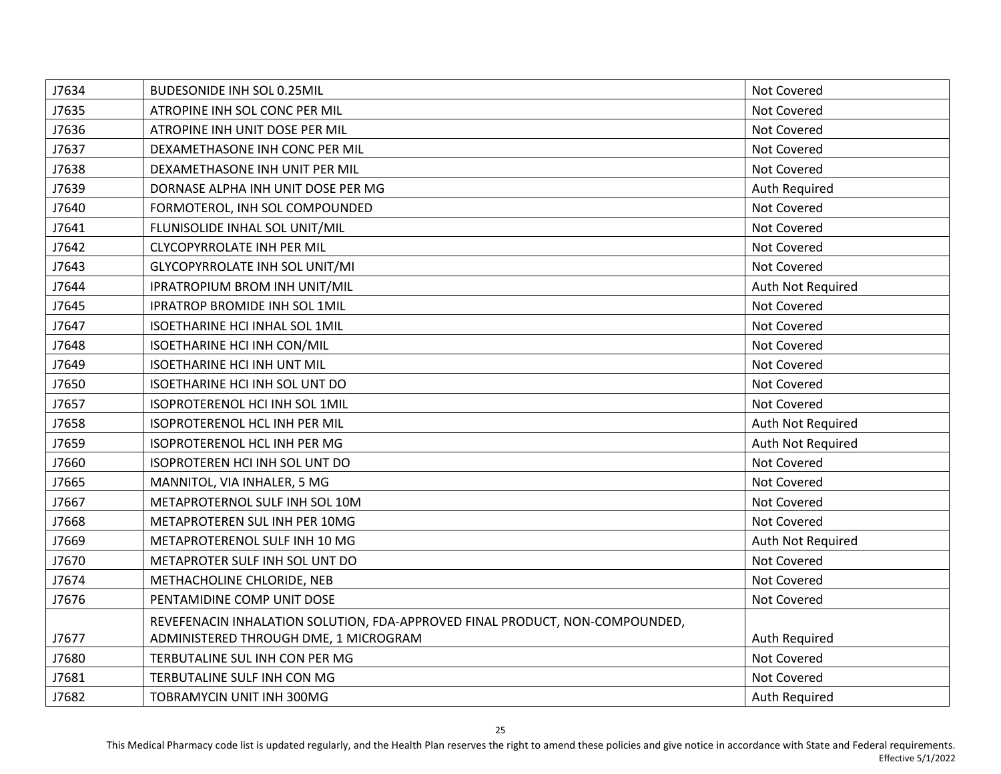| J7634 | <b>BUDESONIDE INH SOL 0.25MIL</b>                                            | Not Covered       |
|-------|------------------------------------------------------------------------------|-------------------|
| J7635 | ATROPINE INH SOL CONC PER MIL                                                | Not Covered       |
| J7636 | ATROPINE INH UNIT DOSE PER MIL                                               | Not Covered       |
| J7637 | DEXAMETHASONE INH CONC PER MIL                                               | Not Covered       |
| J7638 | DEXAMETHASONE INH UNIT PER MIL                                               | Not Covered       |
| J7639 | DORNASE ALPHA INH UNIT DOSE PER MG                                           | Auth Required     |
| J7640 | FORMOTEROL, INH SOL COMPOUNDED                                               | Not Covered       |
| J7641 | FLUNISOLIDE INHAL SOL UNIT/MIL                                               | Not Covered       |
| J7642 | <b>CLYCOPYRROLATE INH PER MIL</b>                                            | Not Covered       |
| J7643 | GLYCOPYRROLATE INH SOL UNIT/MI                                               | Not Covered       |
| J7644 | IPRATROPIUM BROM INH UNIT/MIL                                                | Auth Not Required |
| J7645 | <b>IPRATROP BROMIDE INH SOL 1MIL</b>                                         | Not Covered       |
| J7647 | ISOETHARINE HCI INHAL SOL 1MIL                                               | Not Covered       |
| J7648 | ISOETHARINE HCI INH CON/MIL                                                  | Not Covered       |
| J7649 | <b>ISOETHARINE HCI INH UNT MIL</b>                                           | Not Covered       |
| J7650 | ISOETHARINE HCI INH SOL UNT DO                                               | Not Covered       |
| J7657 | ISOPROTERENOL HCI INH SOL 1MIL                                               | Not Covered       |
| J7658 | ISOPROTERENOL HCL INH PER MIL                                                | Auth Not Required |
| J7659 | ISOPROTERENOL HCL INH PER MG                                                 | Auth Not Required |
| J7660 | ISOPROTEREN HCI INH SOL UNT DO                                               | Not Covered       |
| J7665 | MANNITOL, VIA INHALER, 5 MG                                                  | Not Covered       |
| J7667 | METAPROTERNOL SULF INH SOL 10M                                               | Not Covered       |
| J7668 | METAPROTEREN SUL INH PER 10MG                                                | Not Covered       |
| J7669 | METAPROTERENOL SULF INH 10 MG                                                | Auth Not Required |
| J7670 | METAPROTER SULF INH SOL UNT DO                                               | Not Covered       |
| J7674 | METHACHOLINE CHLORIDE, NEB                                                   | Not Covered       |
| J7676 | PENTAMIDINE COMP UNIT DOSE                                                   | Not Covered       |
|       | REVEFENACIN INHALATION SOLUTION, FDA-APPROVED FINAL PRODUCT, NON-COMPOUNDED, |                   |
| J7677 | ADMINISTERED THROUGH DME, 1 MICROGRAM                                        | Auth Required     |
| J7680 | TERBUTALINE SUL INH CON PER MG                                               | Not Covered       |
| J7681 | TERBUTALINE SULF INH CON MG                                                  | Not Covered       |
| J7682 | TOBRAMYCIN UNIT INH 300MG                                                    | Auth Required     |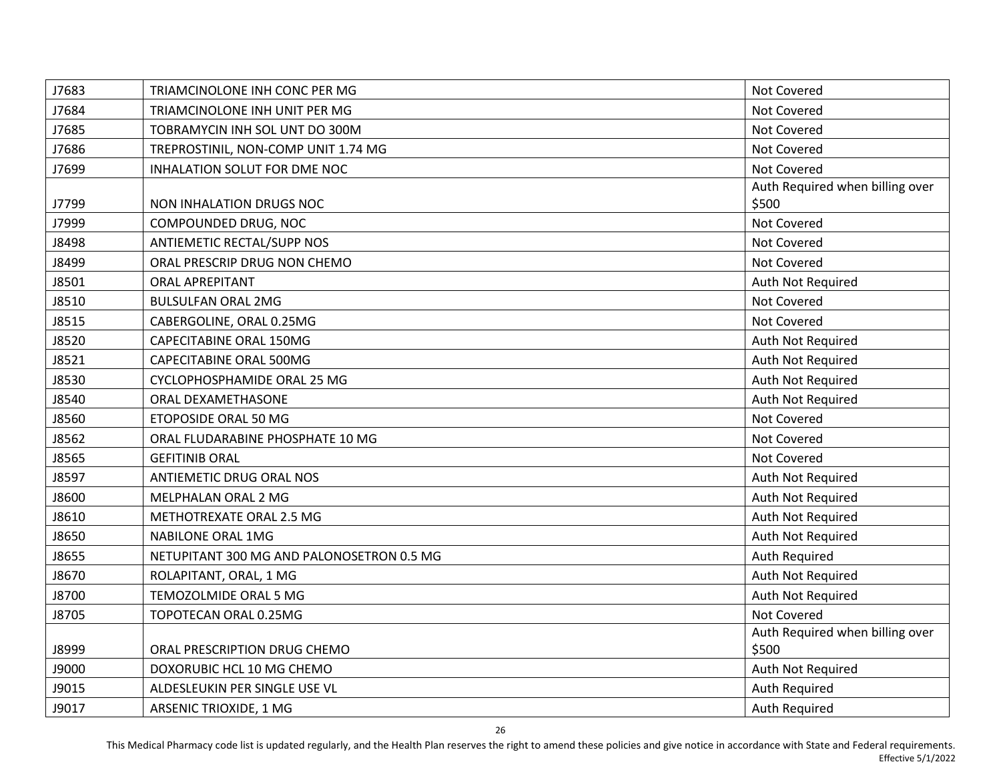| J7683        | TRIAMCINOLONE INH CONC PER MG             | Not Covered                              |
|--------------|-------------------------------------------|------------------------------------------|
| J7684        | TRIAMCINOLONE INH UNIT PER MG             | Not Covered                              |
| J7685        | TOBRAMYCIN INH SOL UNT DO 300M            | Not Covered                              |
| J7686        | TREPROSTINIL, NON-COMP UNIT 1.74 MG       | Not Covered                              |
| J7699        | INHALATION SOLUT FOR DME NOC              | Not Covered                              |
| J7799        | NON INHALATION DRUGS NOC                  | Auth Required when billing over<br>\$500 |
| J7999        | COMPOUNDED DRUG, NOC                      | Not Covered                              |
| J8498        | ANTIEMETIC RECTAL/SUPP NOS                | Not Covered                              |
| J8499        | ORAL PRESCRIP DRUG NON CHEMO              | Not Covered                              |
| J8501        | <b>ORAL APREPITANT</b>                    | Auth Not Required                        |
| J8510        | <b>BULSULFAN ORAL 2MG</b>                 | Not Covered                              |
| J8515        | CABERGOLINE, ORAL 0.25MG                  | Not Covered                              |
| J8520        | <b>CAPECITABINE ORAL 150MG</b>            | Auth Not Required                        |
| J8521        | CAPECITABINE ORAL 500MG                   | Auth Not Required                        |
| J8530        | CYCLOPHOSPHAMIDE ORAL 25 MG               | Auth Not Required                        |
| J8540        | ORAL DEXAMETHASONE                        | Auth Not Required                        |
| <b>J8560</b> | ETOPOSIDE ORAL 50 MG                      | Not Covered                              |
| J8562        | ORAL FLUDARABINE PHOSPHATE 10 MG          | Not Covered                              |
| J8565        | <b>GEFITINIB ORAL</b>                     | Not Covered                              |
| J8597        | ANTIEMETIC DRUG ORAL NOS                  | Auth Not Required                        |
| J8600        | MELPHALAN ORAL 2 MG                       | Auth Not Required                        |
| J8610        | METHOTREXATE ORAL 2.5 MG                  | Auth Not Required                        |
| J8650        | NABILONE ORAL 1MG                         | Auth Not Required                        |
| J8655        | NETUPITANT 300 MG AND PALONOSETRON 0.5 MG | Auth Required                            |
| J8670        | ROLAPITANT, ORAL, 1 MG                    | Auth Not Required                        |
| J8700        | TEMOZOLMIDE ORAL 5 MG                     | Auth Not Required                        |
| J8705        | TOPOTECAN ORAL 0.25MG                     | Not Covered                              |
| J8999        | ORAL PRESCRIPTION DRUG CHEMO              | Auth Required when billing over<br>\$500 |
| J9000        | DOXORUBIC HCL 10 MG CHEMO                 | Auth Not Required                        |
| J9015        | ALDESLEUKIN PER SINGLE USE VL             | Auth Required                            |
| J9017        | ARSENIC TRIOXIDE, 1 MG                    | Auth Required                            |
|              |                                           |                                          |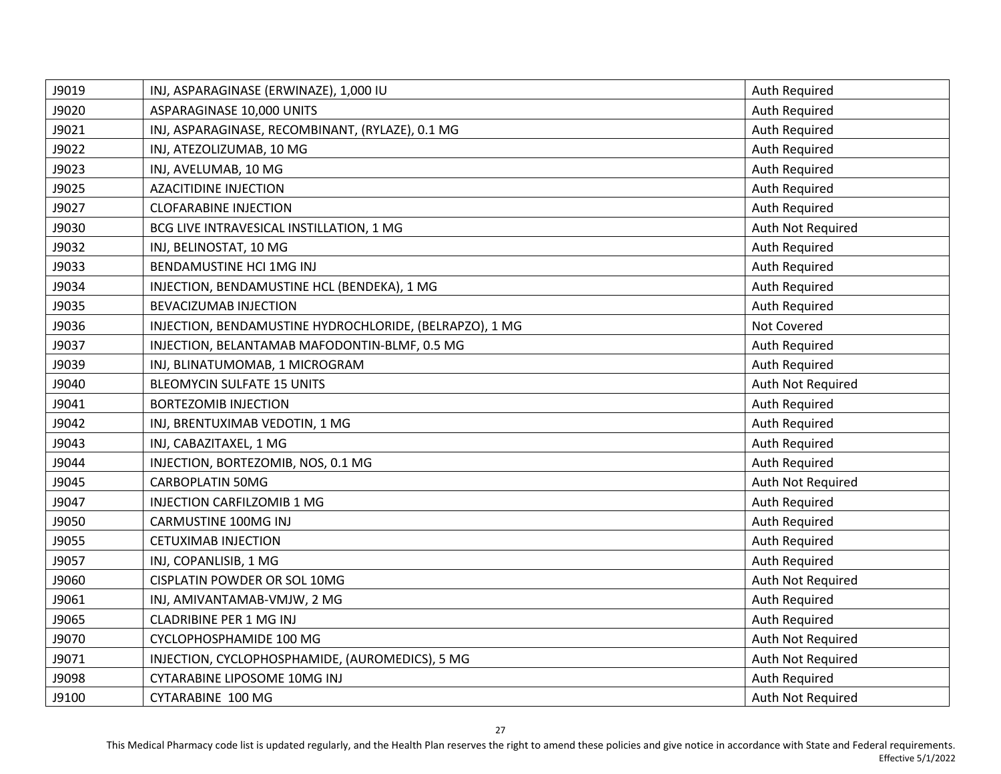| J9019 | INJ, ASPARAGINASE (ERWINAZE), 1,000 IU                  | Auth Required     |
|-------|---------------------------------------------------------|-------------------|
| J9020 | ASPARAGINASE 10,000 UNITS                               | Auth Required     |
| J9021 | INJ, ASPARAGINASE, RECOMBINANT, (RYLAZE), 0.1 MG        | Auth Required     |
| J9022 | INJ, ATEZOLIZUMAB, 10 MG                                | Auth Required     |
| J9023 | INJ, AVELUMAB, 10 MG                                    | Auth Required     |
| J9025 | <b>AZACITIDINE INJECTION</b>                            | Auth Required     |
| J9027 | <b>CLOFARABINE INJECTION</b>                            | Auth Required     |
| J9030 | BCG LIVE INTRAVESICAL INSTILLATION, 1 MG                | Auth Not Required |
| J9032 | INJ, BELINOSTAT, 10 MG                                  | Auth Required     |
| J9033 | BENDAMUSTINE HCI 1MG INJ                                | Auth Required     |
| J9034 | INJECTION, BENDAMUSTINE HCL (BENDEKA), 1 MG             | Auth Required     |
| J9035 | BEVACIZUMAB INJECTION                                   | Auth Required     |
| J9036 | INJECTION, BENDAMUSTINE HYDROCHLORIDE, (BELRAPZO), 1 MG | Not Covered       |
| J9037 | INJECTION, BELANTAMAB MAFODONTIN-BLMF, 0.5 MG           | Auth Required     |
| J9039 | INJ, BLINATUMOMAB, 1 MICROGRAM                          | Auth Required     |
| J9040 | <b>BLEOMYCIN SULFATE 15 UNITS</b>                       | Auth Not Required |
| J9041 | <b>BORTEZOMIB INJECTION</b>                             | Auth Required     |
| J9042 | INJ, BRENTUXIMAB VEDOTIN, 1 MG                          | Auth Required     |
| J9043 | INJ, CABAZITAXEL, 1 MG                                  | Auth Required     |
| J9044 | INJECTION, BORTEZOMIB, NOS, 0.1 MG                      | Auth Required     |
| J9045 | <b>CARBOPLATIN 50MG</b>                                 | Auth Not Required |
| J9047 | INJECTION CARFILZOMIB 1 MG                              | Auth Required     |
| J9050 | CARMUSTINE 100MG INJ                                    | Auth Required     |
| J9055 | <b>CETUXIMAB INJECTION</b>                              | Auth Required     |
| J9057 | INJ, COPANLISIB, 1 MG                                   | Auth Required     |
| J9060 | CISPLATIN POWDER OR SOL 10MG                            | Auth Not Required |
| J9061 | INJ, AMIVANTAMAB-VMJW, 2 MG                             | Auth Required     |
| J9065 | <b>CLADRIBINE PER 1 MG INJ</b>                          | Auth Required     |
| J9070 | CYCLOPHOSPHAMIDE 100 MG                                 | Auth Not Required |
| J9071 | INJECTION, CYCLOPHOSPHAMIDE, (AUROMEDICS), 5 MG         | Auth Not Required |
| J9098 | <b>CYTARABINE LIPOSOME 10MG INJ</b>                     | Auth Required     |
| J9100 | <b>CYTARABINE 100 MG</b>                                | Auth Not Required |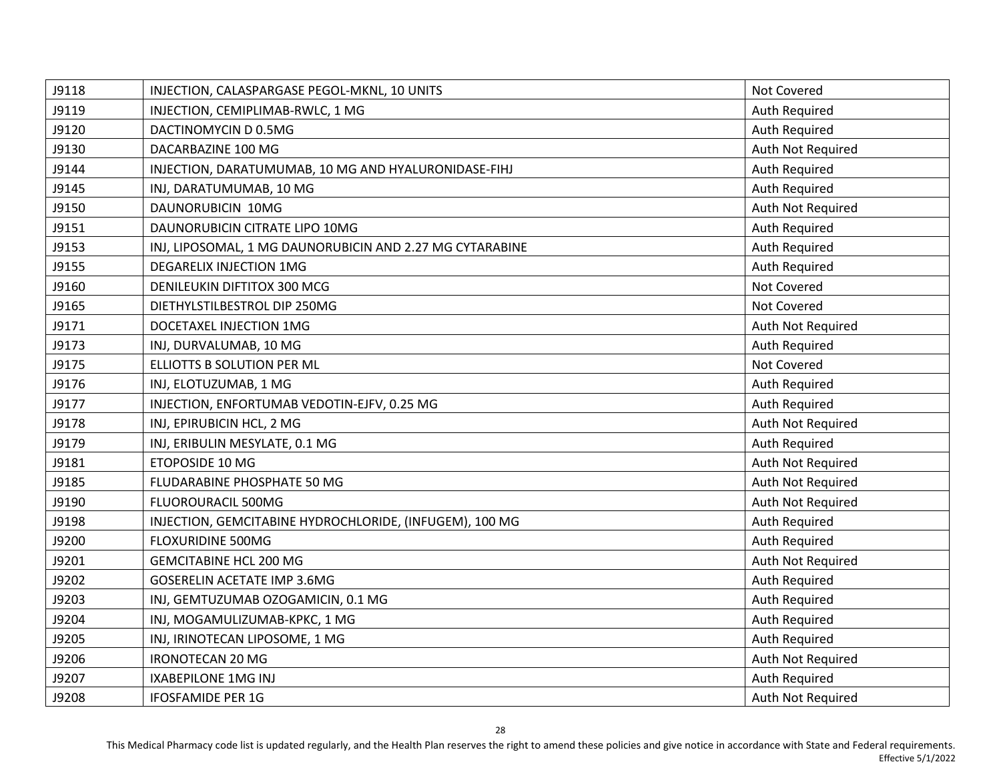| J9118 | INJECTION, CALASPARGASE PEGOL-MKNL, 10 UNITS             | Not Covered       |
|-------|----------------------------------------------------------|-------------------|
| J9119 | INJECTION, CEMIPLIMAB-RWLC, 1 MG                         | Auth Required     |
| J9120 | DACTINOMYCIN D 0.5MG                                     | Auth Required     |
| J9130 | DACARBAZINE 100 MG                                       | Auth Not Required |
| J9144 | INJECTION, DARATUMUMAB, 10 MG AND HYALURONIDASE-FIHJ     | Auth Required     |
| J9145 | INJ, DARATUMUMAB, 10 MG                                  | Auth Required     |
| J9150 | DAUNORUBICIN 10MG                                        | Auth Not Required |
| J9151 | DAUNORUBICIN CITRATE LIPO 10MG                           | Auth Required     |
| J9153 | INJ, LIPOSOMAL, 1 MG DAUNORUBICIN AND 2.27 MG CYTARABINE | Auth Required     |
| J9155 | <b>DEGARELIX INJECTION 1MG</b>                           | Auth Required     |
| J9160 | DENILEUKIN DIFTITOX 300 MCG                              | Not Covered       |
| J9165 | DIETHYLSTILBESTROL DIP 250MG                             | Not Covered       |
| J9171 | DOCETAXEL INJECTION 1MG                                  | Auth Not Required |
| J9173 | INJ, DURVALUMAB, 10 MG                                   | Auth Required     |
| J9175 | ELLIOTTS B SOLUTION PER ML                               | Not Covered       |
| J9176 | INJ, ELOTUZUMAB, 1 MG                                    | Auth Required     |
| J9177 | INJECTION, ENFORTUMAB VEDOTIN-EJFV, 0.25 MG              | Auth Required     |
| J9178 | INJ, EPIRUBICIN HCL, 2 MG                                | Auth Not Required |
| J9179 | INJ, ERIBULIN MESYLATE, 0.1 MG                           | Auth Required     |
| J9181 | ETOPOSIDE 10 MG                                          | Auth Not Required |
| J9185 | FLUDARABINE PHOSPHATE 50 MG                              | Auth Not Required |
| J9190 | FLUOROURACIL 500MG                                       | Auth Not Required |
| J9198 | INJECTION, GEMCITABINE HYDROCHLORIDE, (INFUGEM), 100 MG  | Auth Required     |
| J9200 | <b>FLOXURIDINE 500MG</b>                                 | Auth Required     |
| J9201 | <b>GEMCITABINE HCL 200 MG</b>                            | Auth Not Required |
| J9202 | <b>GOSERELIN ACETATE IMP 3.6MG</b>                       | Auth Required     |
| J9203 | INJ, GEMTUZUMAB OZOGAMICIN, 0.1 MG                       | Auth Required     |
| J9204 | INJ, MOGAMULIZUMAB-KPKC, 1 MG                            | Auth Required     |
| J9205 | INJ, IRINOTECAN LIPOSOME, 1 MG                           | Auth Required     |
| J9206 | <b>IRONOTECAN 20 MG</b>                                  | Auth Not Required |
| J9207 | IXABEPILONE 1MG INJ                                      | Auth Required     |
| J9208 | <b>IFOSFAMIDE PER 1G</b>                                 | Auth Not Required |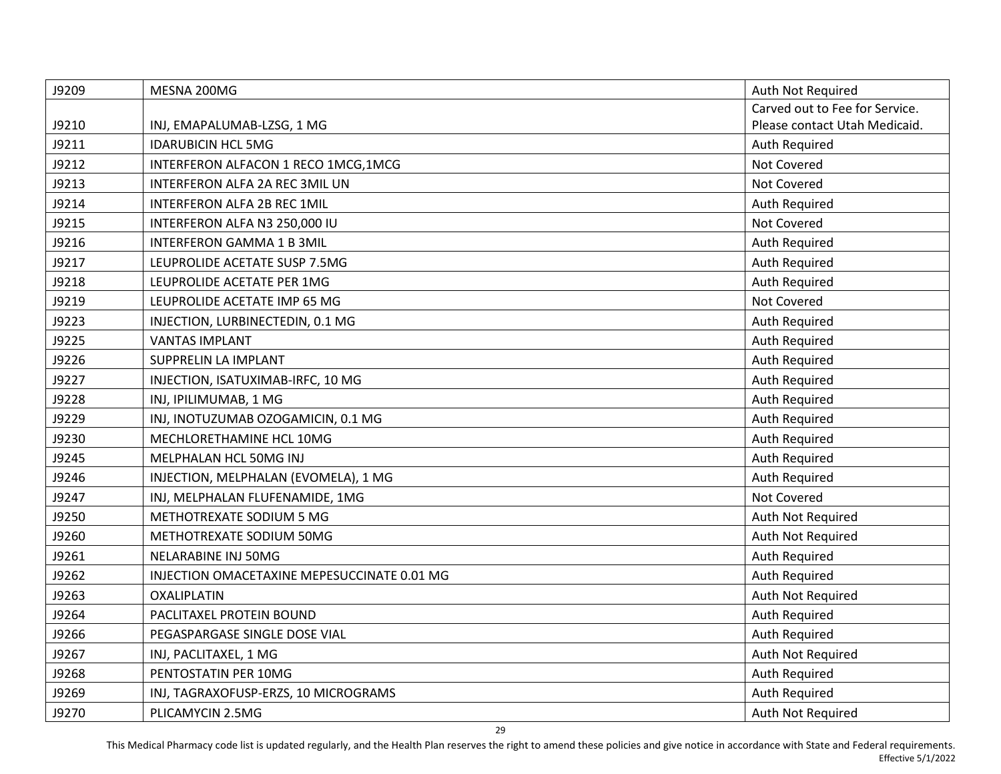| J9209 | MESNA 200MG                                 | Auth Not Required              |
|-------|---------------------------------------------|--------------------------------|
|       |                                             | Carved out to Fee for Service. |
| J9210 | INJ, EMAPALUMAB-LZSG, 1 MG                  | Please contact Utah Medicaid.  |
| J9211 | <b>IDARUBICIN HCL 5MG</b>                   | Auth Required                  |
| J9212 | INTERFERON ALFACON 1 RECO 1MCG, 1MCG        | Not Covered                    |
| J9213 | INTERFERON ALFA 2A REC 3MIL UN              | Not Covered                    |
| J9214 | INTERFERON ALFA 2B REC 1MIL                 | Auth Required                  |
| J9215 | INTERFERON ALFA N3 250,000 IU               | Not Covered                    |
| J9216 | <b>INTERFERON GAMMA 1 B 3MIL</b>            | Auth Required                  |
| J9217 | LEUPROLIDE ACETATE SUSP 7.5MG               | Auth Required                  |
| J9218 | LEUPROLIDE ACETATE PER 1MG                  | Auth Required                  |
| J9219 | LEUPROLIDE ACETATE IMP 65 MG                | Not Covered                    |
| J9223 | INJECTION, LURBINECTEDIN, 0.1 MG            | Auth Required                  |
| J9225 | <b>VANTAS IMPLANT</b>                       | Auth Required                  |
| J9226 | SUPPRELIN LA IMPLANT                        | Auth Required                  |
| J9227 | INJECTION, ISATUXIMAB-IRFC, 10 MG           | Auth Required                  |
| J9228 | INJ, IPILIMUMAB, 1 MG                       | Auth Required                  |
| J9229 | INJ, INOTUZUMAB OZOGAMICIN, 0.1 MG          | Auth Required                  |
| J9230 | MECHLORETHAMINE HCL 10MG                    | Auth Required                  |
| J9245 | MELPHALAN HCL 50MG INJ                      | Auth Required                  |
| J9246 | INJECTION, MELPHALAN (EVOMELA), 1 MG        | Auth Required                  |
| J9247 | INJ, MELPHALAN FLUFENAMIDE, 1MG             | Not Covered                    |
| J9250 | METHOTREXATE SODIUM 5 MG                    | Auth Not Required              |
| J9260 | METHOTREXATE SODIUM 50MG                    | Auth Not Required              |
| J9261 | NELARABINE INJ 50MG                         | Auth Required                  |
| J9262 | INJECTION OMACETAXINE MEPESUCCINATE 0.01 MG | Auth Required                  |
| J9263 | <b>OXALIPLATIN</b>                          | Auth Not Required              |
| J9264 | PACLITAXEL PROTEIN BOUND                    | Auth Required                  |
| J9266 | PEGASPARGASE SINGLE DOSE VIAL               | Auth Required                  |
| J9267 | INJ, PACLITAXEL, 1 MG                       | Auth Not Required              |
| J9268 | PENTOSTATIN PER 10MG                        | Auth Required                  |
| J9269 | INJ, TAGRAXOFUSP-ERZS, 10 MICROGRAMS        | Auth Required                  |
| J9270 | PLICAMYCIN 2.5MG                            | Auth Not Required              |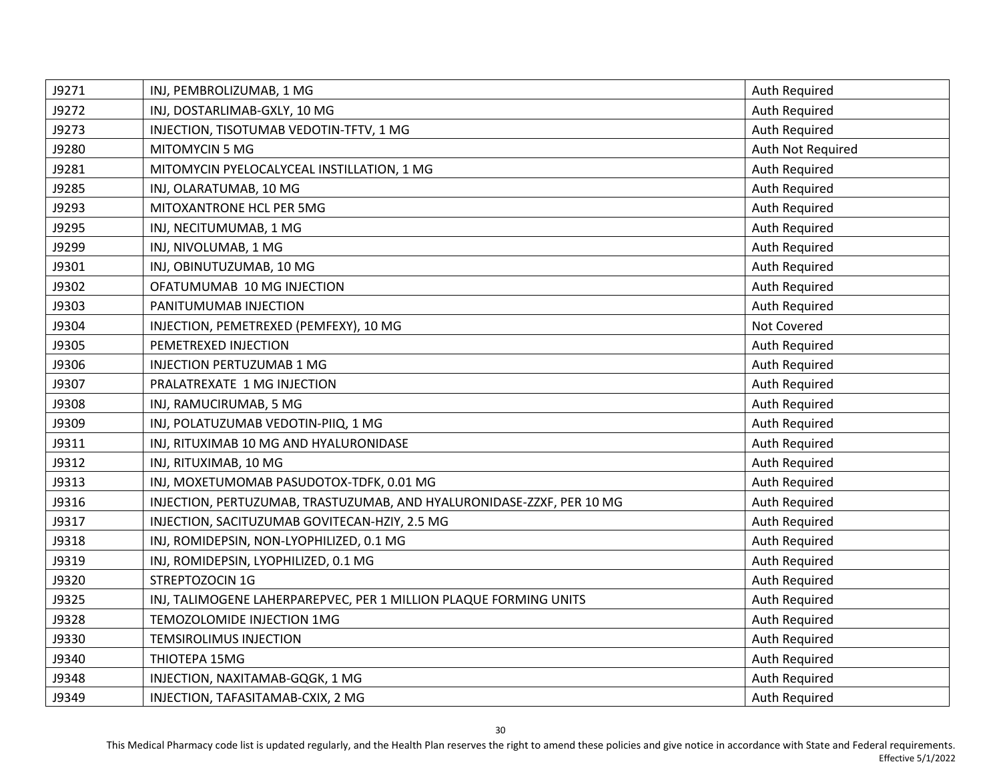| J9271 | INJ, PEMBROLIZUMAB, 1 MG                                              | Auth Required     |
|-------|-----------------------------------------------------------------------|-------------------|
| J9272 | INJ, DOSTARLIMAB-GXLY, 10 MG                                          | Auth Required     |
| J9273 | INJECTION, TISOTUMAB VEDOTIN-TFTV, 1 MG                               | Auth Required     |
| J9280 | <b>MITOMYCIN 5 MG</b>                                                 | Auth Not Required |
| J9281 | MITOMYCIN PYELOCALYCEAL INSTILLATION, 1 MG                            | Auth Required     |
| J9285 | INJ, OLARATUMAB, 10 MG                                                | Auth Required     |
| J9293 | MITOXANTRONE HCL PER 5MG                                              | Auth Required     |
| J9295 | INJ, NECITUMUMAB, 1 MG                                                | Auth Required     |
| J9299 | INJ, NIVOLUMAB, 1 MG                                                  | Auth Required     |
| J9301 | INJ, OBINUTUZUMAB, 10 MG                                              | Auth Required     |
| J9302 | OFATUMUMAB 10 MG INJECTION                                            | Auth Required     |
| J9303 | PANITUMUMAB INJECTION                                                 | Auth Required     |
| J9304 | INJECTION, PEMETREXED (PEMFEXY), 10 MG                                | Not Covered       |
| J9305 | PEMETREXED INJECTION                                                  | Auth Required     |
| J9306 | <b>INJECTION PERTUZUMAB 1 MG</b>                                      | Auth Required     |
| J9307 | PRALATREXATE 1 MG INJECTION                                           | Auth Required     |
| J9308 | INJ, RAMUCIRUMAB, 5 MG                                                | Auth Required     |
| J9309 | INJ, POLATUZUMAB VEDOTIN-PIIQ, 1 MG                                   | Auth Required     |
| J9311 | INJ, RITUXIMAB 10 MG AND HYALURONIDASE                                | Auth Required     |
| J9312 | INJ, RITUXIMAB, 10 MG                                                 | Auth Required     |
| J9313 | INJ, MOXETUMOMAB PASUDOTOX-TDFK, 0.01 MG                              | Auth Required     |
| J9316 | INJECTION, PERTUZUMAB, TRASTUZUMAB, AND HYALURONIDASE-ZZXF, PER 10 MG | Auth Required     |
| J9317 | INJECTION, SACITUZUMAB GOVITECAN-HZIY, 2.5 MG                         | Auth Required     |
| J9318 | INJ, ROMIDEPSIN, NON-LYOPHILIZED, 0.1 MG                              | Auth Required     |
| J9319 | INJ, ROMIDEPSIN, LYOPHILIZED, 0.1 MG                                  | Auth Required     |
| J9320 | STREPTOZOCIN 1G                                                       | Auth Required     |
| J9325 | INJ, TALIMOGENE LAHERPAREPVEC, PER 1 MILLION PLAQUE FORMING UNITS     | Auth Required     |
| J9328 | TEMOZOLOMIDE INJECTION 1MG                                            | Auth Required     |
| J9330 | <b>TEMSIROLIMUS INJECTION</b>                                         | Auth Required     |
| J9340 | THIOTEPA 15MG                                                         | Auth Required     |
| J9348 | INJECTION, NAXITAMAB-GQGK, 1 MG                                       | Auth Required     |
| J9349 | INJECTION, TAFASITAMAB-CXIX, 2 MG                                     | Auth Required     |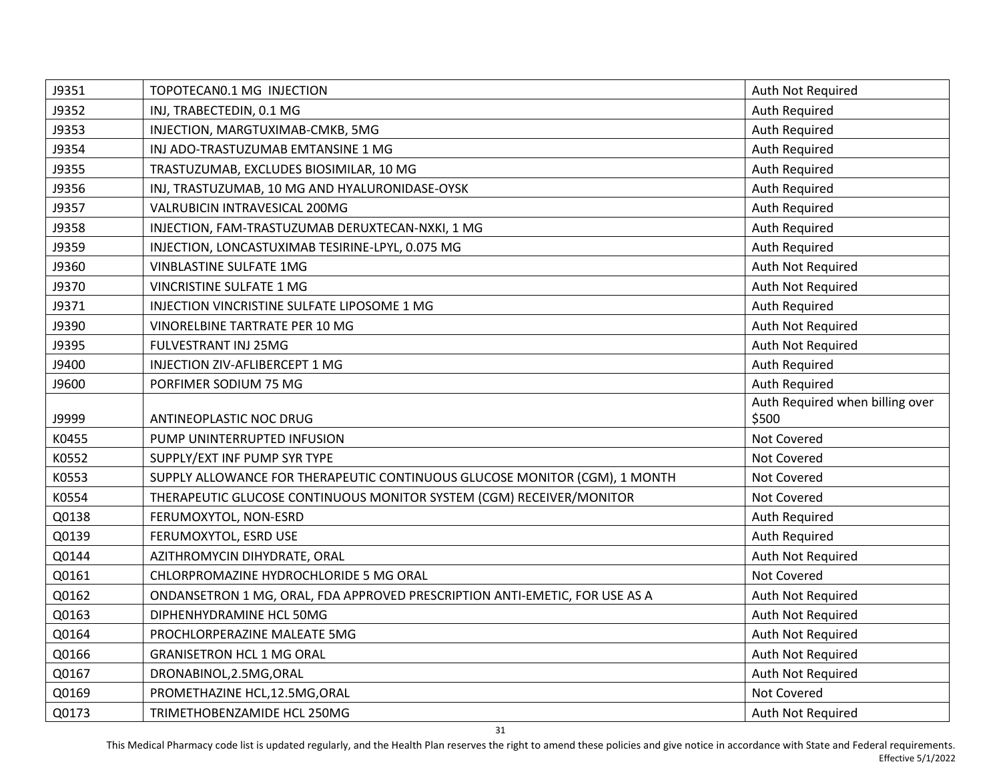| J9351 | TOPOTECANO.1 MG INJECTION                                                   | Auth Not Required               |
|-------|-----------------------------------------------------------------------------|---------------------------------|
| J9352 | INJ, TRABECTEDIN, 0.1 MG                                                    | Auth Required                   |
| J9353 | INJECTION, MARGTUXIMAB-CMKB, 5MG                                            | Auth Required                   |
| J9354 | INJ ADO-TRASTUZUMAB EMTANSINE 1 MG                                          | Auth Required                   |
| J9355 | TRASTUZUMAB, EXCLUDES BIOSIMILAR, 10 MG                                     | Auth Required                   |
| J9356 | INJ, TRASTUZUMAB, 10 MG AND HYALURONIDASE-OYSK                              | Auth Required                   |
| J9357 | VALRUBICIN INTRAVESICAL 200MG                                               | Auth Required                   |
| J9358 | INJECTION, FAM-TRASTUZUMAB DERUXTECAN-NXKI, 1 MG                            | Auth Required                   |
| J9359 | INJECTION, LONCASTUXIMAB TESIRINE-LPYL, 0.075 MG                            | <b>Auth Required</b>            |
| J9360 | <b>VINBLASTINE SULFATE 1MG</b>                                              | Auth Not Required               |
| J9370 | VINCRISTINE SULFATE 1 MG                                                    | Auth Not Required               |
| J9371 | INJECTION VINCRISTINE SULFATE LIPOSOME 1 MG                                 | <b>Auth Required</b>            |
| J9390 | VINORELBINE TARTRATE PER 10 MG                                              | Auth Not Required               |
| J9395 | FULVESTRANT INJ 25MG                                                        | Auth Not Required               |
| J9400 | INJECTION ZIV-AFLIBERCEPT 1 MG                                              | Auth Required                   |
| J9600 | PORFIMER SODIUM 75 MG                                                       | <b>Auth Required</b>            |
|       |                                                                             | Auth Required when billing over |
| J9999 | ANTINEOPLASTIC NOC DRUG                                                     | \$500                           |
| K0455 | PUMP UNINTERRUPTED INFUSION                                                 | Not Covered                     |
| K0552 | SUPPLY/EXT INF PUMP SYR TYPE                                                | Not Covered                     |
| K0553 | SUPPLY ALLOWANCE FOR THERAPEUTIC CONTINUOUS GLUCOSE MONITOR (CGM), 1 MONTH  | Not Covered                     |
| K0554 | THERAPEUTIC GLUCOSE CONTINUOUS MONITOR SYSTEM (CGM) RECEIVER/MONITOR        | Not Covered                     |
| Q0138 | FERUMOXYTOL, NON-ESRD                                                       | Auth Required                   |
| Q0139 | FERUMOXYTOL, ESRD USE                                                       | Auth Required                   |
| Q0144 | AZITHROMYCIN DIHYDRATE, ORAL                                                | Auth Not Required               |
| Q0161 | CHLORPROMAZINE HYDROCHLORIDE 5 MG ORAL                                      | Not Covered                     |
| Q0162 | ONDANSETRON 1 MG, ORAL, FDA APPROVED PRESCRIPTION ANTI-EMETIC, FOR USE AS A | Auth Not Required               |
| Q0163 | DIPHENHYDRAMINE HCL 50MG                                                    | Auth Not Required               |
| Q0164 | PROCHLORPERAZINE MALEATE 5MG                                                | Auth Not Required               |
| Q0166 | <b>GRANISETRON HCL 1 MG ORAL</b>                                            | Auth Not Required               |
| Q0167 | DRONABINOL, 2.5MG, ORAL                                                     | Auth Not Required               |
| Q0169 | PROMETHAZINE HCL,12.5MG,ORAL                                                | Not Covered                     |
| Q0173 | TRIMETHOBENZAMIDE HCL 250MG                                                 | Auth Not Required               |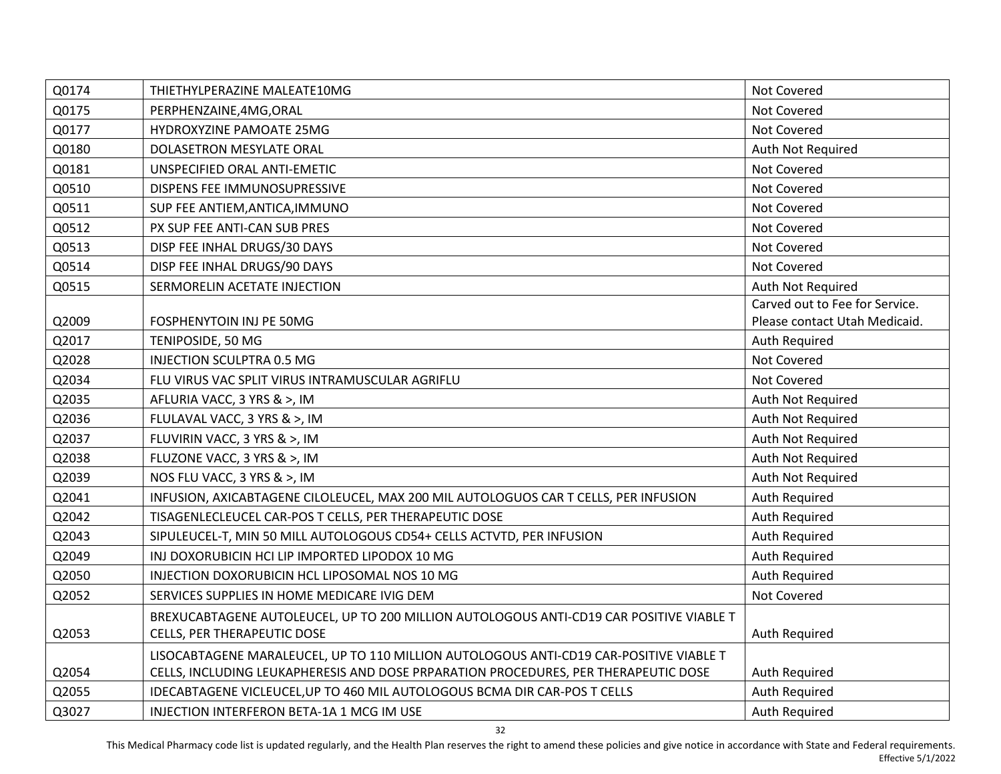| Q0174 | THIETHYLPERAZINE MALEATE10MG                                                            | Not Covered                    |
|-------|-----------------------------------------------------------------------------------------|--------------------------------|
| Q0175 | PERPHENZAINE, 4MG, ORAL                                                                 | Not Covered                    |
| Q0177 | HYDROXYZINE PAMOATE 25MG                                                                | Not Covered                    |
| Q0180 | DOLASETRON MESYLATE ORAL                                                                | Auth Not Required              |
| Q0181 | UNSPECIFIED ORAL ANTI-EMETIC                                                            | Not Covered                    |
| Q0510 | DISPENS FEE IMMUNOSUPRESSIVE                                                            | Not Covered                    |
| Q0511 | SUP FEE ANTIEM, ANTICA, IMMUNO                                                          | Not Covered                    |
| Q0512 | PX SUP FEE ANTI-CAN SUB PRES                                                            | Not Covered                    |
| Q0513 | DISP FEE INHAL DRUGS/30 DAYS                                                            | Not Covered                    |
| Q0514 | DISP FEE INHAL DRUGS/90 DAYS                                                            | Not Covered                    |
| Q0515 | SERMORELIN ACETATE INJECTION                                                            | Auth Not Required              |
|       |                                                                                         | Carved out to Fee for Service. |
| Q2009 | FOSPHENYTOIN INJ PE 50MG                                                                | Please contact Utah Medicaid.  |
| Q2017 | TENIPOSIDE, 50 MG                                                                       | Auth Required                  |
| Q2028 | <b>INJECTION SCULPTRA 0.5 MG</b>                                                        | Not Covered                    |
| Q2034 | FLU VIRUS VAC SPLIT VIRUS INTRAMUSCULAR AGRIFLU                                         | Not Covered                    |
| Q2035 | AFLURIA VACC, 3 YRS & >, IM                                                             | Auth Not Required              |
| Q2036 | FLULAVAL VACC, 3 YRS & >, IM                                                            | Auth Not Required              |
| Q2037 | FLUVIRIN VACC, 3 YRS & >, IM                                                            | Auth Not Required              |
| Q2038 | FLUZONE VACC, 3 YRS & >, IM                                                             | Auth Not Required              |
| Q2039 | NOS FLU VACC, 3 YRS & >, IM                                                             | Auth Not Required              |
| Q2041 | INFUSION, AXICABTAGENE CILOLEUCEL, MAX 200 MIL AUTOLOGUOS CAR T CELLS, PER INFUSION     | Auth Required                  |
| Q2042 | TISAGENLECLEUCEL CAR-POS T CELLS, PER THERAPEUTIC DOSE                                  | Auth Required                  |
| Q2043 | SIPULEUCEL-T, MIN 50 MILL AUTOLOGOUS CD54+ CELLS ACTVTD, PER INFUSION                   | Auth Required                  |
| Q2049 | INJ DOXORUBICIN HCI LIP IMPORTED LIPODOX 10 MG                                          | Auth Required                  |
| Q2050 | INJECTION DOXORUBICIN HCL LIPOSOMAL NOS 10 MG                                           | Auth Required                  |
| Q2052 | SERVICES SUPPLIES IN HOME MEDICARE IVIG DEM                                             | Not Covered                    |
|       | BREXUCABTAGENE AUTOLEUCEL, UP TO 200 MILLION AUTOLOGOUS ANTI-CD19 CAR POSITIVE VIABLE T |                                |
| Q2053 | <b>CELLS, PER THERAPEUTIC DOSE</b>                                                      | Auth Required                  |
|       | LISOCABTAGENE MARALEUCEL, UP TO 110 MILLION AUTOLOGOUS ANTI-CD19 CAR-POSITIVE VIABLE T  |                                |
| Q2054 | CELLS, INCLUDING LEUKAPHERESIS AND DOSE PRPARATION PROCEDURES, PER THERAPEUTIC DOSE     | Auth Required                  |
| Q2055 | IDECABTAGENE VICLEUCEL, UP TO 460 MIL AUTOLOGOUS BCMA DIR CAR-POS T CELLS               | Auth Required                  |
| Q3027 | INJECTION INTERFERON BETA-1A 1 MCG IM USE                                               | Auth Required                  |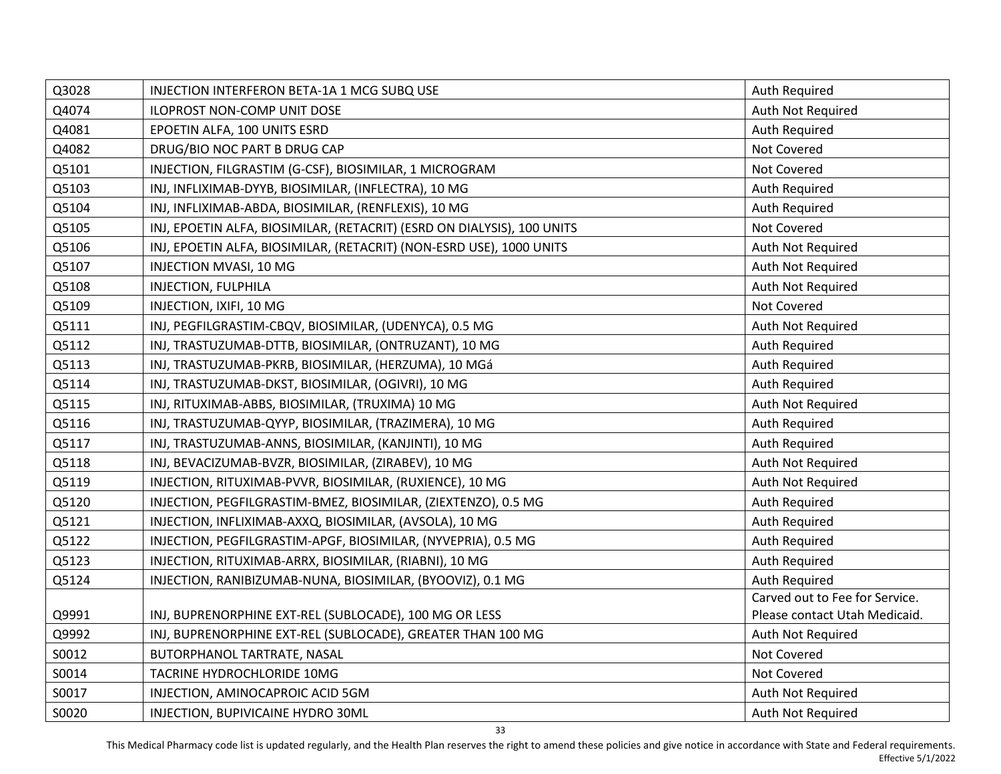| Q3028 | INJECTION INTERFERON BETA-1A 1 MCG SUBQ USE                             | Auth Required                  |
|-------|-------------------------------------------------------------------------|--------------------------------|
| Q4074 | ILOPROST NON-COMP UNIT DOSE                                             | Auth Not Required              |
| Q4081 | EPOETIN ALFA, 100 UNITS ESRD                                            | Auth Required                  |
| Q4082 | DRUG/BIO NOC PART B DRUG CAP                                            | Not Covered                    |
| Q5101 | INJECTION, FILGRASTIM (G-CSF), BIOSIMILAR, 1 MICROGRAM                  | Not Covered                    |
| Q5103 | INJ, INFLIXIMAB-DYYB, BIOSIMILAR, (INFLECTRA), 10 MG                    | Auth Required                  |
| Q5104 | INJ, INFLIXIMAB-ABDA, BIOSIMILAR, (RENFLEXIS), 10 MG                    | Auth Required                  |
| Q5105 | INJ, EPOETIN ALFA, BIOSIMILAR, (RETACRIT) (ESRD ON DIALYSIS), 100 UNITS | Not Covered                    |
| Q5106 | INJ, EPOETIN ALFA, BIOSIMILAR, (RETACRIT) (NON-ESRD USE), 1000 UNITS    | Auth Not Required              |
| Q5107 | INJECTION MVASI, 10 MG                                                  | Auth Not Required              |
| Q5108 | INJECTION, FULPHILA                                                     | Auth Not Required              |
| Q5109 | INJECTION, IXIFI, 10 MG                                                 | Not Covered                    |
| Q5111 | INJ, PEGFILGRASTIM-CBQV, BIOSIMILAR, (UDENYCA), 0.5 MG                  | Auth Not Required              |
| Q5112 | INJ, TRASTUZUMAB-DTTB, BIOSIMILAR, (ONTRUZANT), 10 MG                   | Auth Required                  |
| Q5113 | INJ, TRASTUZUMAB-PKRB, BIOSIMILAR, (HERZUMA), 10 MGá                    | Auth Required                  |
| Q5114 | INJ, TRASTUZUMAB-DKST, BIOSIMILAR, (OGIVRI), 10 MG                      | Auth Required                  |
| Q5115 | INJ, RITUXIMAB-ABBS, BIOSIMILAR, (TRUXIMA) 10 MG                        | Auth Not Required              |
| Q5116 | INJ, TRASTUZUMAB-QYYP, BIOSIMILAR, (TRAZIMERA), 10 MG                   | Auth Required                  |
| Q5117 | INJ, TRASTUZUMAB-ANNS, BIOSIMILAR, (KANJINTI), 10 MG                    | Auth Required                  |
| Q5118 | INJ, BEVACIZUMAB-BVZR, BIOSIMILAR, (ZIRABEV), 10 MG                     | Auth Not Required              |
| Q5119 | INJECTION, RITUXIMAB-PVVR, BIOSIMILAR, (RUXIENCE), 10 MG                | Auth Not Required              |
| Q5120 | INJECTION, PEGFILGRASTIM-BMEZ, BIOSIMILAR, (ZIEXTENZO), 0.5 MG          | Auth Required                  |
| Q5121 | INJECTION, INFLIXIMAB-AXXQ, BIOSIMILAR, (AVSOLA), 10 MG                 | Auth Required                  |
| Q5122 | INJECTION, PEGFILGRASTIM-APGF, BIOSIMILAR, (NYVEPRIA), 0.5 MG           | Auth Required                  |
| Q5123 | INJECTION, RITUXIMAB-ARRX, BIOSIMILAR, (RIABNI), 10 MG                  | Auth Required                  |
| Q5124 | INJECTION, RANIBIZUMAB-NUNA, BIOSIMILAR, (BYOOVIZ), 0.1 MG              | Auth Required                  |
|       |                                                                         | Carved out to Fee for Service. |
| Q9991 | INJ, BUPRENORPHINE EXT-REL (SUBLOCADE), 100 MG OR LESS                  | Please contact Utah Medicaid.  |
| Q9992 | INJ, BUPRENORPHINE EXT-REL (SUBLOCADE), GREATER THAN 100 MG             | Auth Not Required              |
| S0012 | BUTORPHANOL TARTRATE, NASAL                                             | Not Covered                    |
| S0014 | TACRINE HYDROCHLORIDE 10MG                                              | Not Covered                    |
| S0017 | INJECTION, AMINOCAPROIC ACID 5GM                                        | Auth Not Required              |
| S0020 | INJECTION, BUPIVICAINE HYDRO 30ML                                       | Auth Not Required              |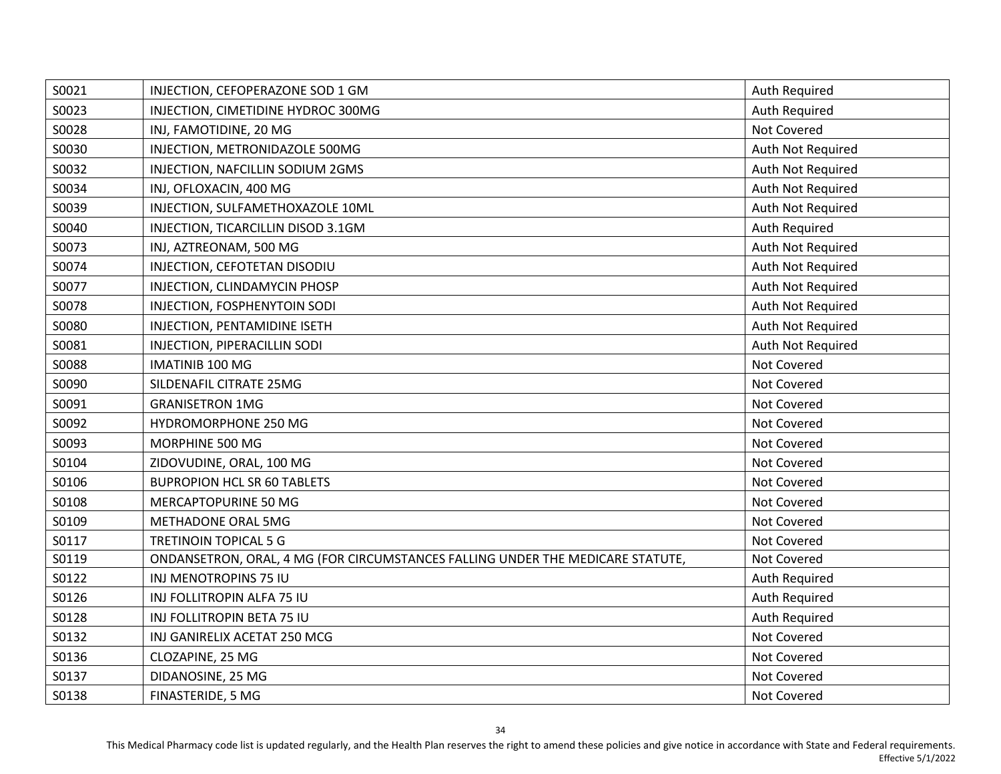| S0021 | INJECTION, CEFOPERAZONE SOD 1 GM                                               | Auth Required        |
|-------|--------------------------------------------------------------------------------|----------------------|
| S0023 | INJECTION, CIMETIDINE HYDROC 300MG                                             | <b>Auth Required</b> |
| S0028 | INJ, FAMOTIDINE, 20 MG                                                         | Not Covered          |
| S0030 | INJECTION, METRONIDAZOLE 500MG                                                 | Auth Not Required    |
| S0032 | INJECTION, NAFCILLIN SODIUM 2GMS                                               | Auth Not Required    |
| S0034 | INJ, OFLOXACIN, 400 MG                                                         | Auth Not Required    |
| S0039 | INJECTION, SULFAMETHOXAZOLE 10ML                                               | Auth Not Required    |
| S0040 | INJECTION, TICARCILLIN DISOD 3.1GM                                             | Auth Required        |
| S0073 | INJ, AZTREONAM, 500 MG                                                         | Auth Not Required    |
| S0074 | INJECTION, CEFOTETAN DISODIU                                                   | Auth Not Required    |
| S0077 | INJECTION, CLINDAMYCIN PHOSP                                                   | Auth Not Required    |
| S0078 | INJECTION, FOSPHENYTOIN SODI                                                   | Auth Not Required    |
| S0080 | INJECTION, PENTAMIDINE ISETH                                                   | Auth Not Required    |
| S0081 | INJECTION, PIPERACILLIN SODI                                                   | Auth Not Required    |
| S0088 | <b>IMATINIB 100 MG</b>                                                         | Not Covered          |
| S0090 | SILDENAFIL CITRATE 25MG                                                        | Not Covered          |
| S0091 | <b>GRANISETRON 1MG</b>                                                         | Not Covered          |
| S0092 | HYDROMORPHONE 250 MG                                                           | Not Covered          |
| S0093 | MORPHINE 500 MG                                                                | Not Covered          |
| S0104 | ZIDOVUDINE, ORAL, 100 MG                                                       | Not Covered          |
| S0106 | <b>BUPROPION HCL SR 60 TABLETS</b>                                             | Not Covered          |
| S0108 | MERCAPTOPURINE 50 MG                                                           | Not Covered          |
| S0109 | METHADONE ORAL 5MG                                                             | Not Covered          |
| S0117 | <b>TRETINOIN TOPICAL 5 G</b>                                                   | Not Covered          |
| S0119 | ONDANSETRON, ORAL, 4 MG (FOR CIRCUMSTANCES FALLING UNDER THE MEDICARE STATUTE, | Not Covered          |
| S0122 | INJ MENOTROPINS 75 IU                                                          | Auth Required        |
| S0126 | INJ FOLLITROPIN ALFA 75 IU                                                     | Auth Required        |
| S0128 | INJ FOLLITROPIN BETA 75 IU                                                     | Auth Required        |
| S0132 | INJ GANIRELIX ACETAT 250 MCG                                                   | Not Covered          |
| S0136 | CLOZAPINE, 25 MG                                                               | Not Covered          |
| S0137 | DIDANOSINE, 25 MG                                                              | Not Covered          |
| S0138 | FINASTERIDE, 5 MG                                                              | Not Covered          |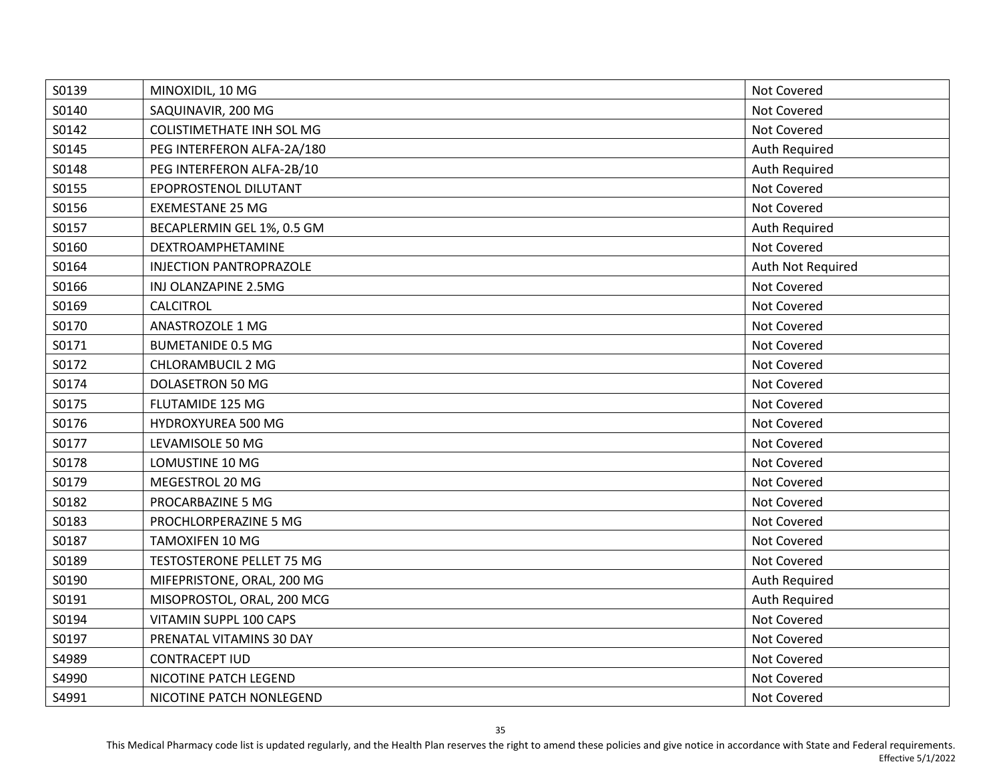| S0139 | MINOXIDIL, 10 MG                 | Not Covered       |
|-------|----------------------------------|-------------------|
| S0140 | SAQUINAVIR, 200 MG               | Not Covered       |
| S0142 | <b>COLISTIMETHATE INH SOL MG</b> | Not Covered       |
| S0145 | PEG INTERFERON ALFA-2A/180       | Auth Required     |
| S0148 | PEG INTERFERON ALFA-2B/10        | Auth Required     |
| S0155 | EPOPROSTENOL DILUTANT            | Not Covered       |
| S0156 | <b>EXEMESTANE 25 MG</b>          | Not Covered       |
| S0157 | BECAPLERMIN GEL 1%, 0.5 GM       | Auth Required     |
| S0160 | DEXTROAMPHETAMINE                | Not Covered       |
| S0164 | <b>INJECTION PANTROPRAZOLE</b>   | Auth Not Required |
| S0166 | INJ OLANZAPINE 2.5MG             | Not Covered       |
| S0169 | <b>CALCITROL</b>                 | Not Covered       |
| S0170 | ANASTROZOLE 1 MG                 | Not Covered       |
| S0171 | <b>BUMETANIDE 0.5 MG</b>         | Not Covered       |
| S0172 | <b>CHLORAMBUCIL 2 MG</b>         | Not Covered       |
| S0174 | DOLASETRON 50 MG                 | Not Covered       |
| S0175 | FLUTAMIDE 125 MG                 | Not Covered       |
| S0176 | HYDROXYUREA 500 MG               | Not Covered       |
| S0177 | LEVAMISOLE 50 MG                 | Not Covered       |
| S0178 | LOMUSTINE 10 MG                  | Not Covered       |
| S0179 | MEGESTROL 20 MG                  | Not Covered       |
| S0182 | PROCARBAZINE 5 MG                | Not Covered       |
| S0183 | PROCHLORPERAZINE 5 MG            | Not Covered       |
| S0187 | <b>TAMOXIFEN 10 MG</b>           | Not Covered       |
| S0189 | <b>TESTOSTERONE PELLET 75 MG</b> | Not Covered       |
| S0190 | MIFEPRISTONE, ORAL, 200 MG       | Auth Required     |
| S0191 | MISOPROSTOL, ORAL, 200 MCG       | Auth Required     |
| S0194 | VITAMIN SUPPL 100 CAPS           | Not Covered       |
| S0197 | PRENATAL VITAMINS 30 DAY         | Not Covered       |
| S4989 | CONTRACEPT IUD                   | Not Covered       |
| S4990 | NICOTINE PATCH LEGEND            | Not Covered       |
| S4991 | NICOTINE PATCH NONLEGEND         | Not Covered       |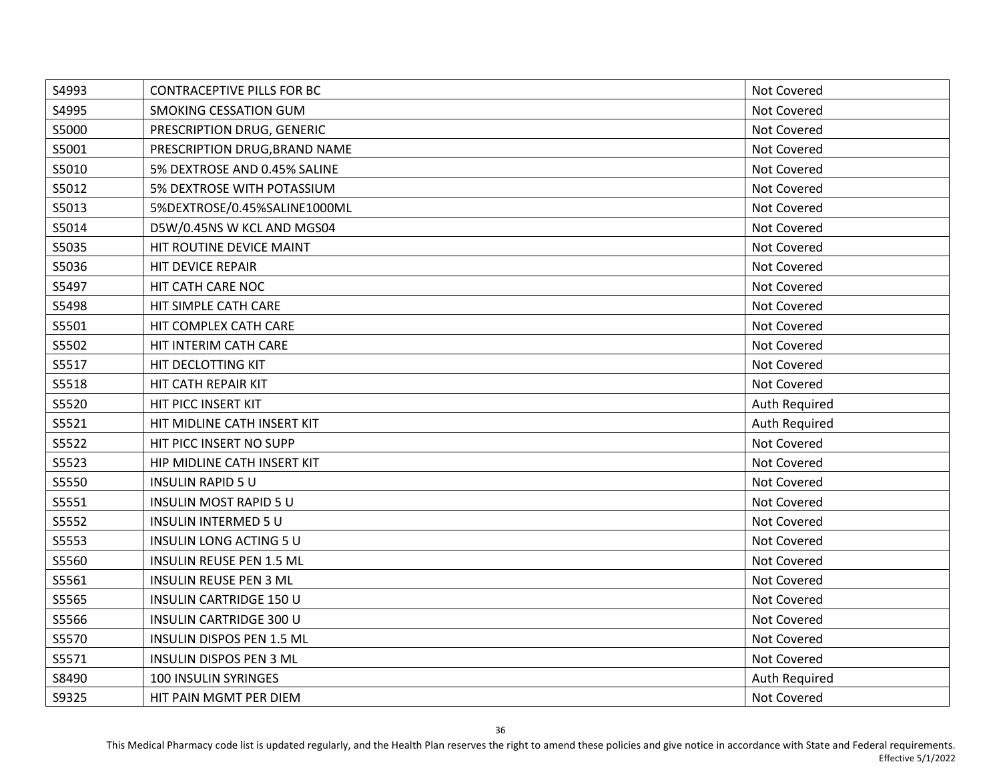| S4993 | <b>CONTRACEPTIVE PILLS FOR BC</b> | Not Covered   |
|-------|-----------------------------------|---------------|
| S4995 | SMOKING CESSATION GUM             | Not Covered   |
| S5000 | PRESCRIPTION DRUG, GENERIC        | Not Covered   |
| S5001 | PRESCRIPTION DRUG, BRAND NAME     | Not Covered   |
| S5010 | 5% DEXTROSE AND 0.45% SALINE      | Not Covered   |
| S5012 | 5% DEXTROSE WITH POTASSIUM        | Not Covered   |
| S5013 | 5%DEXTROSE/0.45%SALINE1000ML      | Not Covered   |
| S5014 | D5W/0.45NS W KCL AND MGS04        | Not Covered   |
| S5035 | HIT ROUTINE DEVICE MAINT          | Not Covered   |
| S5036 | HIT DEVICE REPAIR                 | Not Covered   |
| S5497 | HIT CATH CARE NOC                 | Not Covered   |
| S5498 | HIT SIMPLE CATH CARE              | Not Covered   |
| S5501 | HIT COMPLEX CATH CARE             | Not Covered   |
| S5502 | HIT INTERIM CATH CARE             | Not Covered   |
| S5517 | HIT DECLOTTING KIT                | Not Covered   |
| S5518 | HIT CATH REPAIR KIT               | Not Covered   |
| S5520 | HIT PICC INSERT KIT               | Auth Required |
| S5521 | HIT MIDLINE CATH INSERT KIT       | Auth Required |
| S5522 | HIT PICC INSERT NO SUPP           | Not Covered   |
| S5523 | HIP MIDLINE CATH INSERT KIT       | Not Covered   |
| S5550 | <b>INSULIN RAPID 5 U</b>          | Not Covered   |
| S5551 | <b>INSULIN MOST RAPID 5 U</b>     | Not Covered   |
| S5552 | <b>INSULIN INTERMED 5 U</b>       | Not Covered   |
| S5553 | <b>INSULIN LONG ACTING 5 U</b>    | Not Covered   |
| S5560 | <b>INSULIN REUSE PEN 1.5 ML</b>   | Not Covered   |
| S5561 | <b>INSULIN REUSE PEN 3 ML</b>     | Not Covered   |
| S5565 | <b>INSULIN CARTRIDGE 150 U</b>    | Not Covered   |
| S5566 | <b>INSULIN CARTRIDGE 300 U</b>    | Not Covered   |
| S5570 | INSULIN DISPOS PEN 1.5 ML         | Not Covered   |
| S5571 | INSULIN DISPOS PEN 3 ML           | Not Covered   |
| S8490 | 100 INSULIN SYRINGES              | Auth Required |
| S9325 | HIT PAIN MGMT PER DIEM            | Not Covered   |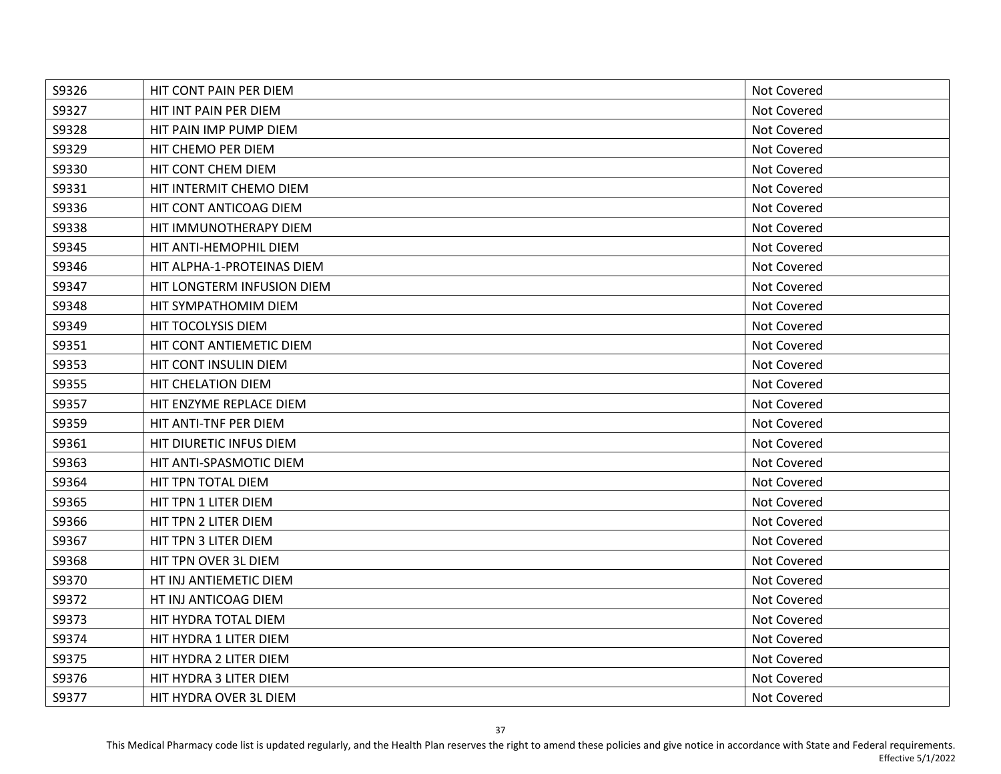| S9326 | HIT CONT PAIN PER DIEM     | Not Covered |
|-------|----------------------------|-------------|
| S9327 | HIT INT PAIN PER DIEM      | Not Covered |
| S9328 | HIT PAIN IMP PUMP DIEM     | Not Covered |
| S9329 | HIT CHEMO PER DIEM         | Not Covered |
| S9330 | HIT CONT CHEM DIEM         | Not Covered |
| S9331 | HIT INTERMIT CHEMO DIEM    | Not Covered |
| S9336 | HIT CONT ANTICOAG DIEM     | Not Covered |
| S9338 | HIT IMMUNOTHERAPY DIEM     | Not Covered |
| S9345 | HIT ANTI-HEMOPHIL DIEM     | Not Covered |
| S9346 | HIT ALPHA-1-PROTEINAS DIEM | Not Covered |
| S9347 | HIT LONGTERM INFUSION DIEM | Not Covered |
| S9348 | HIT SYMPATHOMIM DIEM       | Not Covered |
| S9349 | HIT TOCOLYSIS DIEM         | Not Covered |
| S9351 | HIT CONT ANTIEMETIC DIEM   | Not Covered |
| S9353 | HIT CONT INSULIN DIEM      | Not Covered |
| S9355 | HIT CHELATION DIEM         | Not Covered |
| S9357 | HIT ENZYME REPLACE DIEM    | Not Covered |
| S9359 | HIT ANTI-TNF PER DIEM      | Not Covered |
| S9361 | HIT DIURETIC INFUS DIEM    | Not Covered |
| S9363 | HIT ANTI-SPASMOTIC DIEM    | Not Covered |
| S9364 | HIT TPN TOTAL DIEM         | Not Covered |
| S9365 | HIT TPN 1 LITER DIEM       | Not Covered |
| S9366 | HIT TPN 2 LITER DIEM       | Not Covered |
| S9367 | HIT TPN 3 LITER DIEM       | Not Covered |
| S9368 | HIT TPN OVER 3L DIEM       | Not Covered |
| S9370 | HT INJ ANTIEMETIC DIEM     | Not Covered |
| S9372 | HT INJ ANTICOAG DIEM       | Not Covered |
| S9373 | HIT HYDRA TOTAL DIEM       | Not Covered |
| S9374 | HIT HYDRA 1 LITER DIEM     | Not Covered |
| S9375 | HIT HYDRA 2 LITER DIEM     | Not Covered |
| S9376 | HIT HYDRA 3 LITER DIEM     | Not Covered |
| S9377 | HIT HYDRA OVER 3L DIEM     | Not Covered |